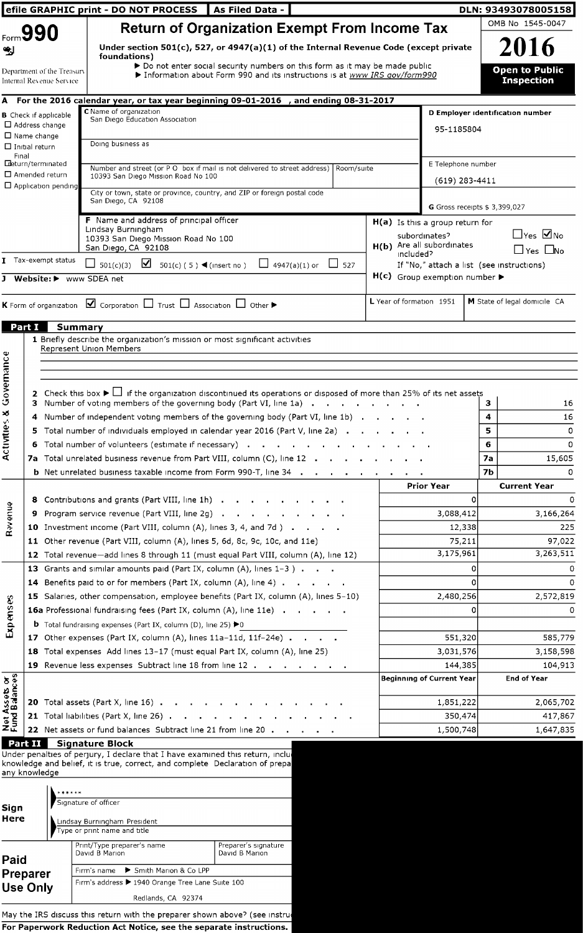|                                |                                                        | efile GRAPHIC print - DO NOT PROCESS                                                                                                                                       | As Filed Data -                                                                       |                          |                          |                                                     |                | DLN: 93493078005158                        |
|--------------------------------|--------------------------------------------------------|----------------------------------------------------------------------------------------------------------------------------------------------------------------------------|---------------------------------------------------------------------------------------|--------------------------|--------------------------|-----------------------------------------------------|----------------|--------------------------------------------|
|                                | Form 990                                               |                                                                                                                                                                            | <b>Return of Organization Exempt From Income Tax</b>                                  |                          |                          |                                                     |                | OMB No 1545-0047                           |
|                                |                                                        |                                                                                                                                                                            | Under section 501(c), 527, or 4947(a)(1) of the Internal Revenue Code (except private |                          |                          |                                                     |                | 2016                                       |
|                                |                                                        | foundations)                                                                                                                                                               | > Do not enter social security numbers on this form as it may be made public          |                          |                          |                                                     |                |                                            |
|                                | Department of the Treasurv<br>Internal Revenue Service |                                                                                                                                                                            | Information about Form 990 and its instructions is at www IRS gov/form990             |                          |                          |                                                     |                | <b>Open to Public</b><br><b>Inspection</b> |
|                                |                                                        | A For the 2016 calendar year, or tax year beginning 09-01-2016 , and ending 08-31-2017                                                                                     |                                                                                       |                          |                          |                                                     |                |                                            |
|                                | <b>B</b> Check if applicable                           | C Name of organization<br>San Diego Education Association                                                                                                                  |                                                                                       |                          |                          |                                                     |                | D Employer identification number           |
|                                | $\Box$ Address change<br>$\Box$ Name change            |                                                                                                                                                                            |                                                                                       |                          |                          | 95-1185804                                          |                |                                            |
|                                | $\Box$ Initial return                                  | Doing business as                                                                                                                                                          |                                                                                       |                          |                          |                                                     |                |                                            |
| Final                          | Edeturn/terminated                                     | Number and street (or P O box if mail is not delivered to street address) Room/suite                                                                                       |                                                                                       |                          |                          | E Telephone number                                  |                |                                            |
|                                | $\Box$ Amended return                                  | 10393 San Diego Mission Road No 100                                                                                                                                        |                                                                                       |                          |                          | $(619)$ 283-4411                                    |                |                                            |
|                                | $\Box$ Application pending                             | City or town, state or province, country, and ZIP or foreign postal code                                                                                                   |                                                                                       |                          |                          |                                                     |                |                                            |
|                                |                                                        | San Diego, CA 92108                                                                                                                                                        |                                                                                       |                          |                          | G Gross receipts \$ 3,399,027                       |                |                                            |
|                                |                                                        | F Name and address of principal officer<br>Lindsay Burningham                                                                                                              |                                                                                       |                          |                          | H(a) Is this a group return for                     |                |                                            |
|                                |                                                        | 10393 San Diego Mission Road No 100                                                                                                                                        |                                                                                       |                          |                          | subordinates?<br>H(b) Are all subordinates          |                | $\Box$ Yes $\Box$ No                       |
|                                | T Tax-exempt status                                    | San Diego, CA 92108                                                                                                                                                        |                                                                                       |                          | included?                |                                                     |                | $\Box$ Yes $\Box$ No                       |
|                                |                                                        | $\Box$ 501(c)(3)<br>501(c) (5) $\blacktriangleleft$ (insert no)                                                                                                            | $\Box$ 4947(a)(1) or $\Box$ 527                                                       |                          |                          | If "No," attach a list (see instructions)           |                |                                            |
| J                              |                                                        | Website: > www SDEA net                                                                                                                                                    |                                                                                       |                          |                          | $H(c)$ Group exemption number $\blacktriangleright$ |                |                                            |
|                                |                                                        | <b>K</b> Form of organization $\boxed{\blacktriangleleft}$ Corporation $\boxed{\square}$ Trust $\boxed{\square}$ Association $\boxed{\square}$ Other $\blacktriangleright$ |                                                                                       |                          | L Year of formation 1951 |                                                     |                | M State of legal domicile CA               |
|                                |                                                        |                                                                                                                                                                            |                                                                                       |                          |                          |                                                     |                |                                            |
| <b>Part I</b>                  |                                                        | Summary                                                                                                                                                                    |                                                                                       |                          |                          |                                                     |                |                                            |
|                                |                                                        | 1 Briefly describe the organization's mission or most significant activities<br>Represent Union Members                                                                    |                                                                                       |                          |                          |                                                     |                |                                            |
|                                |                                                        |                                                                                                                                                                            |                                                                                       |                          |                          |                                                     |                |                                            |
|                                |                                                        |                                                                                                                                                                            |                                                                                       |                          |                          |                                                     |                |                                            |
| Governance                     |                                                        | 2 Check this box $\blacktriangleright \Box$ if the organization discontinued its operations or disposed of more than 25% of its net assets                                 |                                                                                       |                          |                          |                                                     |                |                                            |
|                                |                                                        | 3 Number of voting members of the governing body (Part VI, line 1a)                                                                                                        |                                                                                       |                          |                          |                                                     | з              | 16                                         |
| Activities &                   |                                                        | 4 Number of independent voting members of the governing body (Part VI, line 1b)<br>5 Total number of individuals employed in calendar year 2016 (Part V, line 2a)          |                                                                                       |                          |                          |                                                     | 4<br>5.        | 16                                         |
|                                |                                                        | 6 Total number of volunteers (estimate if necessary)                                                                                                                       |                                                                                       |                          |                          |                                                     | 6              | 0<br>0                                     |
|                                |                                                        | 7a Total unrelated business revenue from Part VIII, column (C), line 12                                                                                                    |                                                                                       |                          |                          |                                                     | 7a             | 15,605                                     |
|                                |                                                        | <b>b</b> Net unrelated business taxable income from Form 990-T, line 34 .                                                                                                  |                                                                                       | <b>Contract Contract</b> |                          |                                                     | 7 <sub>b</sub> | 0                                          |
|                                |                                                        |                                                                                                                                                                            |                                                                                       |                          |                          | <b>Prior Year</b>                                   |                | <b>Current Year</b>                        |
|                                | 8                                                      | Contributions and grants (Part VIII, line 1h)                                                                                                                              |                                                                                       |                          |                          | 0                                                   |                | 0                                          |
| <b>Bayenue</b>                 |                                                        | Program service revenue (Part VIII, line 2g).                                                                                                                              | <b>Contract Contract Contract</b>                                                     |                          |                          | 3,088,412                                           |                | 3,166,264                                  |
|                                |                                                        | 10 Investment income (Part VIII, column (A), lines 3, 4, and 7d)                                                                                                           |                                                                                       |                          |                          | 12,338                                              |                | 225                                        |
|                                |                                                        | 11 Other revenue (Part VIII, column (A), lines 5, 6d, 8c, 9c, 10c, and 11e)                                                                                                |                                                                                       |                          |                          | 75,211<br>3,175,961                                 |                | 97,022<br>3,263,511                        |
|                                |                                                        | 12 Total revenue-add lines 8 through 11 (must equal Part VIII, column (A), line 12)<br>13 Grants and similar amounts paid (Part IX, column (A), lines 1-3)                 |                                                                                       |                          |                          | 0                                                   |                | 0                                          |
|                                |                                                        | 14 Benefits paid to or for members (Part IX, column (A), line 4)                                                                                                           |                                                                                       |                          |                          | ۵                                                   |                | 0                                          |
|                                |                                                        | 15 Salaries, other compensation, employee benefits (Part IX, column (A), lines 5-10)                                                                                       |                                                                                       |                          |                          | 2,480,256                                           |                | 2,572,819                                  |
|                                |                                                        | <b>16a</b> Professional fundraising fees (Part IX, column (A), line 11e)                                                                                                   |                                                                                       |                          |                          | 0                                                   |                | O                                          |
| Expenses                       |                                                        | <b>b</b> Total fundraising expenses (Part IX, column (D), line 25) $\blacktriangleright$ 0                                                                                 |                                                                                       |                          |                          |                                                     |                |                                            |
|                                |                                                        | 17 Other expenses (Part IX, column (A), lines 11a-11d, 11f-24e)                                                                                                            |                                                                                       |                          |                          | 551,320                                             |                | 585,779                                    |
|                                |                                                        | 18 Total expenses Add lines 13-17 (must equal Part IX, column (A), line 25)                                                                                                |                                                                                       |                          |                          | 3,031,576                                           |                | 3,158,598                                  |
|                                |                                                        | 19 Revenue less expenses Subtract line 18 from line 12                                                                                                                     |                                                                                       |                          |                          | 144,385                                             |                | 104,913                                    |
|                                |                                                        |                                                                                                                                                                            |                                                                                       |                          |                          | <b>Beginning of Current Year</b>                    |                | <b>End of Year</b>                         |
| Net Assets or<br>Fund Balances |                                                        | 20 Total assets (Part X, line 16) $\cdots$ $\cdots$ $\cdots$                                                                                                               |                                                                                       |                          |                          | 1,851,222                                           |                | 2,065,702                                  |
|                                |                                                        | <b>21</b> Total liabilities (Part X, line 26)                                                                                                                              |                                                                                       |                          |                          | 350,474                                             |                | 417,867                                    |
|                                |                                                        | 22 Net assets or fund balances Subtract line 21 from line 20.                                                                                                              | $\sim$                                                                                |                          |                          | 1,500,748                                           |                | 1,647,835                                  |
|                                | Part II                                                | <b>Signature Block</b>                                                                                                                                                     |                                                                                       |                          |                          |                                                     |                |                                            |
|                                |                                                        | Under penalties of perjury, I declare that I have examined this return, inclu-<br>knowledge and belief, it is true, correct, and complete Declaration of prepa             |                                                                                       |                          |                          |                                                     |                |                                            |
|                                | any knowledge                                          |                                                                                                                                                                            |                                                                                       |                          |                          |                                                     |                |                                            |
|                                |                                                        |                                                                                                                                                                            |                                                                                       |                          |                          |                                                     |                |                                            |
| Sign                           |                                                        | Signature of officer                                                                                                                                                       |                                                                                       |                          |                          |                                                     |                |                                            |
| Here                           |                                                        | Lindsay Burningham President                                                                                                                                               |                                                                                       |                          |                          |                                                     |                |                                            |
|                                |                                                        | Type or print name and title                                                                                                                                               |                                                                                       |                          |                          |                                                     |                |                                            |
|                                |                                                        | Print/Type preparer's name<br>David B Marion                                                                                                                               | Preparer's signature<br>David B Marion                                                |                          |                          |                                                     |                |                                            |
| Paid                           |                                                        | Smith Marion & Co LPP<br>Firm's name                                                                                                                                       |                                                                                       |                          |                          |                                                     |                |                                            |
|                                | Preparer<br><b>Use Only</b>                            | Firm's address ▶ 1940 Orange Tree Lane Suite 100                                                                                                                           |                                                                                       |                          |                          |                                                     |                |                                            |
|                                |                                                        | Redlands, CA 92374                                                                                                                                                         |                                                                                       |                          |                          |                                                     |                |                                            |

May the IRS discuss this return with the preparer shown above? (see instrui For Paperwork Reduction Act Notice, see the separate instructio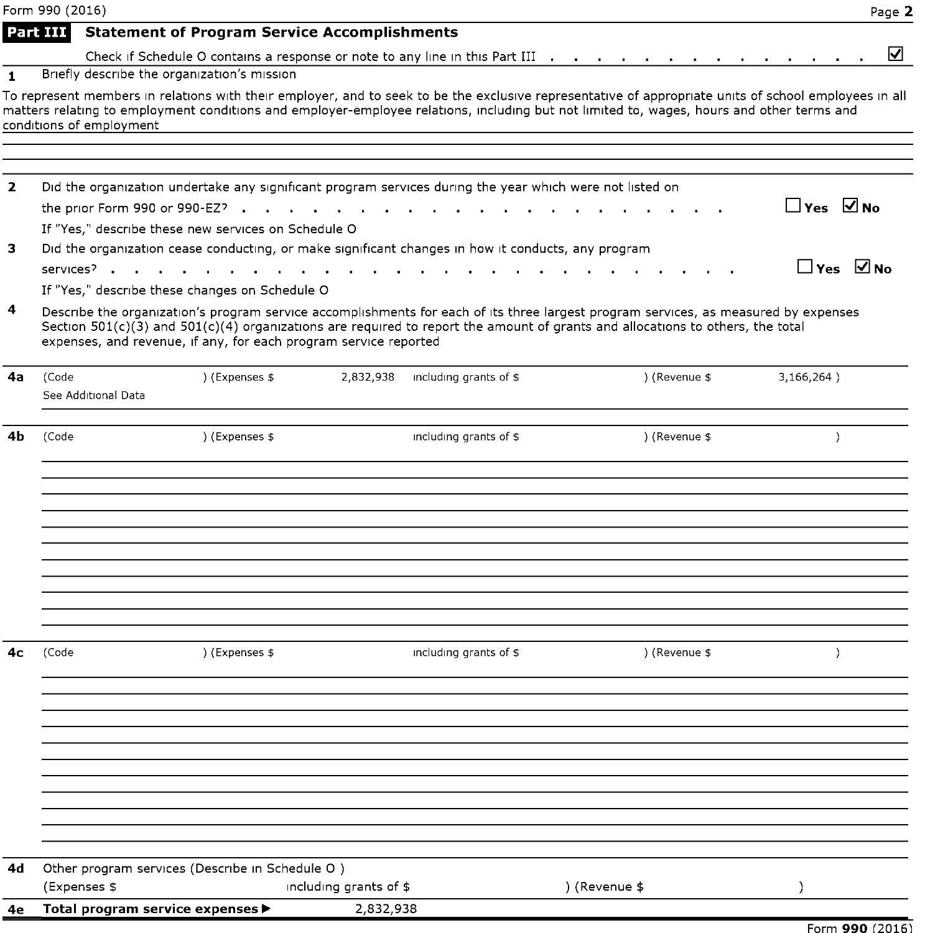|                | Form 990 (2016)          |                                                                                                          |                        |                        |                                                                                                                                                                                                                                                                                                    | Page 2               |
|----------------|--------------------------|----------------------------------------------------------------------------------------------------------|------------------------|------------------------|----------------------------------------------------------------------------------------------------------------------------------------------------------------------------------------------------------------------------------------------------------------------------------------------------|----------------------|
|                | Part III                 | <b>Statement of Program Service Accomplishments</b>                                                      |                        |                        |                                                                                                                                                                                                                                                                                                    |                      |
|                |                          |                                                                                                          |                        |                        | Check if Schedule O contains a response or note to any line in this Part III                                                                                                                                                                                                                       | ⊻                    |
| $\mathbf{1}$   |                          | Briefly describe the organization's mission                                                              |                        |                        |                                                                                                                                                                                                                                                                                                    |                      |
|                | conditions of employment |                                                                                                          |                        |                        | To represent members in relations with their employer, and to seek to be the exclusive representative of appropriate units of school employees in all<br>matters relating to employment conditions and employer-employee relations, including but not limited to, wages, hours and other terms and |                      |
| $\overline{2}$ |                          | Did the organization undertake any significant program services during the year which were not listed on |                        |                        |                                                                                                                                                                                                                                                                                                    |                      |
|                |                          |                                                                                                          |                        |                        |                                                                                                                                                                                                                                                                                                    | $\Box$ Yes $\Box$ No |
|                |                          | If "Yes," describe these new services on Schedule O                                                      |                        |                        |                                                                                                                                                                                                                                                                                                    |                      |
| 3              |                          | Did the organization cease conducting, or make significant changes in how it conducts, any program       |                        |                        |                                                                                                                                                                                                                                                                                                    |                      |
|                |                          | services <sup>2</sup><br>If "Yes," describe these changes on Schedule O                                  |                        |                        |                                                                                                                                                                                                                                                                                                    | $\Box$ Yes $\Box$ No |
| 4              |                          | expenses, and revenue, if any, for each program service reported                                         |                        |                        | Describe the organization's program service accomplishments for each of its three largest program services, as measured by expenses<br>Section $501(c)(3)$ and $501(c)(4)$ organizations are required to report the amount of grants and allocations to others, the total                          |                      |
| 4a             | (Code                    | ) (Expenses \$                                                                                           | 2,832,938              | including grants of \$ | ) (Revenue \$                                                                                                                                                                                                                                                                                      | 3,166,264)           |
|                | See Additional Data      |                                                                                                          |                        |                        |                                                                                                                                                                                                                                                                                                    |                      |
|                |                          |                                                                                                          |                        |                        |                                                                                                                                                                                                                                                                                                    |                      |
| 4b             | (Code                    | ) (Expenses \$                                                                                           |                        | including grants of \$ | ) (Revenue \$                                                                                                                                                                                                                                                                                      | $\mathcal{L}$        |
|                |                          |                                                                                                          |                        |                        |                                                                                                                                                                                                                                                                                                    |                      |
|                |                          |                                                                                                          |                        |                        |                                                                                                                                                                                                                                                                                                    |                      |
|                |                          |                                                                                                          |                        |                        |                                                                                                                                                                                                                                                                                                    |                      |
|                |                          |                                                                                                          |                        |                        |                                                                                                                                                                                                                                                                                                    |                      |
|                |                          |                                                                                                          |                        |                        |                                                                                                                                                                                                                                                                                                    |                      |
| 4с             | (Code                    | ) (Expenses \$                                                                                           |                        | including grants of \$ | ) (Revenue \$                                                                                                                                                                                                                                                                                      | $\lambda$            |
|                |                          |                                                                                                          |                        |                        |                                                                                                                                                                                                                                                                                                    |                      |
|                |                          |                                                                                                          |                        |                        |                                                                                                                                                                                                                                                                                                    |                      |
|                |                          |                                                                                                          |                        |                        |                                                                                                                                                                                                                                                                                                    |                      |
|                |                          |                                                                                                          |                        |                        |                                                                                                                                                                                                                                                                                                    |                      |
| 4d             |                          | Other program services (Describe in Schedule O)                                                          |                        |                        |                                                                                                                                                                                                                                                                                                    |                      |
|                | (Expenses \$             |                                                                                                          | including grants of \$ |                        | ) (Revenue \$                                                                                                                                                                                                                                                                                      |                      |
| 4e             |                          | Total program service expenses ▶                                                                         | 2,832,938              |                        |                                                                                                                                                                                                                                                                                                    |                      |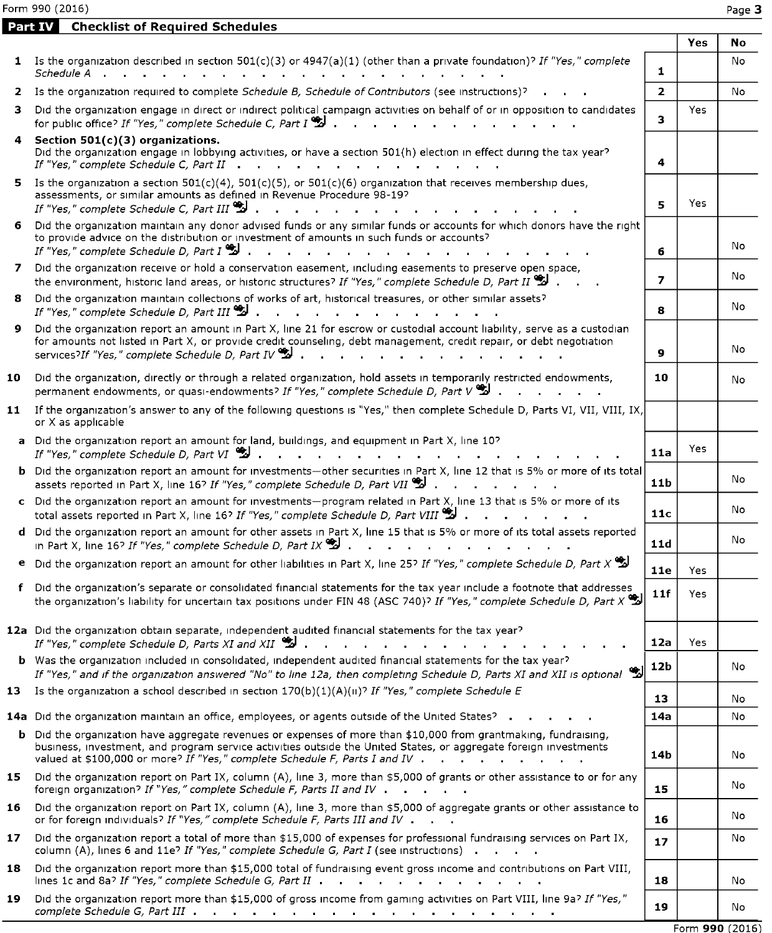Form 990 (2016) Page 3

| <b>Part IV</b> | <b>Checklist of Required Schedules</b>                                                                                                                                                                                                                                                                                                                  |                 |            |                 |
|----------------|---------------------------------------------------------------------------------------------------------------------------------------------------------------------------------------------------------------------------------------------------------------------------------------------------------------------------------------------------------|-----------------|------------|-----------------|
|                |                                                                                                                                                                                                                                                                                                                                                         |                 | Yes        | No              |
|                | 1 Is the organization described in section $501(c)(3)$ or $4947(a)(1)$ (other than a private foundation)? If "Yes," complete<br>Schedule A                                                                                                                                                                                                              | 1.              |            | No              |
| 2              | Is the organization required to complete Schedule B, Schedule of Contributors (see instructions)?                                                                                                                                                                                                                                                       | $\overline{2}$  |            | No              |
| з              | Did the organization engage in direct or indirect political campaign activities on behalf of or in opposition to candidates<br>for public office? If "Yes," complete Schedule C, Part I $\bullet$ .                                                                                                                                                     | 3               | <b>Yes</b> |                 |
|                | 4 Section 501(c)(3) organizations.<br>Did the organization engage in lobbying activities, or have a section 501(h) election in effect during the tax year?<br>If "Yes," complete Schedule C, Part II $\cdots$ , $\cdots$ , $\cdots$ , $\cdots$ , $\cdots$                                                                                               | 4               |            |                 |
| 5.             | Is the organization a section $501(c)(4)$ , $501(c)(5)$ , or $501(c)(6)$ organization that receives membership dues,<br>assessments, or similar amounts as defined in Revenue Procedure 98-19?<br>If "Yes," complete Schedule C, Part III                                                                                                               | 5.              | Yes        |                 |
| 6.             | Did the organization maintain any donor advised funds or any similar funds or accounts for which donors have the right<br>to provide advice on the distribution or investment of amounts in such funds or accounts?<br>If "Yes," complete Schedule D, Part $I^{\bullet}$ .<br>the company of the company of the company of                              | 6               |            | No              |
| 7              | Did the organization receive or hold a conservation easement, including easements to preserve open space,<br>the environment, historic land areas, or historic structures? If "Yes," complete Schedule D, Part II $\bullet$ .                                                                                                                           | 7               |            | No              |
| 8              | Did the organization maintain collections of works of art, historical treasures, or other similar assets?<br>If "Yes," complete Schedule D, Part III $\mathbf{\mathcal{L}}$ .                                                                                                                                                                           | 8               |            | No              |
| 9              | Did the organization report an amount in Part X, line 21 for escrow or custodial account liability, serve as a custodian<br>for amounts not listed in Part X, or provide credit counseling, debt management, credit repair, or debt negotiation<br>services?If "Yes," complete Schedule D, Part IV                                                      | 9               |            | No              |
| 10             | Did the organization, directly or through a related organization, hold assets in temporarily restricted endowments,<br>permanent endowments, or quasi-endowments? If "Yes," complete Schedule D, Part V $\bullet$ .                                                                                                                                     | 10              |            | No              |
|                | 11 If the organization's answer to any of the following questions is "Yes," then complete Schedule D, Parts VI, VII, VIII, IX,<br>or X as applicable                                                                                                                                                                                                    |                 |            |                 |
|                | a Did the organization report an amount for land, buildings, and equipment in Part X, line 10?<br>If "Yes," complete Schedule D, Part VI $\ddot{\ddot{\mathbf{Z}}}$                                                                                                                                                                                     | 11a             | Yes        |                 |
|                | <b>b</b> Did the organization report an amount for investments-other securities in Part X, line 12 that is 5% or more of its total<br>assets reported in Part X, line 16? If "Yes," complete Schedule D, Part VII $\mathcal{Z}$                                                                                                                         | 11 <sub>b</sub> |            | No              |
|                | c Did the organization report an amount for investments-program related in Part X, line 13 that is 5% or more of its<br>total assets reported in Part X, line 16? If "Yes," complete Schedule D, Part VIII 2 .                                                                                                                                          | 11c             |            | No              |
|                | d Did the organization report an amount for other assets in Part X, line 15 that is 5% or more of its total assets reported<br>in Part X, line 16? If "Yes," complete Schedule D, Part IX $\bullet$ .<br>the contract of the contract of the contract of the contract of the contract of the contract of the contract of                                | 11d             |            | No              |
|                | <b>e</b> Did the organization report an amount for other liabilities in Part X, line 25? If "Yes," complete Schedule D, Part X                                                                                                                                                                                                                          | 11e             | Yes        |                 |
|                | f Did the organization's separate or consolidated financial statements for the tax year include a footnote that addresses<br>the organization's liability for uncertain tax positions under FIN 48 (ASC 740)? If "Yes," complete Schedule D, Part X                                                                                                     | 11f             | Yes        |                 |
|                | 12a Did the organization obtain separate, independent audited financial statements for the tax year?<br>If "Yes," complete Schedule D, Parts XI and XII $\ddot{\ddot{\mathbf{u}}}$                                                                                                                                                                      | 12a             | Yes        |                 |
|                | b Was the organization included in consolidated, independent audited financial statements for the tax year?<br>If "Yes," and if the organization answered "No" to line 12a, then completing Schedule D, Parts XI and XII is optional $\ddot{\ddot{\Sigma}}$                                                                                             | 12b             |            | No              |
|                | 13 Is the organization a school described in section $170(b)(1)(A)(n)^5$ If "Yes," complete Schedule E                                                                                                                                                                                                                                                  | 13              |            | No              |
|                | 14a Did the organization maintain an office, employees, or agents outside of the United States?                                                                                                                                                                                                                                                         | 14a             |            | No              |
|                | b Did the organization have aggregate revenues or expenses of more than \$10,000 from grantmaking, fundraising,<br>business, investment, and program service activities outside the United States, or aggregate foreign investments<br>valued at \$100,000 or more? If "Yes," complete Schedule F, Parts I and IV .<br>and a straightful control of the | 14b             |            | No              |
| 15             | Did the organization report on Part IX, column (A), line 3, more than \$5,000 of grants or other assistance to or for any<br>foreign organization? If "Yes," complete Schedule F, Parts II and IV                                                                                                                                                       | 15              |            | No              |
| 16             | Did the organization report on Part IX, column (A), line 3, more than \$5,000 of aggregate grants or other assistance to<br>or for foreign individuals? If "Yes," complete Schedule F, Parts III and IV                                                                                                                                                 | 16              |            | No              |
| 17             | Did the organization report a total of more than \$15,000 of expenses for professional fundraising services on Part IX,<br>column (A), lines 6 and 11e? If "Yes," complete Schedule G, Part I (see instructions)                                                                                                                                        | 17              |            | No              |
| 18             | Did the organization report more than \$15,000 total of fundraising event gross income and contributions on Part VIII,<br>lines 1c and 8a? If "Yes," complete Schedule G, Part II                                                                                                                                                                       | 18              |            | No              |
| 19             | Did the organization report more than \$15,000 of gross income from gaming activities on Part VIII, line 9a? If "Yes,"<br>complete Schedule G, Part III and a complete Schedule G, Part III and a complete schedule G, Part III                                                                                                                         | 19              |            | No              |
|                |                                                                                                                                                                                                                                                                                                                                                         |                 |            | Form 990 (2016) |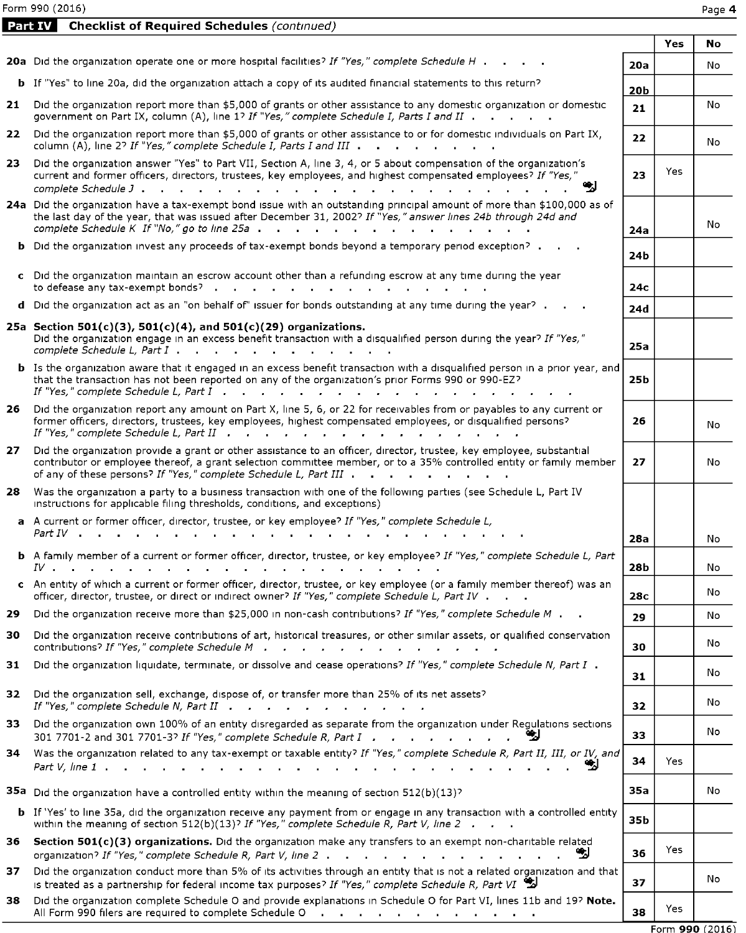Form 990 (2016) Page 4

Part IV Checklist of Required Schedules (continued)

|     |                                                                                                                                                                                                                                                                                                                                              |            | Yes | <b>No</b>       |
|-----|----------------------------------------------------------------------------------------------------------------------------------------------------------------------------------------------------------------------------------------------------------------------------------------------------------------------------------------------|------------|-----|-----------------|
|     | 20a Did the organization operate one or more hospital facilities? If "Yes," complete Schedule H                                                                                                                                                                                                                                              | 20a        |     | No              |
|     | <b>b</b> If "Yes" to line 20a, did the organization attach a copy of its audited financial statements to this return?                                                                                                                                                                                                                        | 20b        |     |                 |
|     | 21 Did the organization report more than \$5,000 of grants or other assistance to any domestic organization or domestic<br>government on Part IX, column (A), line 1? If "Yes," complete Schedule I, Parts I and II                                                                                                                          | 21         |     | No              |
|     | 22 Did the organization report more than \$5,000 of grants or other assistance to or for domestic individuals on Part IX,<br>column (A), line 2? If "Yes," complete Schedule I, Parts I and III                                                                                                                                              | 22         |     | No              |
| 23. | Did the organization answer "Yes" to Part VII, Section A, line 3, 4, or 5 about compensation of the organization's<br>current and former officers, directors, trustees, key employees, and highest compensated employees? If "Yes,'                                                                                                          | 23         | Yes |                 |
|     | 24a Did the organization have a tax-exempt bond issue with an outstanding principal amount of more than \$100,000 as of<br>the last day of the year, that was issued after December 31, 2002? If "Yes," answer lines 24b through 24d and<br>complete Schedule K If "No," go to line 25a $\ldots$ , $\ldots$ , $\ldots$ , $\ldots$ , $\ldots$ | 24a        |     | No              |
|     | <b>b</b> Did the organization invest any proceeds of tax-exempt bonds beyond a temporary period exception?                                                                                                                                                                                                                                   | 24b        |     |                 |
|     | c Did the organization maintain an escrow account other than a refunding escrow at any time during the year<br>to defease any tax-exempt bonds?                                                                                                                                                                                              | 24с        |     |                 |
|     | d Did the organization act as an "on behalf of" issuer for bonds outstanding at any time during the year?                                                                                                                                                                                                                                    | 24d        |     |                 |
|     | 25a Section 501(c)(3), 501(c)(4), and 501(c)(29) organizations.<br>Did the organization engage in an excess benefit transaction with a disqualified person during the year? If "Yes,"<br>complete Schedule L, Part I                                                                                                                         | 25a        |     |                 |
|     | <b>b</b> Is the organization aware that it engaged in an excess benefit transaction with a disqualified person in a prior year, and<br>that the transaction has not been reported on any of the organization's prior Forms 990 or 990-EZ?                                                                                                    | 25b        |     |                 |
|     | 26 Did the organization report any amount on Part X, line 5, 6, or 22 for receivables from or payables to any current or<br>former officers, directors, trustees, key employees, highest compensated employees, or disqualified persons?                                                                                                     | 26         |     | No              |
|     | 27 Did the organization provide a grant or other assistance to an officer, director, trustee, key employee, substantial<br>contributor or employee thereof, a grant selection committee member, or to a 35% controlled entity or family member<br>of any of these persons? If "Yes," complete Schedule L, Part III                           | 27         |     | No              |
| 28  | Was the organization a party to a business transaction with one of the following parties (see Schedule L, Part IV<br>instructions for applicable filing thresholds, conditions, and exceptions)                                                                                                                                              |            |     |                 |
|     | a A current or former officer, director, trustee, or key employee? If "Yes," complete Schedule L,<br>Part IV .                                                                                                                                                                                                                               | 28a        |     | No              |
|     | <b>b</b> A family member of a current or former officer, director, trustee, or key employee? If "Yes," complete Schedule L, Part                                                                                                                                                                                                             |            |     |                 |
|     | IV.                                                                                                                                                                                                                                                                                                                                          | <b>28b</b> |     | No              |
|     | c An entity of which a current or former officer, director, trustee, or key employee (or a family member thereof) was an<br>officer, director, trustee, or direct or indirect owner? If "Yes," complete Schedule L, Part IV                                                                                                                  | 28c        |     | No              |
| 29  | Did the organization receive more than \$25,000 in non-cash contributions? If "Yes," complete Schedule M                                                                                                                                                                                                                                     | 29         |     | No              |
| 30  | Did the organization receive contributions of art, historical treasures, or other similar assets, or qualified conservation<br>contributions? If "Yes," complete Schedule M                                                                                                                                                                  | 30         |     | No              |
| 31  | Did the organization liquidate, terminate, or dissolve and cease operations? If "Yes," complete Schedule N, Part I.                                                                                                                                                                                                                          | 31         |     | No              |
| 32  | Did the organization sell, exchange, dispose of, or transfer more than 25% of its net assets?<br>If "Yes," complete Schedule N, Part II                                                                                                                                                                                                      | 32         |     | No              |
| 33. | Did the organization own 100% of an entity disregarded as separate from the organization under Regulations sections                                                                                                                                                                                                                          | 33         |     | No              |
| 34  | Was the organization related to any tax-exempt or taxable entity? If "Yes," complete Schedule R, Part II, III, or IV, and<br>₩                                                                                                                                                                                                               | 34         | Yes |                 |
|     | 35a Did the organization have a controlled entity within the meaning of section $512(b)(13)^5$                                                                                                                                                                                                                                               | 35a        |     | No              |
|     | <b>b</b> If 'Yes' to line 35a, did the organization receive any payment from or engage in any transaction with a controlled entity<br>within the meaning of section 512(b)(13)? If "Yes," complete Schedule R, Part V, line 2 $\ldots$                                                                                                       | 35b        |     |                 |
| 36  | Section 501(c)(3) organizations. Did the organization make any transfers to an exempt non-charitable related<br>₩<br>organization? If "Yes," complete Schedule R, Part V, line 2                                                                                                                                                             | 36         | Yes |                 |
| 37  | Did the organization conduct more than 5% of its activities through an entity that is not a related organization and that<br>is treated as a partnership for federal income tax purposes? If "Yes," complete Schedule R, Part VI                                                                                                             | 37         |     | No              |
| 38  | Did the organization complete Schedule O and provide explanations in Schedule O for Part VI, lines 11b and 19? Note.<br>All Form 990 filers are required to complete Schedule O Alleman Alleman Alleman Alleman Alleman Alleman Alleman                                                                                                      | 38         | Yes |                 |
|     |                                                                                                                                                                                                                                                                                                                                              |            |     | Form 990 (2016) |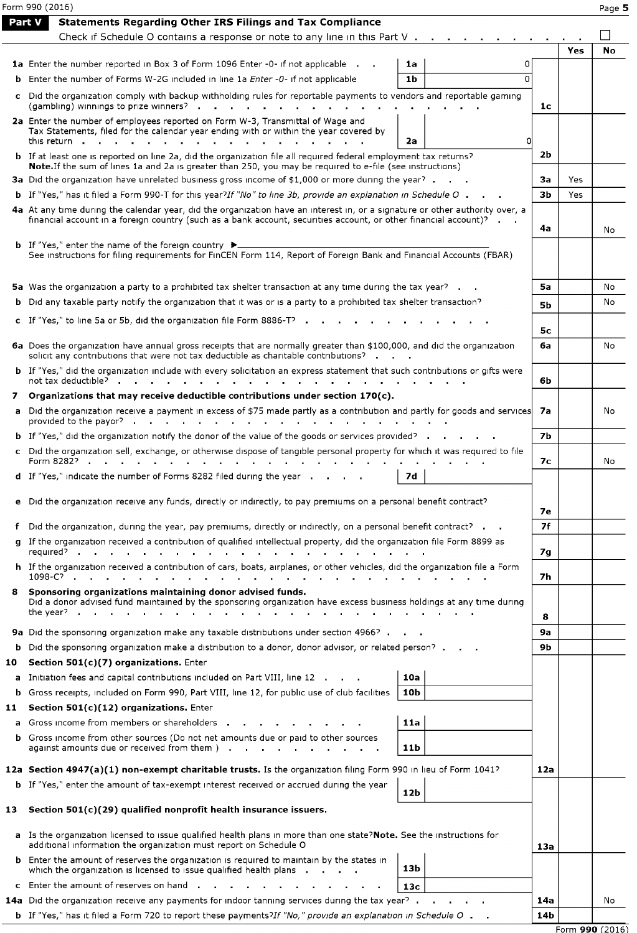|        | Form 990 (2016)                                                                                                                                                                                                                                  |           |     | Page 5    |
|--------|--------------------------------------------------------------------------------------------------------------------------------------------------------------------------------------------------------------------------------------------------|-----------|-----|-----------|
| Part V | <b>Statements Regarding Other IRS Filings and Tax Compliance</b>                                                                                                                                                                                 |           |     |           |
|        | Check if Schedule O contains a response or note to any line in this Part V $\cdot \cdot \cdot$                                                                                                                                                   |           |     |           |
|        |                                                                                                                                                                                                                                                  |           | Yes | <b>No</b> |
|        | <b>1a</b> Enter the number reported in Box 3 of Form 1096 Enter -0- if not applicable .<br>1a<br>0                                                                                                                                               |           |     |           |
|        | 1 <sub>b</sub><br><b>b</b> Enter the number of Forms W-2G included in line 1a <i>Enter -0-</i> if not applicable<br>$\Omega$                                                                                                                     |           |     |           |
|        | c Did the organization comply with backup withholding rules for reportable payments to vendors and reportable gaming                                                                                                                             | 1c        |     |           |
|        | 2a Enter the number of employees reported on Form W-3, Transmittal of Wage and<br>Tax Statements, filed for the calendar year ending with or within the year covered by                                                                          |           |     |           |
|        | this return<br>2a                                                                                                                                                                                                                                |           |     |           |
|        | <b>b</b> If at least one is reported on line 2a, did the organization file all required federal employment tax returns?<br>Note. If the sum of lines 1a and 2a is greater than 250, you may be required to e-file (see instructions)             | 2b        |     |           |
|        | 3a Did the organization have unrelated business gross income of \$1,000 or more during the year?                                                                                                                                                 | За        | Yes |           |
|        | b If "Yes," has it filed a Form 990-T for this year?If "No" to line 3b, provide an explanation in Schedule O.                                                                                                                                    | зь        | Yes |           |
|        | 4a At any time during the calendar year, did the organization have an interest in, or a signature or other authority over, a<br>financial account in a foreign country (such as a bank account, securities account, or other financial account)? | 4a        |     | No        |
|        |                                                                                                                                                                                                                                                  |           |     |           |
|        | <b>b</b> If "Yes," enter the name of the foreign country $\blacktriangleright$<br>See instructions for filing requirements for FinCEN Form 114, Report of Foreign Bank and Financial Accounts (FBAR)                                             |           |     |           |
|        | 5a Was the organization a party to a prohibited tax shelter transaction at any time during the tax year?                                                                                                                                         | 5a        |     | No        |
|        | <b>b</b> Did any taxable party notify the organization that it was or is a party to a prohibited tax shelter transaction?                                                                                                                        | <b>5b</b> |     | No        |
|        |                                                                                                                                                                                                                                                  |           |     |           |
|        | c If "Yes," to line 5a or 5b, did the organization file Form 8886-T?                                                                                                                                                                             | 5с        |     |           |
|        | 6a Does the organization have annual gross receipts that are normally greater than \$100,000, and did the organization<br>solicit any contributions that were not tax deductible as charitable contributions?                                    | 6a        |     | No        |
|        | <b>b</b> If "Yes," did the organization include with every solicitation an express statement that such contributions or gifts were<br>not tax deductible? .                                                                                      | 6b        |     |           |
| 7      | Organizations that may receive deductible contributions under section 170(c).                                                                                                                                                                    |           |     |           |
|        | a Did the organization receive a payment in excess of \$75 made partly as a contribution and partly for goods and services<br>provided to the payor? $\cdots$                                                                                    | 7а        |     | No        |
|        | <b>b</b> If "Yes," did the organization notify the donor of the value of the goods or services provided?                                                                                                                                         | <b>7b</b> |     |           |
|        | c Did the organization sell, exchange, or otherwise dispose of tangible personal property for which it was required to file<br>Form 8282?<br>$\cdots$<br>$\sim$                                                                                  | 7с        |     | No        |
|        | 7d<br>d If "Yes," indicate the number of Forms 8282 filed during the year                                                                                                                                                                        |           |     |           |
|        | e Did the organization receive any funds, directly or indirectly, to pay premiums on a personal benefit contract?                                                                                                                                | 7е        |     |           |
|        | f Did the organization, during the year, pay premiums, directly or indirectly, on a personal benefit contract? $\blacksquare$                                                                                                                    | 7f        |     |           |
|        | g If the organization received a contribution of qualified intellectual property, did the organization file Form 8899 as<br>reguired?                                                                                                            | 7g        |     |           |
|        | h If the organization received a contribution of cars, boats, airplanes, or other vehicles, did the organization file a Form<br>1098-C?                                                                                                          | 7h        |     |           |
|        | 8 Sponsoring organizations maintaining donor advised funds.<br>Did a donor advised fund maintained by the sponsoring organization have excess business holdings at any time during<br>the year?                                                  | 8         |     |           |
|        | 9a Did the sponsoring organization make any taxable distributions under section 4966?                                                                                                                                                            | <b>9a</b> |     |           |
|        | <b>b</b> Did the sponsoring organization make a distribution to a donor, donor advisor, or related person? .                                                                                                                                     | 9b        |     |           |
| 10     | Section 501(c)(7) organizations. Enter                                                                                                                                                                                                           |           |     |           |
|        | a Initiation fees and capital contributions included on Part VIII, line 12<br>10a                                                                                                                                                                |           |     |           |
|        | <b>b</b> Gross receipts, included on Form 990, Part VIII, line 12, for public use of club facilities<br>10 <sub>b</sub>                                                                                                                          |           |     |           |
| 11     | Section 501(c)(12) organizations. Enter                                                                                                                                                                                                          |           |     |           |
|        | a Gross income from members or shareholders<br>11a                                                                                                                                                                                               |           |     |           |
|        | <b>b</b> Gross income from other sources (Do not net amounts due or paid to other sources<br>against amounts due or received from them ).<br>11b<br>$\mathbf{r}$ , $\mathbf{r}$ , $\mathbf{r}$ , $\mathbf{r}$ , $\mathbf{r}$                     |           |     |           |
|        | 12a Section 4947(a)(1) non-exempt charitable trusts. Is the organization filing Form 990 in lieu of Form 1041?                                                                                                                                   | 12a       |     |           |
|        | <b>b</b> If "Yes," enter the amount of tax-exempt interest received or accrued during the year<br>12b                                                                                                                                            |           |     |           |
| 13     | Section 501(c)(29) qualified nonprofit health insurance issuers.                                                                                                                                                                                 |           |     |           |
|        | a Is the organization licensed to issue qualified health plans in more than one state?Note. See the instructions for<br>additional information the organization must report on Schedule O                                                        | 13a       |     |           |
|        | <b>b</b> Enter the amount of reserves the organization is required to maintain by the states in<br>13b<br>which the organization is licensed to issue qualified health plans .                                                                   |           |     |           |
|        | c Enter the amount of reserves on hand.<br>13с                                                                                                                                                                                                   |           |     |           |
|        | 14a Did the organization receive any payments for indoor tanning services during the tax year?                                                                                                                                                   | 14a       |     | No        |
|        | <b>b</b> If "Yes," has it filed a Form 720 to report these payments?If "No," provide an explanation in Schedule O .                                                                                                                              | 14b       |     |           |
|        |                                                                                                                                                                                                                                                  |           |     |           |

Form 990 (2016)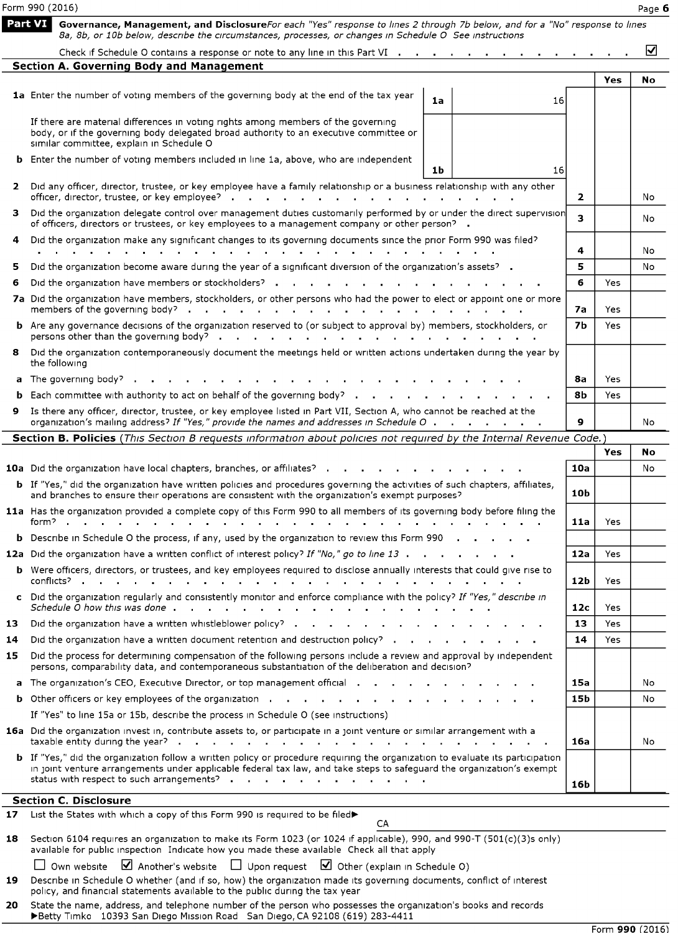|         | Form 990 (2016)                                                                                                                                                                                                                                                                                      |                 |      | Page 6 |
|---------|------------------------------------------------------------------------------------------------------------------------------------------------------------------------------------------------------------------------------------------------------------------------------------------------------|-----------------|------|--------|
| Part VI | Governance, Management, and DisclosureFor each "Yes" response to lines 2 through 7b below, and for a "No" response to lines<br>8a, 8b, or 10b below, describe the circumstances, processes, or changes in Schedule O See instructions                                                                |                 |      |        |
|         | Check if Schedule O contains a response or note to any line in this Part VI $\cdots$ , $\cdots$ , $\cdots$                                                                                                                                                                                           |                 |      | ☑      |
|         | <b>Section A. Governing Body and Management</b>                                                                                                                                                                                                                                                      |                 |      |        |
|         | 1a Enter the number of voting members of the governing body at the end of the tax year<br>1a<br>16                                                                                                                                                                                                   |                 | Yes  | No     |
|         | If there are material differences in voting rights among members of the governing<br>body, or if the governing body delegated broad authority to an executive committee or<br>similar committee, explain in Schedule O                                                                               |                 |      |        |
|         | <b>b</b> Enter the number of voting members included in line 1a, above, who are independent<br>1 <sub>b</sub><br>16                                                                                                                                                                                  |                 |      |        |
| 2       | Did any officer, director, trustee, or key employee have a family relationship or a business relationship with any other<br>officer, director, trustee, or key employee?                                                                                                                             | $\mathbf{2}$    |      | No     |
|         | Did the organization delegate control over management duties customarily performed by or under the direct supervision<br>of officers, directors or trustees, or key employees to a management company or other person? .                                                                             | 3.              |      | No     |
| 4       | Did the organization make any significant changes to its governing documents since the prior Form 990 was filed?                                                                                                                                                                                     | 4               |      | No     |
| 5       | Did the organization become aware during the year of a significant diversion of the organization's assets? .                                                                                                                                                                                         | 5               |      | No     |
| 6       | Did the organization have members or stockholders? .                                                                                                                                                                                                                                                 | 6               | Yes  |        |
|         | 7a Did the organization have members, stockholders, or other persons who had the power to elect or appoint one or more                                                                                                                                                                               |                 |      |        |
|         | members of the governing body?                                                                                                                                                                                                                                                                       | 7а              | Yes  |        |
|         | <b>b</b> Are any governance decisions of the organization reserved to (or subject to approval by) members, stockholders, or                                                                                                                                                                          | <b>7b</b>       | Yes  |        |
| 8       | Did the organization contemporaneously document the meetings held or written actions undertaken during the year by<br>the following                                                                                                                                                                  |                 |      |        |
|         | a The governing body?                                                                                                                                                                                                                                                                                | 8а              | Yes  |        |
|         | <b>b</b> Each committee with authority to act on behalf of the governing body? $\cdot \cdot \cdot \cdot$ $\cdot \cdot \cdot$                                                                                                                                                                         | 8Ь              | Yes  |        |
| 9       | Is there any officer, director, trustee, or key employee listed in Part VII, Section A, who cannot be reached at the<br>organization's mailing address? If "Yes," provide the names and addresses in Schedule O                                                                                      | 9               |      | No     |
|         | Section B. Policies (This Section B requests information about policies not required by the Internal Revenue Code.)                                                                                                                                                                                  |                 |      |        |
|         |                                                                                                                                                                                                                                                                                                      |                 | Yes  | No     |
|         | <b>10a</b> Did the organization have local chapters, branches, or affiliates?                                                                                                                                                                                                                        | 10a             |      | No     |
|         | <b>b</b> If "Yes," did the organization have written policies and procedures governing the activities of such chapters, affiliates,<br>and branches to ensure their operations are consistent with the organization's exempt purposes?                                                               | 10b             |      |        |
|         | 11a Has the organization provided a complete copy of this Form 990 to all members of its governing body before filing the<br>form?                                                                                                                                                                   | 11a             | Yes. |        |
|         | <b>b</b> Describe in Schedule O the process, if any, used by the organization to review this Form 990                                                                                                                                                                                                |                 |      |        |
|         | 12a Did the organization have a written conflict of interest policy? If "No," go to line 13                                                                                                                                                                                                          | 12a             | Yes  |        |
|         | <b>b</b> Were officers, directors, or trustees, and key emplovees required to disclose annually interests that could give rise to<br>conflicts?.                                                                                                                                                     | 12b             | Yes  |        |
|         | c Did the organization regularly and consistently monitor and enforce compliance with the policy? If "Yes," describe in                                                                                                                                                                              | 12c             | Yes  |        |
| 13.     | Did the organization have a written whistleblower policy?                                                                                                                                                                                                                                            | 13              | Yes. |        |
| 14      | Did the organization have a written document retention and destruction policy? $\cdots$ $\cdots$ $\cdots$                                                                                                                                                                                            | 14              | Yes. |        |
| 15.     | Did the process for determining compensation of the following persons include a review and approval by independent<br>persons, comparability data, and contemporaneous substantiation of the deliberation and decision?                                                                              |                 |      |        |
|         | a The organization's CEO, Executive Director, or top management official and an analyzed and an analyzed and the organization's CEO, Executive Director, or top management official                                                                                                                  | 15a             |      | No     |
|         | <b>b</b> Other officers or key employees of the organization                                                                                                                                                                                                                                         | 15b             |      | No     |
|         | If "Yes" to line 15a or 15b, describe the process in Schedule O (see instructions)                                                                                                                                                                                                                   |                 |      |        |
|         | 16a Did the organization invest in, contribute assets to, or participate in a joint venture or similar arrangement with a<br><b>Contract Contract</b>                                                                                                                                                | 16a             |      | No     |
|         | b If "Yes," did the organization follow a written policy or procedure requiring the organization to evaluate its participation<br>in joint venture arrangements under applicable federal tax law, and take steps to safeguard the organization's exempt<br>status with respect to such arrangements? | 16 <sub>b</sub> |      |        |
|         | <b>Section C. Disclosure</b>                                                                                                                                                                                                                                                                         |                 |      |        |
| 17      | List the States with which a copy of this Form 990 is required to be filed><br>CA                                                                                                                                                                                                                    |                 |      |        |
| 18      | Section 6104 requires an organization to make its Form 1023 (or 1024 if applicable), 990, and 990-T (501(c)(3)s only)<br>available for public inspection Indicate how you made these available Check all that apply                                                                                  |                 |      |        |
|         | Own website $\Box$ Another's website $\Box$ Upon request $\Box$ Other (explain in Schedule O)                                                                                                                                                                                                        |                 |      |        |
| 19      | Describe in Schedule O whether (and if so, how) the organization made its governing documents, conflict of interest<br>policy, and financial statements available to the public during the tax year                                                                                                  |                 |      |        |

**20** State the name, address, and telephone number of the person who possesses the organization's books and records Timko 10393 San Diego Mission Road San Diego, CA 92108 (619) 283-4411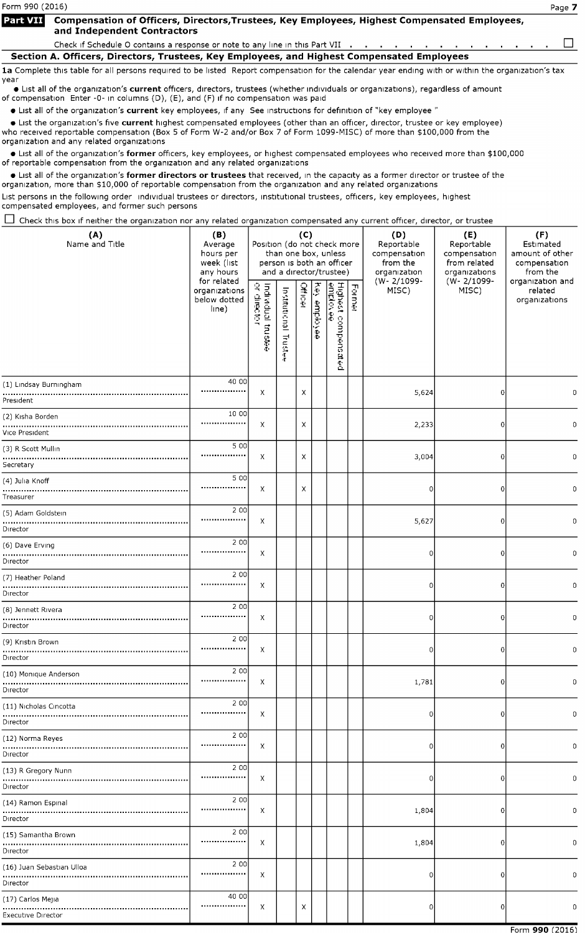# Form 990 (2016) Page 7

#### Compensation of Officers, Directors, Trustees, Key Employees, Highest Compensated Employees, **Part VII** and Independent Contractors

Check if Schedule O contains a response or note to any line in this Part VII  $\ldots$ , . . . . . . . . . . . . .  $\Box$ 

Section A. Officers, Directors, Trustees, Key Employees, and Highest Compensated Employees

1a Complete this table for all persons required to be listed Report compensation for the calendar year ending with or within the organization's tax year

· List all of the organization's current officers, directors, trustees (whether individuals or organizations), regardless of amount of compensation Enter -0- in columns (D), (E), and (F) if no compensation was paid

• List all of the organization's current key employees, if any See instructions for definition of "key employee"

• List the organization's five current highest compensated employees (other than an officer, director, trustee or key employee) who received reportable compensation (Box <sup>5</sup> of Form W-2 and/or Box <sup>7</sup> of Form 1099-MISC) of more than \$100,000 from the organization and any related organizations

• List all of the organization's former officers, key employees, or highest compensated employees who received more than \$100,000 of reportable compensation from the organization and any related organizations

• List all of the organization 's former directors or trustees that received, in the capacity as <sup>a</sup> former director or trustee of the organization, more than \$10,000 of reportable compensation from the organization and any related organizations

List persons in the following order individual trustees or directors, institutional trustees, officers, key employees, highest compensated employees, and former such persons

 $\Box$  Check this box if neither the organization nor any related organization compensated any current officer, director, or trustee

| (A)<br>Name and Title                          | (B)<br>Average<br>hours per<br>week (list<br>any hours<br>for related<br>organizations<br>below dotted<br>line) | Position (do not check more<br>Individual trustee<br>or director | Institutional<br>Truster<br>Æ | (C)<br><b>Officer</b> | ey employee | than one box, unless<br>person is both an officer<br>and a director/trustee)<br>Highest compensated<br><u>emplovee</u><br>Highest | Former | (D)<br>Reportable<br>compensation<br>from the<br>organization<br>(W-2/1099-<br>MISC) | (E)<br>Reportable<br>compensation<br>from related<br>organizations<br>(W-2/1099-<br>MISC) | (F)<br>Estimated<br>amount of other<br>compensation<br>from the<br>organization and<br>related<br>organizations |
|------------------------------------------------|-----------------------------------------------------------------------------------------------------------------|------------------------------------------------------------------|-------------------------------|-----------------------|-------------|-----------------------------------------------------------------------------------------------------------------------------------|--------|--------------------------------------------------------------------------------------|-------------------------------------------------------------------------------------------|-----------------------------------------------------------------------------------------------------------------|
| (1) Lindsay Burningham<br>President            | 40 00<br>                                                                                                       | Х                                                                |                               | Χ                     |             |                                                                                                                                   |        | 5,624                                                                                | 0                                                                                         | 0                                                                                                               |
| (2) Kisha Borden<br>Vice President             | 10 00<br>                                                                                                       | Х                                                                |                               | Х                     |             |                                                                                                                                   |        | 2,233                                                                                | 0                                                                                         | 0                                                                                                               |
| (3) R Scott Mullin<br>Secretary                | 5 0 0<br>                                                                                                       | Χ                                                                |                               | Х                     |             |                                                                                                                                   |        | 3,004                                                                                | 0                                                                                         | 0                                                                                                               |
| (4) Julia Knoff<br>Treasurer                   | 5 0 0<br>                                                                                                       | X                                                                |                               | Χ                     |             |                                                                                                                                   |        | 0                                                                                    | 0                                                                                         | 0                                                                                                               |
| (5) Adam Goldstein<br>Director                 | 2 0 0<br>,,,,,,,,,,,,,,,,,                                                                                      | Х                                                                |                               |                       |             |                                                                                                                                   |        | 5,627                                                                                | 0                                                                                         | 0                                                                                                               |
| (6) Dave Erving<br>Director                    | 2 0 0<br>                                                                                                       | Х                                                                |                               |                       |             |                                                                                                                                   |        | 0                                                                                    | O                                                                                         | $\mathbf 0$                                                                                                     |
| (7) Heather Poland<br>Director                 | 2 0 0<br>                                                                                                       | Х                                                                |                               |                       |             |                                                                                                                                   |        | 0                                                                                    | 0                                                                                         | $\mathbf 0$                                                                                                     |
| (8) Jennett Rivera<br>Director                 | 2 0 0<br>,,,,,,,,,,,,,,,,                                                                                       | Χ                                                                |                               |                       |             |                                                                                                                                   |        | 0                                                                                    | 0                                                                                         | $\mathbf 0$                                                                                                     |
| (9) Kristin Brown<br><br>Director              | 2 0 0<br>                                                                                                       | Х                                                                |                               |                       |             |                                                                                                                                   |        | 0                                                                                    | 0                                                                                         | $\mathbf 0$                                                                                                     |
| (10) Monique Anderson<br>Director              | 2 0 0<br>.                                                                                                      | Х                                                                |                               |                       |             |                                                                                                                                   |        | 1,781                                                                                | 0                                                                                         | $\mathbf 0$                                                                                                     |
| (11) Nicholas Cincotta<br>Director             | 2 0 0<br>                                                                                                       | Х                                                                |                               |                       |             |                                                                                                                                   |        | 0                                                                                    | $\overline{0}$                                                                            | $\mathbf 0$                                                                                                     |
| (12) Norma Reyes<br>Director                   | 2 0 0<br>                                                                                                       | Х                                                                |                               |                       |             |                                                                                                                                   |        | 0                                                                                    | 0                                                                                         | 0                                                                                                               |
| (13) R Gregory Nunn<br>Director                | 2 0 0<br>                                                                                                       | Х                                                                |                               |                       |             |                                                                                                                                   |        | 0                                                                                    | 0                                                                                         | 0                                                                                                               |
| (14) Ramon Espinal                             | 2 0 0<br>                                                                                                       | Х                                                                |                               |                       |             |                                                                                                                                   |        | 1,804                                                                                | 0                                                                                         | 0                                                                                                               |
| Director                                       | 2 0 0                                                                                                           |                                                                  |                               |                       |             |                                                                                                                                   |        |                                                                                      |                                                                                           |                                                                                                                 |
| (15) Samantha Brown<br>Director                |                                                                                                                 | Χ                                                                |                               |                       |             |                                                                                                                                   |        | 1,804                                                                                | 0                                                                                         | $\mathbf 0$                                                                                                     |
| (16) Juan Sebastian Ulloa<br>Director          | 2 0 0<br>                                                                                                       | Х                                                                |                               |                       |             |                                                                                                                                   |        | 0                                                                                    | 0                                                                                         | 0                                                                                                               |
| (17) Carlos Mejia<br><b>Executive Director</b> | 40 00<br>.                                                                                                      | Х                                                                |                               | Х                     |             |                                                                                                                                   |        | 0                                                                                    | 0                                                                                         | 0                                                                                                               |
|                                                |                                                                                                                 |                                                                  |                               |                       |             |                                                                                                                                   |        |                                                                                      |                                                                                           | $Form$ 000 (2016)                                                                                               |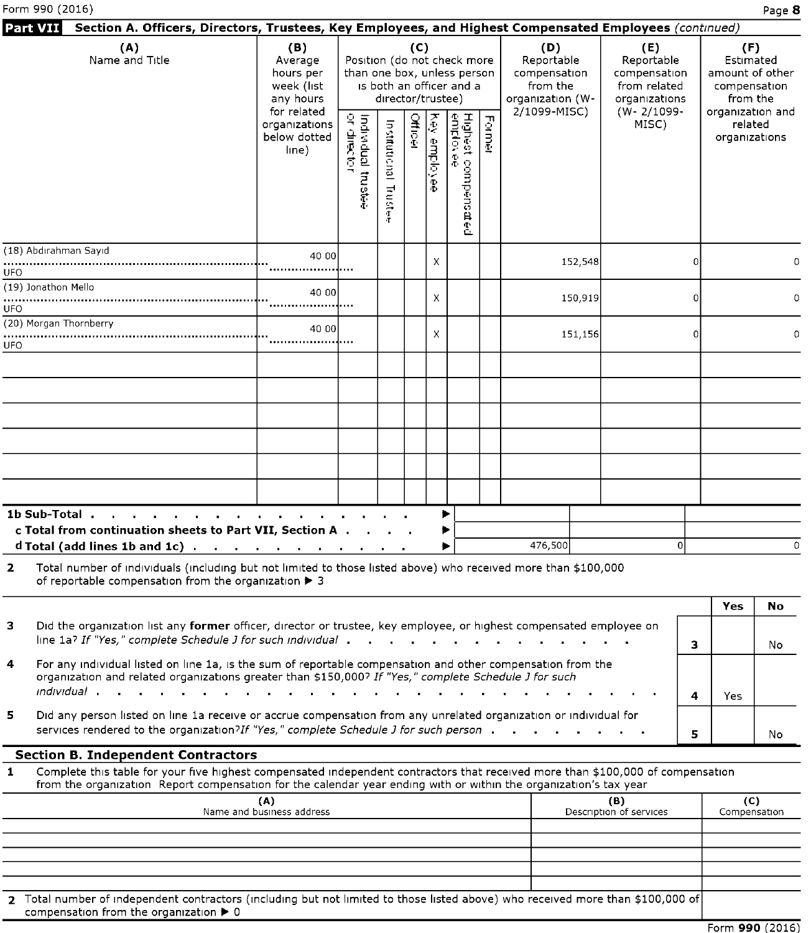|              | Section A. Officers, Directors, Trustees, Key Employees, and Highest Compensated Employees (continued)<br>Part VII                                                                                                                                   |                                                        |                                                                                                                                                                                         |                       |         |                     |                                                                    |        |                                                                 |                                |          |                                              |           |
|--------------|------------------------------------------------------------------------------------------------------------------------------------------------------------------------------------------------------------------------------------------------------|--------------------------------------------------------|-----------------------------------------------------------------------------------------------------------------------------------------------------------------------------------------|-----------------------|---------|---------------------|--------------------------------------------------------------------|--------|-----------------------------------------------------------------|--------------------------------|----------|----------------------------------------------|-----------|
|              | (A)<br>Name and Title                                                                                                                                                                                                                                | (B)<br>Average<br>hours per<br>week (list<br>any hours | (C)<br>(D)<br>Position (do not check more<br>Reportable<br>than one box, unless person<br>compensation<br>is both an officer and a<br>from the<br>director/trustee)<br>organization (W- |                       |         |                     | (E)<br>Reportable<br>compensation<br>from related<br>organizations |        | (F)<br>Estimated<br>amount of other<br>compensation<br>from the |                                |          |                                              |           |
|              |                                                                                                                                                                                                                                                      | for related<br>organizations<br>below dotted<br>line)  | Individual trustee<br>or director                                                                                                                                                       | Institutional Trustee | Officer | <b>Xex employee</b> | Highest compens<br>emplovee<br>$\ddot{H}$<br>Ê                     | Former | 2/1099-MISC)                                                    | (W-2/1099-<br>MISC)            |          | organization and<br>related<br>organizations |           |
|              | (18) Abdırahman Sayıd                                                                                                                                                                                                                                | 40 00                                                  |                                                                                                                                                                                         |                       |         | Х                   |                                                                    |        | 152,548                                                         |                                | $\Omega$ |                                              | 0         |
| UFO<br>UFO   | (19) Jonathon Mello                                                                                                                                                                                                                                  |                                                        |                                                                                                                                                                                         |                       |         | Х                   |                                                                    |        | 150,919                                                         |                                | $\Omega$ |                                              | 0         |
| UFO          | (20) Morgan Thornberry                                                                                                                                                                                                                               |                                                        |                                                                                                                                                                                         |                       |         | X                   |                                                                    |        | 151,156                                                         |                                |          |                                              | 0         |
|              |                                                                                                                                                                                                                                                      |                                                        |                                                                                                                                                                                         |                       |         |                     |                                                                    |        |                                                                 |                                |          |                                              |           |
|              |                                                                                                                                                                                                                                                      |                                                        |                                                                                                                                                                                         |                       |         |                     |                                                                    |        |                                                                 |                                |          |                                              |           |
|              |                                                                                                                                                                                                                                                      |                                                        |                                                                                                                                                                                         |                       |         |                     |                                                                    |        |                                                                 |                                |          |                                              |           |
|              |                                                                                                                                                                                                                                                      |                                                        |                                                                                                                                                                                         |                       |         |                     |                                                                    |        |                                                                 |                                |          |                                              |           |
|              | 1b Sub-Total<br>c Total from continuation sheets to Part VII, Section A<br>d Total (add lines 1b and 1c) $\cdots$ $\cdots$ $\cdots$ $\cdots$ $\cdots$ $\cdots$                                                                                       |                                                        |                                                                                                                                                                                         |                       |         | ▶<br>▶<br>▶         |                                                                    |        | 476,500                                                         | $\overline{0}$                 |          |                                              | $\Omega$  |
| $\mathbf{2}$ | Total number of individuals (including but not limited to those listed above) who received more than \$100,000<br>of reportable compensation from the organization > 3                                                                               |                                                        |                                                                                                                                                                                         |                       |         |                     |                                                                    |        |                                                                 |                                |          |                                              |           |
| з            | Did the organization list any former officer, director or trustee, key employee, or highest compensated employee on                                                                                                                                  |                                                        |                                                                                                                                                                                         |                       |         |                     |                                                                    |        |                                                                 |                                |          | Yes                                          | <b>No</b> |
| 4            | line 1a? If "Yes," complete Schedule J for such individual<br>For any individual listed on line 1a, is the sum of reportable compensation and other compensation from the                                                                            |                                                        |                                                                                                                                                                                         |                       |         |                     |                                                                    |        |                                                                 |                                | 3        |                                              | No        |
|              | organization and related organizations greater than \$150,000? If "Yes," complete Schedule J for such                                                                                                                                                |                                                        |                                                                                                                                                                                         |                       |         |                     |                                                                    |        |                                                                 |                                | 4        | Yes                                          |           |
| 5            | Did any person listed on line 1a receive or accrue compensation from any unrelated organization or individual for<br>services rendered to the organization?If "Yes," complete Schedule J for such person.                                            |                                                        |                                                                                                                                                                                         |                       |         |                     |                                                                    |        |                                                                 |                                | 5        |                                              | No        |
|              | <b>Section B. Independent Contractors</b>                                                                                                                                                                                                            |                                                        |                                                                                                                                                                                         |                       |         |                     |                                                                    |        |                                                                 |                                |          |                                              |           |
| 1            | Complete this table for your five highest compensated independent contractors that received more than \$100,000 of compensation<br>from the organization Report compensation for the calendar year ending with or within the organization's tax year |                                                        |                                                                                                                                                                                         |                       |         |                     |                                                                    |        |                                                                 |                                |          |                                              |           |
|              |                                                                                                                                                                                                                                                      | (A)<br>Name and business address                       |                                                                                                                                                                                         |                       |         |                     |                                                                    |        |                                                                 | (B)<br>Description of services |          | (C)<br>Compensation                          |           |
|              |                                                                                                                                                                                                                                                      |                                                        |                                                                                                                                                                                         |                       |         |                     |                                                                    |        |                                                                 |                                |          |                                              |           |
|              |                                                                                                                                                                                                                                                      |                                                        |                                                                                                                                                                                         |                       |         |                     |                                                                    |        |                                                                 |                                |          |                                              |           |
|              |                                                                                                                                                                                                                                                      |                                                        |                                                                                                                                                                                         |                       |         |                     |                                                                    |        |                                                                 |                                |          |                                              |           |

2 Total number of independent contractors (including but not limited to those listed above) who received more than \$100,000 of compensation from the organization ► <sup>0</sup>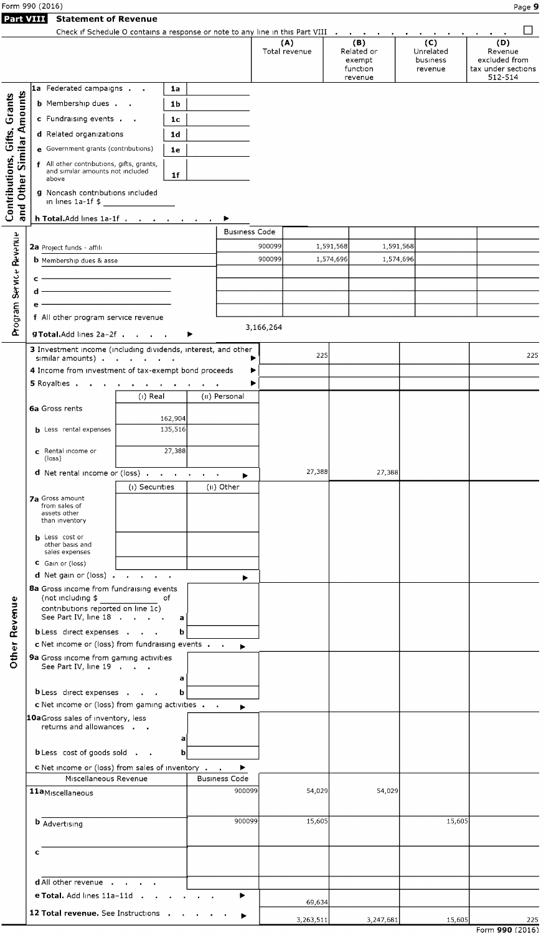| Form 990 (2016) | Page |
|-----------------|------|
|                 |      |

|--|

|                                       |                                                                                    | Check if Schedule O contains a response or note to any line in this Part VIII |                      | (A)<br>Total revenue |           | (B)<br>Related or<br>exempt<br>function<br>revenue | (C)<br>Unrelated<br>business<br>revenue | (D)<br>Revenue<br>excluded from<br>tax under sections<br>512-514 |
|---------------------------------------|------------------------------------------------------------------------------------|-------------------------------------------------------------------------------|----------------------|----------------------|-----------|----------------------------------------------------|-----------------------------------------|------------------------------------------------------------------|
|                                       | 1a Federated campaigns                                                             | 1a                                                                            |                      |                      |           |                                                    |                                         |                                                                  |
| Similar Amounts                       | <b>b</b> Membership dues                                                           | 1 <sub>b</sub>                                                                |                      |                      |           |                                                    |                                         |                                                                  |
|                                       | c Fundraising events                                                               | 1 <sub>c</sub>                                                                |                      |                      |           |                                                    |                                         |                                                                  |
|                                       | d Related organizations                                                            | 1d                                                                            |                      |                      |           |                                                    |                                         |                                                                  |
|                                       | e Government grants (contributions)                                                | 1e                                                                            |                      |                      |           |                                                    |                                         |                                                                  |
|                                       | f All other contributions, gifts, grants,<br>and similar amounts not included      |                                                                               |                      |                      |           |                                                    |                                         |                                                                  |
| Contributions, Gifts, Grants<br>Other | above<br>g Noncash contributions included<br>in lines 1a-1f $$$                    | 1f                                                                            |                      |                      |           |                                                    |                                         |                                                                  |
| and                                   | h Total Add lines 1a-1f                                                            |                                                                               | ▶                    |                      |           |                                                    |                                         |                                                                  |
|                                       |                                                                                    |                                                                               | <b>Business Code</b> |                      |           |                                                    |                                         |                                                                  |
|                                       | 2a Project funds - affili                                                          |                                                                               |                      | 900099               | 1,591,568 | 1,591,568                                          |                                         |                                                                  |
|                                       | <b>b</b> Membership dues & asse                                                    |                                                                               |                      | 900099               | 1,574,696 | 1,574,696                                          |                                         |                                                                  |
|                                       | с                                                                                  |                                                                               |                      |                      |           |                                                    |                                         |                                                                  |
|                                       |                                                                                    | the control of the control of the control of                                  |                      |                      |           |                                                    |                                         |                                                                  |
|                                       |                                                                                    | the control of the control of the control of                                  |                      |                      |           |                                                    |                                         |                                                                  |
| Program Service Revenue               | f All other program service revenue                                                |                                                                               |                      | 3,166,264            |           |                                                    |                                         |                                                                  |
|                                       | g Total. Add lines 2a-2f                                                           |                                                                               |                      |                      |           |                                                    |                                         |                                                                  |
|                                       | 3 Investment income (including dividends, interest, and other<br>similar amounts). | the company of the com-                                                       |                      | ▶                    | 225       |                                                    |                                         | 225                                                              |
|                                       | 4 Income from investment of tax-exempt bond proceeds                               |                                                                               |                      | ▶                    |           |                                                    |                                         |                                                                  |
|                                       | 5 Royalties                                                                        |                                                                               |                      | ▶                    |           |                                                    |                                         |                                                                  |
|                                       |                                                                                    | $(i)$ Real                                                                    | (II) Personal        |                      |           |                                                    |                                         |                                                                  |
|                                       | 6a Gross rents                                                                     |                                                                               |                      |                      |           |                                                    |                                         |                                                                  |
|                                       | <b>b</b> Less rental expenses                                                      | 162,904<br>135,516                                                            |                      |                      |           |                                                    |                                         |                                                                  |
|                                       |                                                                                    |                                                                               |                      |                      |           |                                                    |                                         |                                                                  |
|                                       | c Rental income or<br>(loss)                                                       | 27,388                                                                        |                      |                      |           |                                                    |                                         |                                                                  |
|                                       | d Net rental income or (loss)                                                      |                                                                               |                      |                      | 27,388    | 27,388                                             |                                         |                                                                  |
|                                       |                                                                                    | (i) Securities                                                                | ٠<br>(ii) Other      |                      |           |                                                    |                                         |                                                                  |
|                                       | <b>7a</b> Gross amount<br>from sales of                                            |                                                                               |                      |                      |           |                                                    |                                         |                                                                  |
|                                       | assets other                                                                       |                                                                               |                      |                      |           |                                                    |                                         |                                                                  |
|                                       | than inventory                                                                     |                                                                               |                      |                      |           |                                                    |                                         |                                                                  |
|                                       | <b>b</b> Less cost or<br>other basis and                                           |                                                                               |                      |                      |           |                                                    |                                         |                                                                  |
|                                       | sales expenses                                                                     |                                                                               |                      |                      |           |                                                    |                                         |                                                                  |
|                                       | C Gain or (loss)<br>d Net gain or (loss)                                           |                                                                               | ۰                    |                      |           |                                                    |                                         |                                                                  |
|                                       | 8a Gross income from fundraising events                                            |                                                                               |                      |                      |           |                                                    |                                         |                                                                  |
|                                       | (not including \$                                                                  | of                                                                            |                      |                      |           |                                                    |                                         |                                                                  |
|                                       | contributions reported on line 1c)<br>See Part IV, line 18                         | a                                                                             |                      |                      |           |                                                    |                                         |                                                                  |
|                                       | <b>b</b> Less direct expenses                                                      | b                                                                             |                      |                      |           |                                                    |                                         |                                                                  |
|                                       | c Net income or (loss) from fundraising events.                                    |                                                                               | ٠                    |                      |           |                                                    |                                         |                                                                  |
| Other Revenue                         | 9a Gross income from gaming activities<br>See Part IV, line 19                     |                                                                               |                      |                      |           |                                                    |                                         |                                                                  |
|                                       |                                                                                    | a                                                                             |                      |                      |           |                                                    |                                         |                                                                  |
|                                       | <b>b</b> Less direct expenses                                                      | b                                                                             |                      |                      |           |                                                    |                                         |                                                                  |
|                                       | c Net income or (loss) from gaming activities                                      |                                                                               | ▶                    |                      |           |                                                    |                                         |                                                                  |
|                                       | 10aGross sales of inventory, less                                                  |                                                                               |                      |                      |           |                                                    |                                         |                                                                  |
|                                       | returns and allowances                                                             | a                                                                             |                      |                      |           |                                                    |                                         |                                                                  |
|                                       | <b>b</b> Less cost of goods sold                                                   | $\mathbf b$                                                                   |                      |                      |           |                                                    |                                         |                                                                  |
|                                       | <b>c</b> Net income or (loss) from sales of inventory                              |                                                                               | ▶                    |                      |           |                                                    |                                         |                                                                  |
|                                       | Miscellaneous Revenue                                                              |                                                                               | <b>Business Code</b> |                      |           |                                                    |                                         |                                                                  |
|                                       | 11aMiscellaneous                                                                   |                                                                               | 900099               |                      | 54,029    | 54,029                                             |                                         |                                                                  |
|                                       |                                                                                    |                                                                               |                      |                      |           |                                                    |                                         |                                                                  |
|                                       | <b>b</b> Advertising                                                               |                                                                               | 900099               |                      | 15,605    |                                                    | 15,605                                  |                                                                  |
|                                       |                                                                                    |                                                                               |                      |                      |           |                                                    |                                         |                                                                  |
|                                       | c                                                                                  |                                                                               |                      |                      |           |                                                    |                                         |                                                                  |
|                                       |                                                                                    |                                                                               |                      |                      |           |                                                    |                                         |                                                                  |
|                                       | d All other revenue                                                                |                                                                               |                      |                      |           |                                                    |                                         |                                                                  |
|                                       | e Total. Add lines 11a-11d .                                                       |                                                                               | ▶                    |                      |           |                                                    |                                         |                                                                  |
|                                       | 12 Total revenue. See Instructions.                                                |                                                                               |                      |                      | 69,634    |                                                    |                                         |                                                                  |
|                                       |                                                                                    |                                                                               |                      |                      | 3,263,511 | 3,247,681                                          | 15,605                                  | 225                                                              |

Form 990 (2016)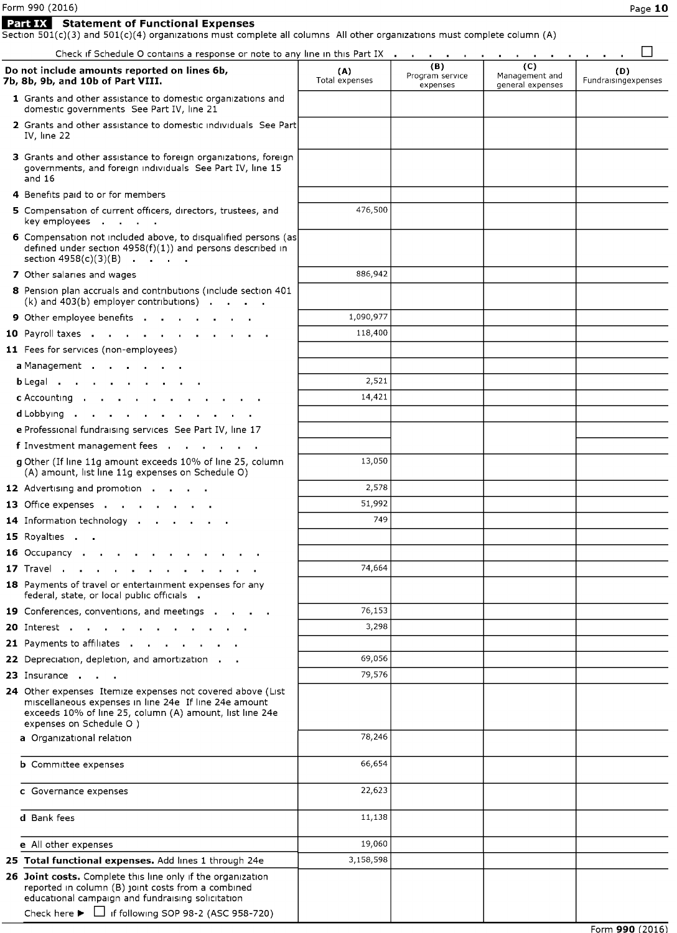| Form 990 (2016) |                                                                                       |  |
|-----------------|---------------------------------------------------------------------------------------|--|
|                 | <b>Part IX</b> Statement of Functional Expenses                                       |  |
|                 | Section $501(c)(3)$ and $501(c)(4)$ organizations must complete all columns All other |  |

 $S(c)(3)$  and  $501(c)(4)$  organizations must complete all columns All other organizations must complete column (A) Check if Schedule O contains a response or note to any line in this Part IX  $\; \ldots \; \ldots \; \ldots \; \ldots \; \ldots \; \ldots \; \ldots \; \square$ . . .

| Check if Schedule O contains a response or note to any line in this Part IX.                                                                                                                                                                          |                       |                                    |                                           | $\sim$                     |
|-------------------------------------------------------------------------------------------------------------------------------------------------------------------------------------------------------------------------------------------------------|-----------------------|------------------------------------|-------------------------------------------|----------------------------|
| Do not include amounts reported on lines 6b,<br>7b, 8b, 9b, and 10b of Part VIII.                                                                                                                                                                     | (A)<br>Total expenses | (B)<br>Program service<br>expenses | (C)<br>Management and<br>general expenses | (D)<br>Fundraisingexpenses |
| 1 Grants and other assistance to domestic organizations and<br>domestic governments See Part IV, line 21                                                                                                                                              |                       |                                    |                                           |                            |
| 2 Grants and other assistance to domestic individuals See Part<br>IV, line 22                                                                                                                                                                         |                       |                                    |                                           |                            |
| 3 Grants and other assistance to foreign organizations, foreign<br>governments, and foreign individuals See Part IV, line 15<br>and $16$                                                                                                              |                       |                                    |                                           |                            |
| 4 Benefits paid to or for members                                                                                                                                                                                                                     |                       |                                    |                                           |                            |
| 5 Compensation of current officers, directors, trustees, and<br>key employees                                                                                                                                                                         | 476,500               |                                    |                                           |                            |
| 6 Compensation not included above, to disqualified persons (as<br>defined under section $4958(f)(1)$ ) and persons described in<br>section $4958(c)(3)(B)$                                                                                            |                       |                                    |                                           |                            |
| 7 Other salaries and wages                                                                                                                                                                                                                            | 886,942               |                                    |                                           |                            |
| 8 Pension plan accruals and contributions (include section 401<br>$(k)$ and 403(b) employer contributions) $\blacksquare$                                                                                                                             |                       |                                    |                                           |                            |
| 9 Other employee benefits                                                                                                                                                                                                                             | 1,090,977             |                                    |                                           |                            |
| 10 Payroll taxes                                                                                                                                                                                                                                      | 118,400               |                                    |                                           |                            |
| 11 Fees for services (non-employees)                                                                                                                                                                                                                  |                       |                                    |                                           |                            |
| a Management                                                                                                                                                                                                                                          |                       |                                    |                                           |                            |
| b Legal                                                                                                                                                                                                                                               | 2,521                 |                                    |                                           |                            |
| c Accounting                                                                                                                                                                                                                                          | 14,421                |                                    |                                           |                            |
| d Lobbying                                                                                                                                                                                                                                            |                       |                                    |                                           |                            |
| e Professional fundraising services See Part IV, line 17                                                                                                                                                                                              |                       |                                    |                                           |                            |
| f Investment management fees                                                                                                                                                                                                                          |                       |                                    |                                           |                            |
| g Other (If line 11g amount exceeds 10% of line 25, column<br>(A) amount, list line 11g expenses on Schedule O)                                                                                                                                       | 13,050                |                                    |                                           |                            |
| 12 Advertising and promotion                                                                                                                                                                                                                          | 2,578                 |                                    |                                           |                            |
| 13 Office expenses and a control of the control of the control of the control of the control of the control of                                                                                                                                        | 51,992                |                                    |                                           |                            |
| 14 Information technology                                                                                                                                                                                                                             | 749                   |                                    |                                           |                            |
| 15 Royalties                                                                                                                                                                                                                                          |                       |                                    |                                           |                            |
| 16 Occupancy                                                                                                                                                                                                                                          |                       |                                    |                                           |                            |
| 17 Travel                                                                                                                                                                                                                                             | 74,664                |                                    |                                           |                            |
| 18 Payments of travel or entertainment expenses for any<br>federal, state, or local public officials                                                                                                                                                  |                       |                                    |                                           |                            |
| 19 Conferences, conventions, and meetings                                                                                                                                                                                                             | 76,153                |                                    |                                           |                            |
| 20 Interest                                                                                                                                                                                                                                           | 3,298                 |                                    |                                           |                            |
| 21 Payments to affiliates .                                                                                                                                                                                                                           |                       |                                    |                                           |                            |
| 22 Depreciation, depletion, and amortization.                                                                                                                                                                                                         | 69,056                |                                    |                                           |                            |
| 23 Insurance                                                                                                                                                                                                                                          | 79,576                |                                    |                                           |                            |
| 24 Other expenses Itemize expenses not covered above (List<br>miscellaneous expenses in line 24e If line 24e amount<br>exceeds 10% of line 25, column (A) amount, list line 24e<br>expenses on Schedule O )                                           |                       |                                    |                                           |                            |
| a Organizational relation                                                                                                                                                                                                                             | 78,246                |                                    |                                           |                            |
| <b>b</b> Committee expenses                                                                                                                                                                                                                           | 66,654                |                                    |                                           |                            |
| c Governance expenses                                                                                                                                                                                                                                 | 22,623                |                                    |                                           |                            |
| d Bank fees                                                                                                                                                                                                                                           | 11,138                |                                    |                                           |                            |
| e All other expenses                                                                                                                                                                                                                                  | 19,060                |                                    |                                           |                            |
| 25 Total functional expenses. Add lines 1 through 24e                                                                                                                                                                                                 | 3,158,598             |                                    |                                           |                            |
| 26 Joint costs. Complete this line only if the organization<br>reported in column (B) joint costs from a combined<br>educational campaign and fundraising solicitation<br>Check here $\blacktriangleright$ $\Box$ if following SOP 98-2 (ASC 958-720) |                       |                                    |                                           |                            |
|                                                                                                                                                                                                                                                       |                       |                                    |                                           |                            |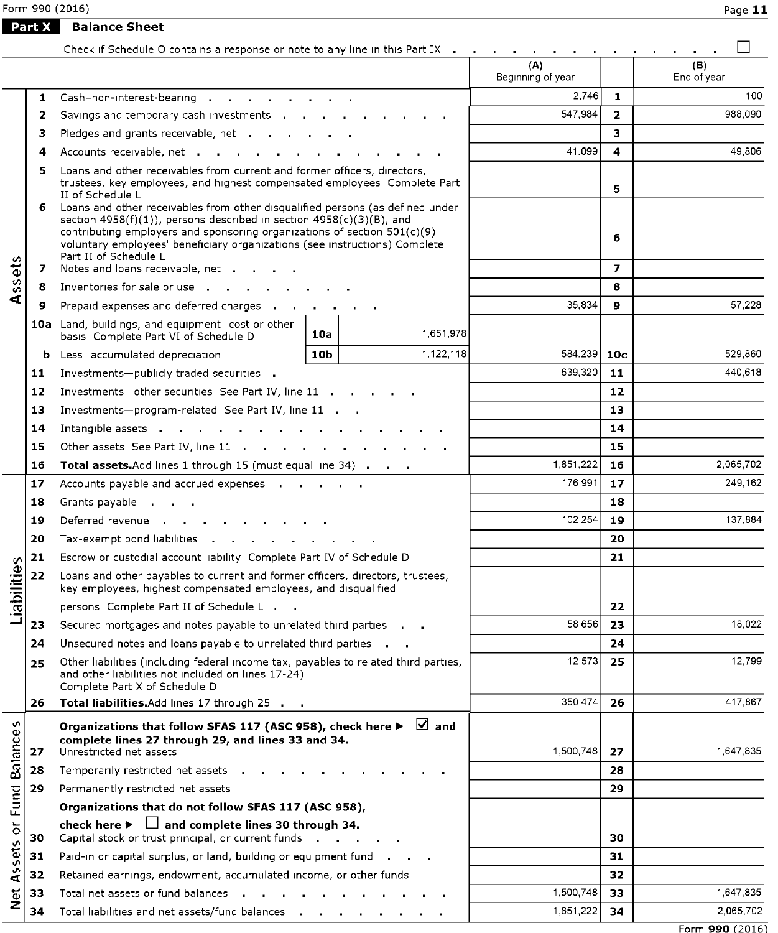Form 990 (2016)

 $\overline{\phantom{0}}$ 

**Part X** Balance Sheet

|                    |        | Check if Schedule O contains a response or note to any line in this Part IX                                                                                                                                                                                                                        |         |                |                          |                     | П                  |
|--------------------|--------|----------------------------------------------------------------------------------------------------------------------------------------------------------------------------------------------------------------------------------------------------------------------------------------------------|---------|----------------|--------------------------|---------------------|--------------------|
|                    |        |                                                                                                                                                                                                                                                                                                    |         |                | (A)<br>Beginning of year |                     | (B)<br>End of year |
|                    | 1      | Cash-non-interest-bearing                                                                                                                                                                                                                                                                          |         |                | 2,746                    | 1.                  | 100                |
|                    | 2      | Savings and temporary cash investments                                                                                                                                                                                                                                                             | 547,984 | $\overline{2}$ | 988,090                  |                     |                    |
|                    | з      | Pledges and grants receivable, net                                                                                                                                                                                                                                                                 |         |                |                          | 3                   |                    |
|                    | 4      | Accounts receivable, net                                                                                                                                                                                                                                                                           |         |                | 41,099                   | 4                   | 49,806             |
|                    | 5<br>6 | Loans and other receivables from current and former officers, directors,<br>trustees, key employees, and highest compensated employees Complete Part<br>II of Schedule L<br>Loans and other receivables from other disqualified persons (as defined under                                          |         |                |                          | 5                   |                    |
|                    | 7      | section $4958(f)(1)$ ), persons described in section $4958(c)(3)(B)$ , and<br>contributing employers and sponsoring organizations of section $501(c)(9)$<br>voluntary employees' beneficiary organizations (see instructions) Complete<br>Part II of Schedule L<br>Notes and loans receivable, net |         |                |                          | 6<br>$\overline{ }$ |                    |
| Assets             | 8      | Inventories for sale or use the contract of the contract of the contract of the contract of the contract of the contract of the contract of the contract of the contract of the contract of the contract of the contract of th                                                                     |         |                |                          | 8                   |                    |
|                    | 9      | Prepaid expenses and deferred charges                                                                                                                                                                                                                                                              |         |                | 35,834                   | 9                   | 57,228             |
|                    |        | 10a Land, buildings, and equipment cost or other                                                                                                                                                                                                                                                   |         |                |                          |                     |                    |
|                    |        | basis Complete Part VI of Schedule D                                                                                                                                                                                                                                                               | 10a     | 1,651,978      |                          |                     |                    |
|                    |        | <b>b</b> Less accumulated depreciation                                                                                                                                                                                                                                                             | 10b     | 1,122,118      | 584,239                  | 10 <sub>c</sub>     | 529,860            |
|                    | 11     | Investments-publicly traded securities .                                                                                                                                                                                                                                                           |         |                | 639,320                  | 11                  | 440,618            |
|                    | 12     | Investments-other securities See Part IV, line 11                                                                                                                                                                                                                                                  |         |                |                          | 12                  |                    |
|                    | 13     | Investments-program-related See Part IV, line 11                                                                                                                                                                                                                                                   |         |                | 13                       |                     |                    |
|                    | 14     | Intangible assets                                                                                                                                                                                                                                                                                  |         |                | 14                       |                     |                    |
|                    | 15     | Other assets See Part IV, line 11 (b) in the case of the control of the control of the control of the control of the control of the control of the control of the control of the control of the control of the control of the                                                                      |         |                |                          | 15                  |                    |
|                    | 16     | Total assets. Add lines 1 through 15 (must equal line 34)                                                                                                                                                                                                                                          |         |                | 1,851,222                | 16                  | 2,065,702          |
|                    | 17     | Accounts payable and accrued expenses                                                                                                                                                                                                                                                              |         |                | 176,991                  | 17                  | 249,162            |
|                    | 18     |                                                                                                                                                                                                                                                                                                    |         |                |                          | 18                  |                    |
|                    | 19     | Deferred revenue                                                                                                                                                                                                                                                                                   |         | 102.254        | 19                       | 137,884             |                    |
|                    | 20     | Tax-exempt bond liabilities and a series are a series of the series of the series of the series of the series                                                                                                                                                                                      |         |                |                          | 20                  |                    |
|                    | 21     | Escrow or custodial account liability Complete Part IV of Schedule D                                                                                                                                                                                                                               |         |                |                          | 21                  |                    |
| Liabilities        | 22     | Loans and other payables to current and former officers, directors, trustees,<br>key employees, highest compensated employees, and disqualified                                                                                                                                                    |         |                |                          |                     |                    |
|                    |        | persons Complete Part II of Schedule L                                                                                                                                                                                                                                                             |         |                |                          | 22                  |                    |
|                    | 23     | Secured mortgages and notes payable to unrelated third parties                                                                                                                                                                                                                                     |         |                | 58,656                   | 23                  | 18,022             |
|                    | 24     | Unsecured notes and loans payable to unrelated third parties                                                                                                                                                                                                                                       |         |                |                          | 24                  |                    |
|                    | 25     | Other liabilities (including federal income tax, payables to related third parties,<br>and other liabilities not included on lines 17-24)<br>Complete Part X of Schedule D                                                                                                                         |         |                | 12,573                   | 25                  | 12.799             |
|                    | 26     | Total liabilities. Add lines 17 through 25                                                                                                                                                                                                                                                         |         |                | 350.474                  | 26                  | 417,867            |
| <b>Balances</b>    | 27     | Organizations that follow SFAS 117 (ASC 958), check here $\blacktriangleright \ \ \blacksquare$ and<br>complete lines 27 through 29, and lines 33 and 34.<br>Unrestricted net assets                                                                                                               |         |                | 1,500,748                | 27                  | 1,647,835          |
|                    | 28     | Temporarily restricted net assets .                                                                                                                                                                                                                                                                |         |                |                          | 28                  |                    |
|                    | 29     | Permanently restricted net assets                                                                                                                                                                                                                                                                  |         |                |                          | 29                  |                    |
| Fund               |        | Organizations that do not follow SFAS 117 (ASC 958),                                                                                                                                                                                                                                               |         |                |                          |                     |                    |
| $\overline{\circ}$ | 30     | check here $\blacktriangleright$ $\Box$ and complete lines 30 through 34.<br>Capital stock or trust principal, or current funds                                                                                                                                                                    |         |                |                          | 30                  |                    |
|                    | 31     | Paid-in or capital surplus, or land, building or equipment fund                                                                                                                                                                                                                                    |         |                |                          | 31                  |                    |
| Assets             | 32     | Retained earnings, endowment, accumulated income, or other funds                                                                                                                                                                                                                                   |         |                |                          | 32                  |                    |
|                    | 33     | Total net assets or fund balances                                                                                                                                                                                                                                                                  |         |                | 1,500,748                | 33                  | 1,647,835          |
| <b>Det</b>         | 34     | Total liabilities and net assets/fund balances                                                                                                                                                                                                                                                     |         |                | 1,851,222                | 34                  | 2,065,702          |
|                    |        |                                                                                                                                                                                                                                                                                                    |         |                |                          |                     |                    |

Form 990 (2016)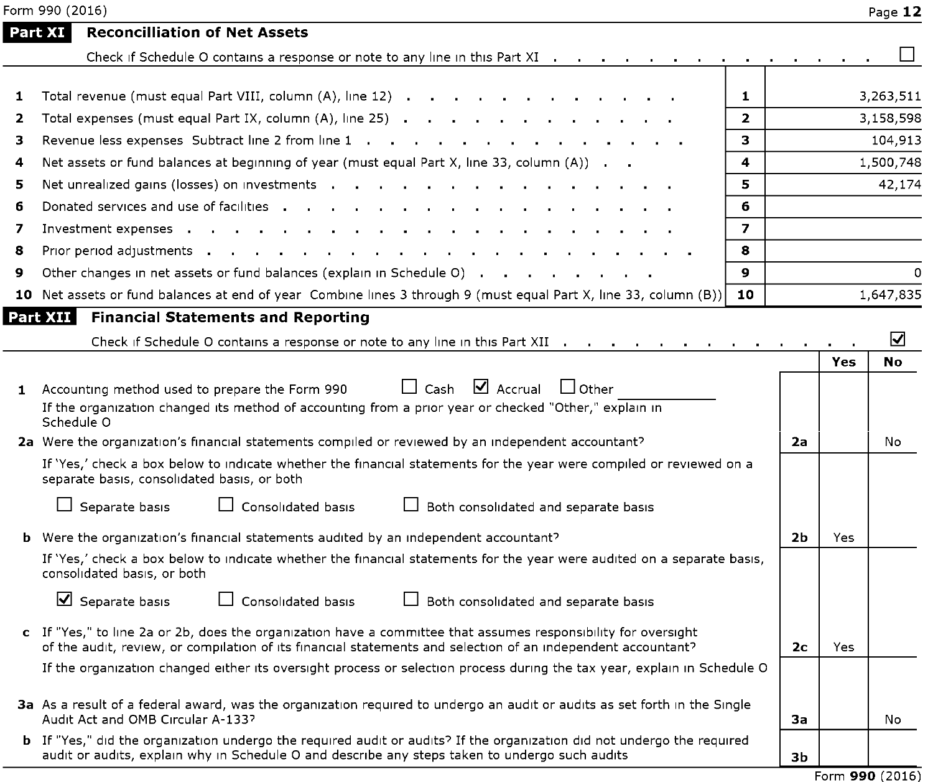|   | Form 990 (2016)                                                                                                                                                                                                                  |                |                |     | Page 12   |
|---|----------------------------------------------------------------------------------------------------------------------------------------------------------------------------------------------------------------------------------|----------------|----------------|-----|-----------|
|   | <b>Reconcilliation of Net Assets</b><br>Part XI                                                                                                                                                                                  |                |                |     |           |
|   | Check if Schedule O contains a response or note to any line in this Part XI                                                                                                                                                      |                |                |     |           |
| 1 | Total revenue (must equal Part VIII, column (A), line 12)                                                                                                                                                                        | 1              |                |     | 3,263,511 |
| 2 | Total expenses (must equal Part IX, column (A), line 25)                                                                                                                                                                         | $\mathbf{z}$   |                |     | 3,158,598 |
| з | Revenue less expenses Subtract line 2 from line 1                                                                                                                                                                                | 3.             |                |     | 104,913   |
| 4 | Net assets or fund balances at beginning of year (must equal Part X, line 33, column (A)).                                                                                                                                       | 4              |                |     | 1,500,748 |
| 5 | Net unrealized gains (losses) on investments and a set of the state of the state of the state of the state of the state of the state of the state of the state of the state of the state of the state of the state of the stat   | 5              |                |     | 42,174    |
| 6 | Donated services and use of facilities<br>the contract of the contract of the contract of the contract of the contract of the contract of the contract of                                                                        | 6              |                |     |           |
| 7 | Investment expenses<br><b>Contract Contract</b><br>the contract of the contract of the con-                                                                                                                                      | $\overline{ }$ |                |     |           |
| 8 | Prior period adjustments and a control of the control of the control of the control of the control of the control of the control of the control of the control of the control of the control of the control of the control of    | 8              |                |     |           |
| 9 | Other changes in net assets or fund balances (explain in Schedule O)                                                                                                                                                             | $\mathbf{Q}$   |                |     | $\Omega$  |
|   | 10 Net assets or fund balances at end of year Combine lines 3 through 9 (must equal Part X, line 33, column (B))                                                                                                                 | 10             |                |     | 1,647,835 |
|   | <b>Financial Statements and Reporting</b><br>Part XII                                                                                                                                                                            |                |                |     |           |
|   | Check if Schedule O contains a response or note to any line in this Part XII                                                                                                                                                     |                |                |     | ☑         |
|   |                                                                                                                                                                                                                                  |                |                | Yes | No        |
|   | $\Box$ Cash $\Box$ Accrual<br>$\Box$ Other<br>1 Accounting method used to prepare the Form 990<br>If the organization changed its method of accounting from a prior year or checked "Other," explain in<br>Schedule O            |                |                |     |           |
|   | 2a Were the organization's financial statements compiled or reviewed by an independent accountant?                                                                                                                               |                | 2a             |     | No        |
|   | If 'Yes,' check a box below to indicate whether the financial statements for the year were compiled or reviewed on a<br>separate basis, consolidated basis, or both                                                              |                |                |     |           |
|   | $\Box$ Separate basis<br>$\Box$ Consolidated basis<br>Both consolidated and separate basis                                                                                                                                       |                |                |     |           |
|   | <b>b</b> Were the organization's financial statements audited by an independent accountant?                                                                                                                                      |                | 2b             | Yes |           |
|   | If 'Yes,' check a box below to indicate whether the financial statements for the year were audited on a separate basis,<br>consolidated basis, or both                                                                           |                |                |     |           |
|   | $\overline{\mathbf{y}}$ Separate basis<br>$\Box$ Consolidated basis<br>Both consolidated and separate basis                                                                                                                      |                |                |     |           |
|   | c If "Yes," to line 2a or 2b, does the organization have a committee that assumes responsibility for oversight<br>of the audit, review, or compilation of its financial statements and selection of an independent accountant?   |                | 2 <sub>c</sub> | Yes |           |
|   | If the organization changed either its oversight process or selection process during the tax year, explain in Schedule O                                                                                                         |                |                |     |           |
|   | 3a As a result of a federal award, was the organization required to undergo an audit or audits as set forth in the Single<br>Audit Act and OMB Circular A-133?                                                                   |                | 3a             |     | No        |
|   | <b>b</b> If "Yes," did the organization undergo the required audit or audits? If the organization did not undergo the required<br>audit or audits, explain why in Schedule O and describe any steps taken to undergo such audits |                | 3 <sub>b</sub> |     |           |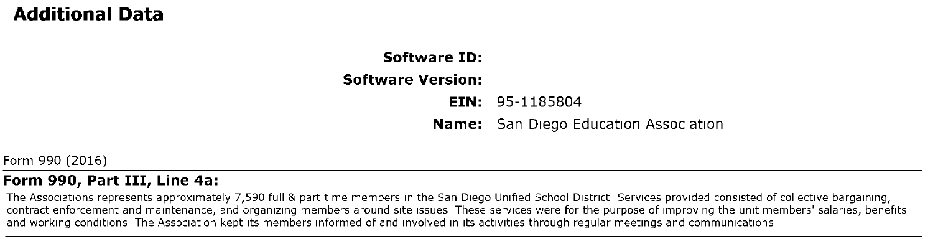# Additional Data

# Software ID: Software Version: EIN: 95-1185804 Name: San Diego Education Association

Form 990 (2016)

### Form 990, Part III, Line 4a:

The Associations represents approximately 7,590 full & part time members in the San Diego Unified School District Services provided consisted of collective bargaining, contract enforcement and maintenance, and organizing members around site issues These services were for the purpose of improving the unit members' salaries, benefits and working conditions The Association kept its members informed of and involved in its activities through regular meetings and communications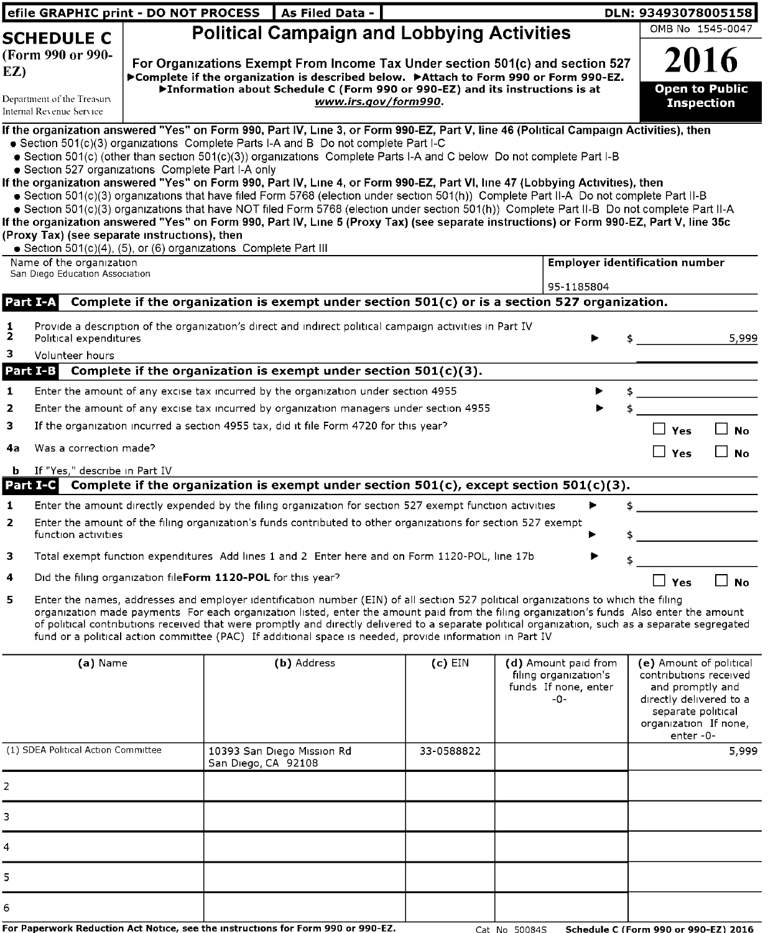|                         |                                                                                                     | efile GRAPHIC print - DO NOT PROCESS   As Filed Data -                                                                                                                                                                                                                                                                                                                                                                                                                                                                                                                                                                                                                                                                                                                                                                                                                                                                                                                                            |                      |                                                                              | DLN: 93493078005158                   |                                                                                                                       |
|-------------------------|-----------------------------------------------------------------------------------------------------|---------------------------------------------------------------------------------------------------------------------------------------------------------------------------------------------------------------------------------------------------------------------------------------------------------------------------------------------------------------------------------------------------------------------------------------------------------------------------------------------------------------------------------------------------------------------------------------------------------------------------------------------------------------------------------------------------------------------------------------------------------------------------------------------------------------------------------------------------------------------------------------------------------------------------------------------------------------------------------------------------|----------------------|------------------------------------------------------------------------------|---------------------------------------|-----------------------------------------------------------------------------------------------------------------------|
|                         | <b>SCHEDULE C</b>                                                                                   | <b>Political Campaign and Lobbying Activities</b>                                                                                                                                                                                                                                                                                                                                                                                                                                                                                                                                                                                                                                                                                                                                                                                                                                                                                                                                                 |                      |                                                                              |                                       | OMB No 1545-0047                                                                                                      |
| EZ)                     | (Form 990 or 990-<br>Department of the Treasury<br>Internal Revenue Service                         | For Organizations Exempt From Income Tax Under section 501(c) and section 527<br>▶ Complete if the organization is described below. ▶ Attach to Form 990 or Form 990-EZ.<br>▶Information about Schedule C (Form 990 or 990-EZ) and its instructions is at                                                                                                                                                                                                                                                                                                                                                                                                                                                                                                                                                                                                                                                                                                                                         | www.irs.gov/form990. |                                                                              |                                       | 2016<br><b>Open to Public</b><br><b>Inspection</b>                                                                    |
|                         | · Section 527 organizations Complete Part I-A only<br>(Proxy Tax) (see separate instructions), then | If the organization answered "Yes" on Form 990, Part IV, Line 3, or Form 990-EZ, Part V, line 46 (Political Campaign Activities), then<br>• Section 501(c)(3) organizations Complete Parts I-A and B Do not complete Part I-C<br>● Section 501(c) (other than section 501(c)(3)) organizations Complete Parts I-A and C below Do not complete Part I-B<br>If the organization answered "Yes" on Form 990, Part IV, Line 4, or Form 990-EZ, Part VI, line 47 (Lobbying Activities), then<br>· Section 501(c)(3) organizations that have filed Form 5768 (election under section 501(h)) Complete Part II-A Do not complete Part II-B<br>· Section 501(c)(3) organizations that have NOT filed Form 5768 (election under section 501(h)) Complete Part II-B Do not complete Part II-A<br>If the organization answered "Yes" on Form 990, Part IV, Line 5 (Proxy Tax) (see separate instructions) or Form 990-EZ, Part V, line 35c<br>Section 501(c)(4), (5), or (6) organizations Complete Part III |                      |                                                                              |                                       |                                                                                                                       |
|                         | Name of the organization                                                                            |                                                                                                                                                                                                                                                                                                                                                                                                                                                                                                                                                                                                                                                                                                                                                                                                                                                                                                                                                                                                   |                      |                                                                              | <b>Employer identification number</b> |                                                                                                                       |
|                         | San Diego Education Association                                                                     |                                                                                                                                                                                                                                                                                                                                                                                                                                                                                                                                                                                                                                                                                                                                                                                                                                                                                                                                                                                                   |                      | 95-1185804                                                                   |                                       |                                                                                                                       |
|                         | Part I-A                                                                                            | Complete if the organization is exempt under section 501(c) or is a section 527 organization.                                                                                                                                                                                                                                                                                                                                                                                                                                                                                                                                                                                                                                                                                                                                                                                                                                                                                                     |                      |                                                                              |                                       |                                                                                                                       |
| $\frac{1}{2}$<br>3      | Political expenditures<br>Volunteer hours                                                           | Provide a description of the organization's direct and indirect political campaign activities in Part IV                                                                                                                                                                                                                                                                                                                                                                                                                                                                                                                                                                                                                                                                                                                                                                                                                                                                                          |                      |                                                                              | $\frac{1}{2}$                         | 5,999                                                                                                                 |
|                         | Part I-B                                                                                            | Complete if the organization is exempt under section $501(c)(3)$ .                                                                                                                                                                                                                                                                                                                                                                                                                                                                                                                                                                                                                                                                                                                                                                                                                                                                                                                                |                      |                                                                              |                                       |                                                                                                                       |
| $\mathbf{1}$            |                                                                                                     | Enter the amount of any excise tax incurred by the organization under section 4955                                                                                                                                                                                                                                                                                                                                                                                                                                                                                                                                                                                                                                                                                                                                                                                                                                                                                                                |                      |                                                                              |                                       |                                                                                                                       |
| $\mathbf 2$             |                                                                                                     | Enter the amount of any excise tax incurred by organization managers under section 4955                                                                                                                                                                                                                                                                                                                                                                                                                                                                                                                                                                                                                                                                                                                                                                                                                                                                                                           |                      |                                                                              | \$                                    |                                                                                                                       |
| 3                       |                                                                                                     | If the organization incurred a section 4955 tax, did it file Form 4720 for this year?                                                                                                                                                                                                                                                                                                                                                                                                                                                                                                                                                                                                                                                                                                                                                                                                                                                                                                             |                      |                                                                              | $\Box$ Yes                            | l I No                                                                                                                |
| 4a                      | Was a correction made?                                                                              |                                                                                                                                                                                                                                                                                                                                                                                                                                                                                                                                                                                                                                                                                                                                                                                                                                                                                                                                                                                                   |                      |                                                                              | $\Box$ Yes                            | $\Box$ No                                                                                                             |
| b.                      | If "Yes," describe in Part IV                                                                       |                                                                                                                                                                                                                                                                                                                                                                                                                                                                                                                                                                                                                                                                                                                                                                                                                                                                                                                                                                                                   |                      |                                                                              |                                       |                                                                                                                       |
|                         | Part I-C                                                                                            | Complete if the organization is exempt under section $501(c)$ , except section $501(c)(3)$ .                                                                                                                                                                                                                                                                                                                                                                                                                                                                                                                                                                                                                                                                                                                                                                                                                                                                                                      |                      |                                                                              |                                       |                                                                                                                       |
| 1                       |                                                                                                     | Enter the amount directly expended by the filing organization for section 527 exempt function activities                                                                                                                                                                                                                                                                                                                                                                                                                                                                                                                                                                                                                                                                                                                                                                                                                                                                                          |                      |                                                                              | $\frac{1}{\sqrt{2}}$                  |                                                                                                                       |
| $\overline{\mathbf{z}}$ | function activities                                                                                 | Enter the amount of the filing organization's funds contributed to other organizations for section 527 exempt                                                                                                                                                                                                                                                                                                                                                                                                                                                                                                                                                                                                                                                                                                                                                                                                                                                                                     |                      |                                                                              |                                       |                                                                                                                       |
| з                       |                                                                                                     | Total exempt function expenditures Add lines 1 and 2 Enter here and on Form 1120-POL, line 17b                                                                                                                                                                                                                                                                                                                                                                                                                                                                                                                                                                                                                                                                                                                                                                                                                                                                                                    |                      |                                                                              |                                       |                                                                                                                       |
| 4                       |                                                                                                     | Did the filing organization fileForm 1120-POL for this year?                                                                                                                                                                                                                                                                                                                                                                                                                                                                                                                                                                                                                                                                                                                                                                                                                                                                                                                                      |                      |                                                                              | $\Box$ Yes                            | $\Box$ No                                                                                                             |
| 5                       |                                                                                                     | Enter the names, addresses and employer identification number (EIN) of all section 527 political organizations to which the filing<br>organization made payments For each organization listed, enter the amount paid from the filing organization's funds Also enter the amount<br>of political contributions received that were promptly and directly delivered to a separate political organization, such as a separate segregated<br>fund or a political action committee (PAC) If additional space is needed, provide information in Part IV                                                                                                                                                                                                                                                                                                                                                                                                                                                  |                      |                                                                              |                                       |                                                                                                                       |
|                         | (a) Name                                                                                            | (b) Address                                                                                                                                                                                                                                                                                                                                                                                                                                                                                                                                                                                                                                                                                                                                                                                                                                                                                                                                                                                       | $(c)$ EIN            | (d) Amount paid from<br>filing organization's<br>funds If none, enter<br>-0- |                                       | (e) Amount of political<br>contributions received<br>and promptly and<br>directly delivered to a<br>الممسالمم مقمعممم |

|                                     |                                                   |            | $-0-$ | directly delivered to a<br>separate political<br>organization If none,<br>enter-0- |
|-------------------------------------|---------------------------------------------------|------------|-------|------------------------------------------------------------------------------------|
| (1) SDEA Political Action Committee | 10393 San Diego Mission Rd<br>San Diego, CA 92108 | 33-0588822 |       | 5,999                                                                              |
| 2                                   |                                                   |            |       |                                                                                    |
| 3                                   |                                                   |            |       |                                                                                    |
| 4                                   |                                                   |            |       |                                                                                    |
| 5.                                  |                                                   |            |       |                                                                                    |
| 6                                   |                                                   |            |       |                                                                                    |

For Paperwork Reduction Act Notice, see the instructions for Form 990 or 990 -EZ. Cat No 50084S Schedule C ( Form 990 or 990-EZ) 2016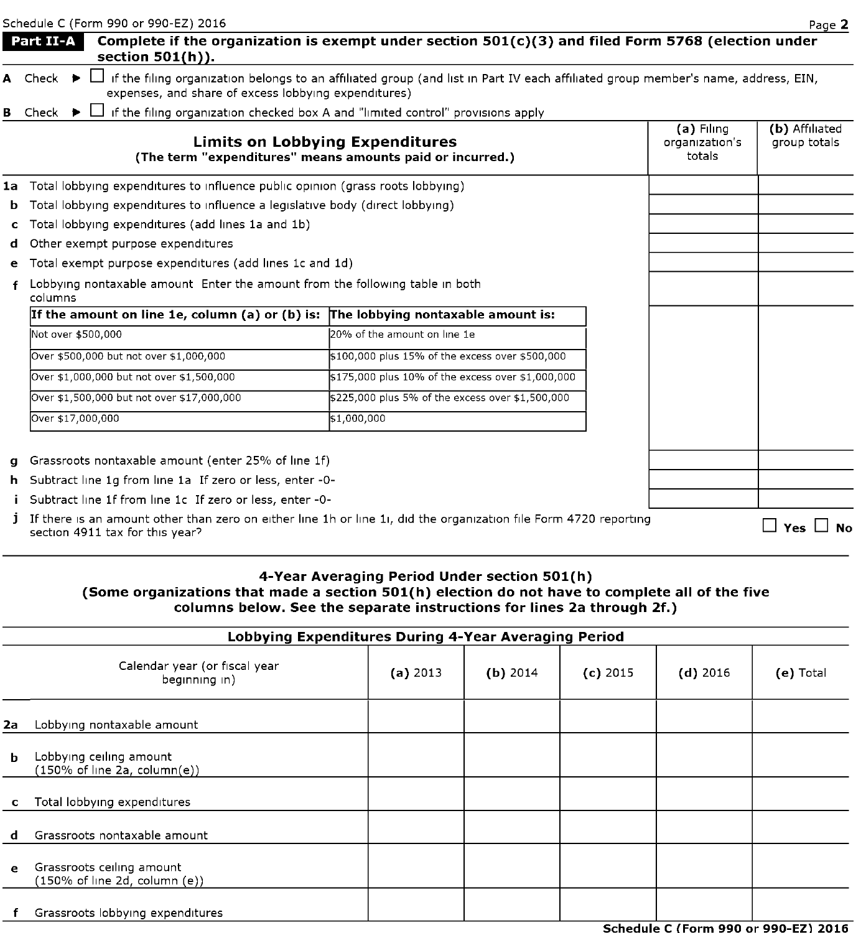|    | Schedule C (Form 990 or 990-EZ) 2016                                                                                                                          |                                                                                                                                   |                                        | Page 2                         |
|----|---------------------------------------------------------------------------------------------------------------------------------------------------------------|-----------------------------------------------------------------------------------------------------------------------------------|----------------------------------------|--------------------------------|
|    | Part II-A<br>section 501(h)).                                                                                                                                 | Complete if the organization is exempt under section $501(c)(3)$ and filed Form 5768 (election under                              |                                        |                                |
|    | A Check $\blacktriangleright$<br>expenses, and share of excess lobbying expenditures)                                                                         | if the filing organization belongs to an affiliated group (and list in Part IV each affiliated group member's name, address, EIN, |                                        |                                |
| в  | Check                                                                                                                                                         | if the filing organization checked box A and "limited control" provisions apply                                                   |                                        |                                |
|    | <b>Limits on Lobbying Expenditures</b><br>(The term "expenditures" means amounts paid or incurred.)                                                           |                                                                                                                                   | (a) Filing<br>organization's<br>totals | (b) Affiliated<br>group totals |
|    | 1a Total lobbying expenditures to influence public opinion (grass roots lobbying)                                                                             |                                                                                                                                   |                                        |                                |
| b. | Total lobbying expenditures to influence a legislative body (direct lobbying)                                                                                 |                                                                                                                                   |                                        |                                |
| c  | Total lobbying expenditures (add lines 1a and 1b)                                                                                                             |                                                                                                                                   |                                        |                                |
| d  | Other exempt purpose expenditures                                                                                                                             |                                                                                                                                   |                                        |                                |
| е  | Total exempt purpose expenditures (add lines 1c and 1d)                                                                                                       |                                                                                                                                   |                                        |                                |
|    | Lobbying nontaxable amount Enter the amount from the following table in both<br>columns                                                                       |                                                                                                                                   |                                        |                                |
|    | If the amount on line 1e, column (a) or (b) is: The lobbying nontaxable amount is:                                                                            |                                                                                                                                   |                                        |                                |
|    | Not over \$500,000                                                                                                                                            | 20% of the amount on line 1e                                                                                                      |                                        |                                |
|    | Over \$500,000 but not over \$1,000,000                                                                                                                       | \$100,000 plus 15% of the excess over \$500,000                                                                                   |                                        |                                |
|    | Over \$1,000,000 but not over \$1,500,000                                                                                                                     | \$175,000 plus 10% of the excess over \$1,000,000                                                                                 |                                        |                                |
|    | Over \$1,500,000 but not over \$17,000,000                                                                                                                    | \$225,000 plus 5% of the excess over \$1,500,000                                                                                  |                                        |                                |
|    | Over \$17,000,000                                                                                                                                             | \$1,000,000                                                                                                                       |                                        |                                |
|    |                                                                                                                                                               |                                                                                                                                   |                                        |                                |
|    | Grassroots nontaxable amount (enter 25% of line 1f)                                                                                                           |                                                                                                                                   |                                        |                                |
| h. | Subtract line 1q from line 1a If zero or less, enter -0-                                                                                                      |                                                                                                                                   |                                        |                                |
|    | Subtract line 1f from line 1c If zero or less, enter -0-                                                                                                      |                                                                                                                                   |                                        |                                |
|    | <b>j</b> If there is an amount other than zero on either line 1h or line 1i, did the organization file Form 4720 reporting<br>section 4911 tax for this year? |                                                                                                                                   |                                        | Yes  <br>∣No                   |

# 4-Year Averaging Period Under section 501(h)

# (Some organizations that made a section 501(h) election do not have to complete all of the five columns below. See the separate instructions for lines 2a through 2f.)

|    | Lobbying Expenditures During 4-Year Averaging Period                        |          |            |            |            |             |
|----|-----------------------------------------------------------------------------|----------|------------|------------|------------|-------------|
|    | Calendar year (or fiscal year<br>beginning in)                              | (a) 2013 | $(b)$ 2014 | $(c)$ 2015 | $(d)$ 2016 | $(e)$ Total |
| 2a | Lobbying nontaxable amount                                                  |          |            |            |            |             |
| b. | Lobbying ceiling amount<br>$(150\% \text{ of line } 2a, \text{ column}(e))$ |          |            |            |            |             |
|    | Total lobbying expenditures                                                 |          |            |            |            |             |
|    | Grassroots nontaxable amount                                                |          |            |            |            |             |
| e  | Grassroots ceiling amount<br>(150% of line 2d, column (e))                  |          |            |            |            |             |
|    | Grassroots lobbying expenditures                                            |          |            |            |            |             |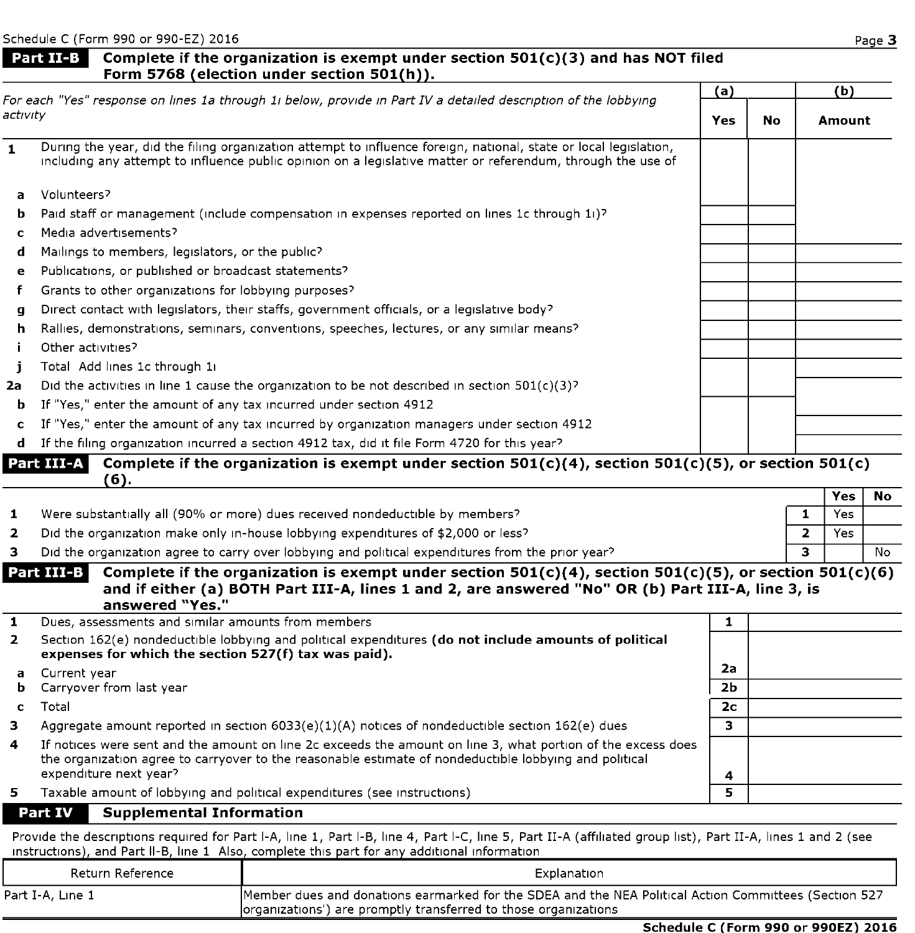#### Part II-B Complete if the organization is exempt under section  $501(c)(3)$  and has NOT filed Form 5768 (election under section 501(h)).

|                | For each "Yes" response on lines 1a through 1i below, provide in Part IV a detailed description of the lobbying                                                                                                                    | (a)        |    | (b)                   |           |
|----------------|------------------------------------------------------------------------------------------------------------------------------------------------------------------------------------------------------------------------------------|------------|----|-----------------------|-----------|
| activity       |                                                                                                                                                                                                                                    | <b>Yes</b> | No | Amount                |           |
| $\mathbf{1}$   | During the year, did the filing organization attempt to influence foreign, national, state or local legislation,<br>including any attempt to influence public opinion on a legislative matter or referendum, through the use of    |            |    |                       |           |
| a              | Volunteers?                                                                                                                                                                                                                        |            |    |                       |           |
| b              | Paid staff or management (include compensation in expenses reported on lines 1c through 11)?                                                                                                                                       |            |    |                       |           |
| c              | Media advertisements?                                                                                                                                                                                                              |            |    |                       |           |
| d              | Mailings to members, legislators, or the public?                                                                                                                                                                                   |            |    |                       |           |
| е              | Publications, or published or broadcast statements?                                                                                                                                                                                |            |    |                       |           |
| f              | Grants to other organizations for lobbying purposes?                                                                                                                                                                               |            |    |                       |           |
| a              | Direct contact with legislators, their staffs, government officials, or a legislative body?                                                                                                                                        |            |    |                       |           |
| h              | Rallies, demonstrations, seminars, conventions, speeches, lectures, or any similar means?                                                                                                                                          |            |    |                       |           |
|                | Other activities?                                                                                                                                                                                                                  |            |    |                       |           |
| L              | Total Add lines 1c through 11                                                                                                                                                                                                      |            |    |                       |           |
| 2a             | Did the activities in line 1 cause the organization to be not described in section $501(c)(3)^{2}$                                                                                                                                 |            |    |                       |           |
| b              | If "Yes," enter the amount of any tax incurred under section 4912                                                                                                                                                                  |            |    |                       |           |
| c              | If "Yes," enter the amount of any tax incurred by organization managers under section 4912                                                                                                                                         |            |    |                       |           |
| d              | If the filing organization incurred a section 4912 tax, did it file Form 4720 for this year?                                                                                                                                       |            |    |                       |           |
|                | Part III-A<br>Complete if the organization is exempt under section $501(c)(4)$ , section $501(c)(5)$ , or section $501(c)$<br>(6).                                                                                                 |            |    |                       |           |
|                |                                                                                                                                                                                                                                    |            |    | Yes                   | <b>No</b> |
| 1              | Were substantially all (90% or more) dues received nondeductible by members?                                                                                                                                                       |            |    | 1<br>Yes              |           |
| $\overline{2}$ | Did the organization make only in-house lobbying expenditures of \$2,000 or less?                                                                                                                                                  |            |    | $\overline{2}$<br>Yes |           |
| з.             | Did the organization agree to carry over lobbying and political expenditures from the prior year?                                                                                                                                  |            |    | 3                     | No.       |
|                | Part III-B<br>Complete if the organization is exempt under section $501(c)(4)$ , section $501(c)(5)$ , or section $501(c)(6)$<br>and if either (a) BOTH Part III-A, lines 1 and 2, are answered "No" OR (b) Part III-A, line 3, is |            |    |                       |           |

|  | answered "Yes."                                                                                                                                                                                                                      |
|--|--------------------------------------------------------------------------------------------------------------------------------------------------------------------------------------------------------------------------------------|
|  | <b>All Properties and the contract of the contract of the contract of the contract of the contract of the contract of the contract of the contract of the contract of the contract of the contract of the contract of the contra</b> |

| 5.             | Taxable amount of lobbying and political expenditures (see instructions)                                                                                                                                                                         | е              |  |
|----------------|--------------------------------------------------------------------------------------------------------------------------------------------------------------------------------------------------------------------------------------------------|----------------|--|
| 4              | If notices were sent and the amount on line 2c exceeds the amount on line 3, what portion of the excess does<br>the organization agree to carryover to the reasonable estimate of nondeductible lobbying and political<br>expenditure next year? | 4              |  |
|                |                                                                                                                                                                                                                                                  |                |  |
| з              | Aggregate amount reported in section $6033(e)(1)(A)$ notices of nondeductible section 162(e) dues                                                                                                                                                |                |  |
|                | Total                                                                                                                                                                                                                                            | 2 <sub>c</sub> |  |
|                | <b>b</b> Carryover from last year                                                                                                                                                                                                                | 2 <sub>b</sub> |  |
|                | a Current year                                                                                                                                                                                                                                   | 2a             |  |
| $\overline{2}$ | Section 162(e) nondeductible lobbying and political expenditures (do not include amounts of political<br>expenses for which the section 527(f) tax was paid).                                                                                    |                |  |
|                | Dues, assessments and similar amounts from members                                                                                                                                                                                               |                |  |

#### Supplemental Information Part IV

Provide the descriptions required for Part I-A, line 1, Part I-B, line 4, Part I-C, line 5, Part II-A (affiliated group list), Part II-A, lines <sup>1</sup> and 2 (see instructions), and Part II-B, line 1 Also, complete this part for any additional information

| Return Reference | Explanation                                                                                                                                                              |
|------------------|--------------------------------------------------------------------------------------------------------------------------------------------------------------------------|
| Part I-A, Line 1 | Member dues and donations earmarked for the SDEA and the NEA Political Action Committees (Section 527<br>organizations') are promptly transferred to those organizations |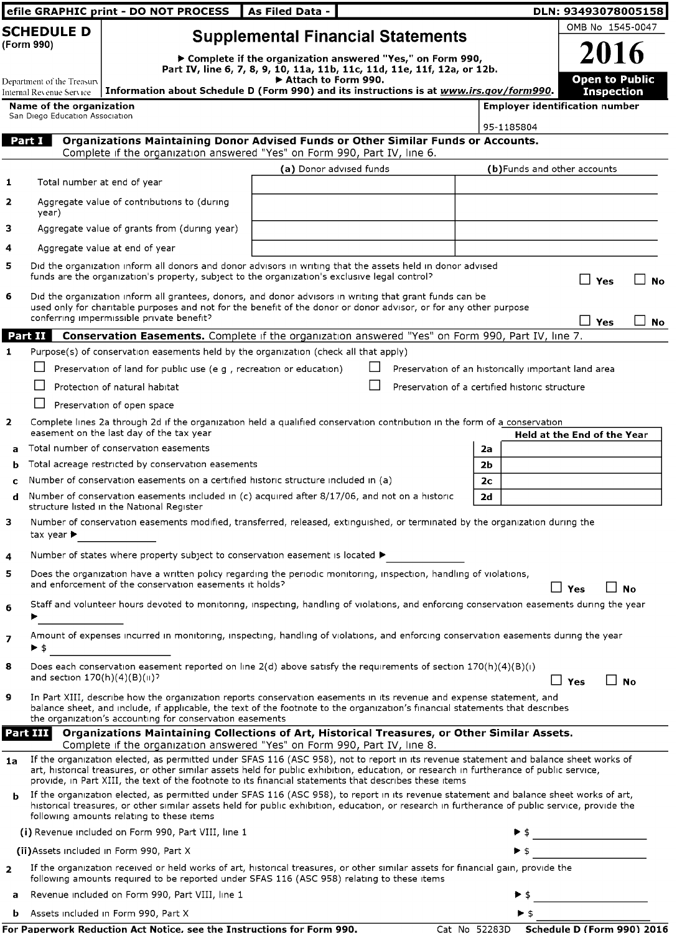|                          |                                                        | efile GRAPHIC print - DO NOT PROCESS                                                                                                                                                                                                                                                                                                                                                       | As Filed Data -         |  |  |                                                     | DLN: 93493078005158                               |                                            |           |
|--------------------------|--------------------------------------------------------|--------------------------------------------------------------------------------------------------------------------------------------------------------------------------------------------------------------------------------------------------------------------------------------------------------------------------------------------------------------------------------------------|-------------------------|--|--|-----------------------------------------------------|---------------------------------------------------|--------------------------------------------|-----------|
| <b>SCHEDULE D</b>        |                                                        | <b>Supplemental Financial Statements</b>                                                                                                                                                                                                                                                                                                                                                   |                         |  |  | OMB No 1545-0047                                    |                                                   |                                            |           |
|                          | (Form 990)                                             | ▶ Complete if the organization answered "Yes," on Form 990,<br>Part IV, line 6, 7, 8, 9, 10, 11a, 11b, 11c, 11d, 11e, 11f, 12a, or 12b.                                                                                                                                                                                                                                                    |                         |  |  |                                                     |                                                   | 2016                                       |           |
|                          | Department of the Treasury<br>Internal Revenue Service | Information about Schedule D (Form 990) and its instructions is at www.irs.gov/form990.                                                                                                                                                                                                                                                                                                    | Attach to Form 990.     |  |  |                                                     |                                                   | <b>Open to Public</b><br><b>Inspection</b> |           |
|                          | Name of the organization                               |                                                                                                                                                                                                                                                                                                                                                                                            |                         |  |  | <b>Employer identification number</b>               |                                                   |                                            |           |
|                          | San Diego Education Association                        |                                                                                                                                                                                                                                                                                                                                                                                            |                         |  |  | 95-1185804                                          |                                                   |                                            |           |
|                          | Part I                                                 | Organizations Maintaining Donor Advised Funds or Other Similar Funds or Accounts.                                                                                                                                                                                                                                                                                                          |                         |  |  |                                                     |                                                   |                                            |           |
|                          |                                                        | Complete if the organization answered "Yes" on Form 990, Part IV, line 6.                                                                                                                                                                                                                                                                                                                  | (a) Donor advised funds |  |  | (b)Funds and other accounts                         |                                                   |                                            |           |
| 1                        | Total number at end of year                            |                                                                                                                                                                                                                                                                                                                                                                                            |                         |  |  |                                                     |                                                   |                                            |           |
| 2                        | year)                                                  | Aggregate value of contributions to (during                                                                                                                                                                                                                                                                                                                                                |                         |  |  |                                                     |                                                   |                                            |           |
| з                        |                                                        | Aggregate value of grants from (during year)                                                                                                                                                                                                                                                                                                                                               |                         |  |  |                                                     |                                                   |                                            |           |
| 4                        |                                                        | Aggregate value at end of year                                                                                                                                                                                                                                                                                                                                                             |                         |  |  |                                                     |                                                   |                                            |           |
| 5                        |                                                        | Did the organization inform all donors and donor advisors in writing that the assets held in donor advised<br>funds are the organization's property, subject to the organization's exclusive legal control?                                                                                                                                                                                |                         |  |  |                                                     | $\mathsf{L}$                                      | Yes                                        | <b>No</b> |
| 6                        |                                                        | Did the organization inform all grantees, donors, and donor advisors in writing that grant funds can be<br>used only for charitable purposes and not for the benefit of the donor or donor advisor, or for any other purpose<br>conferring impermissible private benefit?                                                                                                                  |                         |  |  |                                                     |                                                   |                                            |           |
|                          | Part II                                                | Conservation Easements. Complete if the organization answered "Yes" on Form 990, Part IV, line 7.                                                                                                                                                                                                                                                                                          |                         |  |  |                                                     | $\Box$ Yes                                        |                                            | <b>No</b> |
| $\mathbf{1}$             |                                                        | Purpose(s) of conservation easements held by the organization (check all that apply)                                                                                                                                                                                                                                                                                                       |                         |  |  |                                                     |                                                   |                                            |           |
|                          |                                                        | Preservation of land for public use (e q , recreation or education)                                                                                                                                                                                                                                                                                                                        |                         |  |  | Preservation of an historically important land area |                                                   |                                            |           |
|                          |                                                        | Protection of natural habitat                                                                                                                                                                                                                                                                                                                                                              |                         |  |  | Preservation of a certified historic structure      |                                                   |                                            |           |
|                          |                                                        | Preservation of open space                                                                                                                                                                                                                                                                                                                                                                 |                         |  |  |                                                     |                                                   |                                            |           |
| $\mathbf{z}$             |                                                        | Complete lines 2a through 2d if the organization held a qualified conservation contribution in the form of a conservation<br>easement on the last day of the tax year                                                                                                                                                                                                                      |                         |  |  |                                                     | Held at the End of the Year                       |                                            |           |
| a                        |                                                        | Total number of conservation easements                                                                                                                                                                                                                                                                                                                                                     |                         |  |  | 2а                                                  |                                                   |                                            |           |
| b                        |                                                        | Total acreage restricted by conservation easements                                                                                                                                                                                                                                                                                                                                         |                         |  |  | 2 <sub>b</sub>                                      |                                                   |                                            |           |
| c                        |                                                        | Number of conservation easements on a certified historic structure included in (a)                                                                                                                                                                                                                                                                                                         |                         |  |  | 2 <sub>c</sub>                                      |                                                   |                                            |           |
| d                        |                                                        | Number of conservation easements included in (c) acquired after 8/17/06, and not on a historic<br>structure listed in the National Register                                                                                                                                                                                                                                                |                         |  |  | 2d                                                  |                                                   |                                            |           |
| з                        | tax year ▶                                             | Number of conservation easements modified, transferred, released, extinguished, or terminated by the organization during the                                                                                                                                                                                                                                                               |                         |  |  |                                                     |                                                   |                                            |           |
| 4                        |                                                        | Number of states where property subject to conservation easement is located $\blacktriangleright$                                                                                                                                                                                                                                                                                          |                         |  |  |                                                     |                                                   |                                            |           |
| ь                        |                                                        | Does the organization have a written policy regarding the periodic monitoring, inspection, handling of violations,<br>and enforcement of the conservation easements it holds?                                                                                                                                                                                                              |                         |  |  |                                                     |                                                   |                                            |           |
| 6                        |                                                        | Staff and volunteer hours devoted to monitoring, inspecting, handling of violations, and enforcing conservation easements during the year                                                                                                                                                                                                                                                  |                         |  |  |                                                     | $\Box$ Yes                                        | <b>No</b>                                  |           |
| $\overline{\phantom{a}}$ | ▶ \$                                                   | Amount of expenses incurred in monitoring, inspecting, handling of violations, and enforcing conservation easements during the year                                                                                                                                                                                                                                                        |                         |  |  |                                                     |                                                   |                                            |           |
| 8                        |                                                        | Does each conservation easement reported on line $2(d)$ above satisfy the requirements of section $170(h)(4)(B)(i)$                                                                                                                                                                                                                                                                        |                         |  |  |                                                     |                                                   |                                            |           |
|                          | and section $170(h)(4)(B)(H)$ ?                        |                                                                                                                                                                                                                                                                                                                                                                                            |                         |  |  |                                                     | $\Box$ Yes                                        | $\Box$ No                                  |           |
| 9                        |                                                        | In Part XIII, describe how the organization reports conservation easements in its revenue and expense statement, and<br>balance sheet, and include, if applicable, the text of the footnote to the organization's financial statements that describes<br>the organization's accounting for conservation easements                                                                          |                         |  |  |                                                     |                                                   |                                            |           |
|                          | Part III                                               | Organizations Maintaining Collections of Art, Historical Treasures, or Other Similar Assets.<br>Complete if the organization answered "Yes" on Form 990, Part IV, line 8.                                                                                                                                                                                                                  |                         |  |  |                                                     |                                                   |                                            |           |
| 1a                       |                                                        | If the organization elected, as permitted under SFAS 116 (ASC 958), not to report in its revenue statement and balance sheet works of<br>art, historical treasures, or other similar assets held for public exhibition, education, or research in furtherance of public service,<br>provide, in Part XIII, the text of the footnote to its financial statements that describes these items |                         |  |  |                                                     |                                                   |                                            |           |
| b                        |                                                        | If the organization elected, as permitted under SFAS 116 (ASC 958), to report in its revenue statement and balance sheet works of art,<br>historical treasures, or other similar assets held for public exhibition, education, or research in furtherance of public service, provide the<br>following amounts relating to these items                                                      |                         |  |  |                                                     |                                                   |                                            |           |
|                          |                                                        | (i) Revenue included on Form 990, Part VIII, line 1                                                                                                                                                                                                                                                                                                                                        |                         |  |  |                                                     | <u> 1980 - Johann Barnett, fransk politiker (</u> |                                            |           |
|                          |                                                        | (ii) Assets included in Form 990, Part X                                                                                                                                                                                                                                                                                                                                                   |                         |  |  | ▶ \$                                                |                                                   |                                            |           |
| $\overline{\mathbf{2}}$  |                                                        | If the organization received or held works of art, historical treasures, or other similar assets for financial gain, provide the<br>following amounts required to be reported under SFAS 116 (ASC 958) relating to these items                                                                                                                                                             |                         |  |  |                                                     |                                                   |                                            |           |
| a                        |                                                        | Revenue included on Form 990, Part VIII, line 1                                                                                                                                                                                                                                                                                                                                            |                         |  |  | ▶ \$                                                |                                                   |                                            |           |
| b                        |                                                        | Assets included in Form 990, Part X                                                                                                                                                                                                                                                                                                                                                        |                         |  |  | ▶ \$                                                |                                                   |                                            |           |

|  |  | For Paperwork Reduction Act Notice, see the Instructions for Form 99( |  |
|--|--|-----------------------------------------------------------------------|--|
|  |  |                                                                       |  |

 $\overline{\text{Cat No 52283D}}$  Schedule D (Form 990) 2016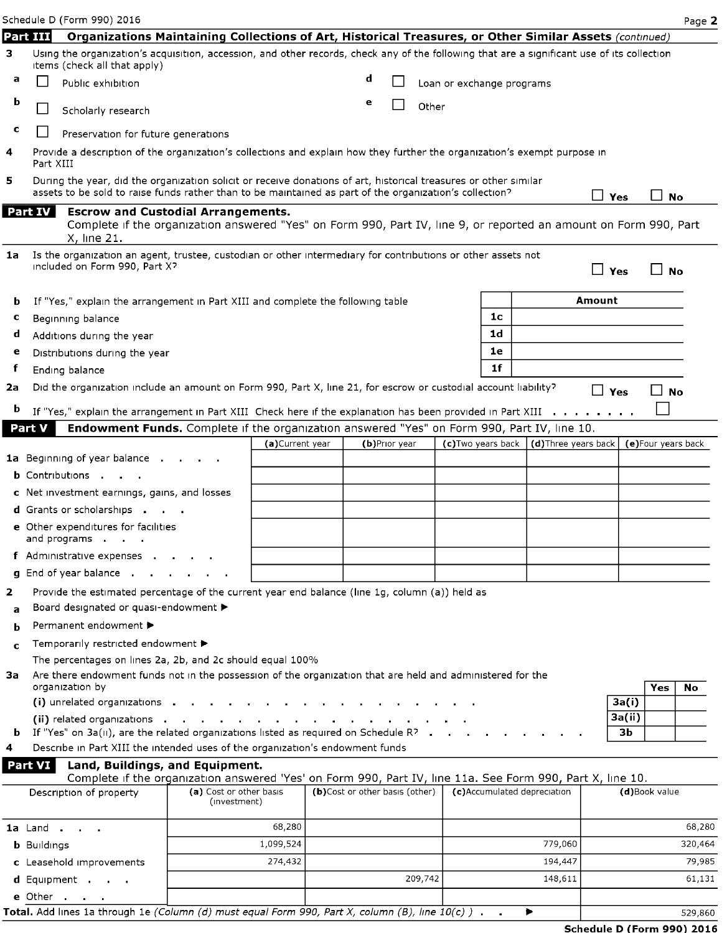Schedule D (Form 990) 2016 Page 2

e Other

|    | Part III           | Organizations Maintaining Collections of Art, Historical Treasures, or Other Similar Assets (continued)                                                                                                                     |                                         |                  |                                |   |               |         |                           |                |                             |               |                     |           |
|----|--------------------|-----------------------------------------------------------------------------------------------------------------------------------------------------------------------------------------------------------------------------|-----------------------------------------|------------------|--------------------------------|---|---------------|---------|---------------------------|----------------|-----------------------------|---------------|---------------------|-----------|
| з  |                    | Using the organization's acquisition, accession, and other records, check any of the following that are a significant use of its collection<br>items (check all that apply)                                                 |                                         |                  |                                |   |               |         |                           |                |                             |               |                     |           |
| а  |                    | Public exhibition                                                                                                                                                                                                           |                                         |                  |                                | d |               |         | Loan or exchange programs |                |                             |               |                     |           |
| b  |                    | Scholarly research                                                                                                                                                                                                          |                                         |                  |                                | e |               | Other   |                           |                |                             |               |                     |           |
| c  |                    | Preservation for future generations                                                                                                                                                                                         |                                         |                  |                                |   |               |         |                           |                |                             |               |                     |           |
| 4  | Part XIII          | Provide a description of the organization's collections and explain how they further the organization's exempt purpose in                                                                                                   |                                         |                  |                                |   |               |         |                           |                |                             |               |                     |           |
| 5  |                    | During the year, did the organization solicit or receive donations of art, historical treasures or other similar<br>assets to be sold to raise funds rather than to be maintained as part of the organization's collection? |                                         |                  |                                |   |               |         |                           |                |                             | $\Box$<br>Yes | $\mathsf{L}$<br>No  |           |
|    | Part IV            | <b>Escrow and Custodial Arrangements.</b><br>Complete if the organization answered "Yes" on Form 990, Part IV, line 9, or reported an amount on Form 990, Part<br>X, line 21.                                               |                                         |                  |                                |   |               |         |                           |                |                             |               |                     |           |
| 1a |                    | Is the organization an agent, trustee, custodian or other intermediary for contributions or other assets not<br>included on Form 990, Part X?                                                                               |                                         |                  |                                |   |               |         |                           |                |                             | $\Box$ Yes    | $\Box$ No           |           |
| b  |                    | If "Yes," explain the arrangement in Part XIII and complete the following table                                                                                                                                             |                                         |                  |                                |   |               |         |                           |                |                             | Amount        |                     |           |
| c  |                    | Beginning balance                                                                                                                                                                                                           |                                         |                  |                                |   |               |         |                           | 1 <sub>c</sub> |                             |               |                     |           |
| d  |                    | Additions during the year                                                                                                                                                                                                   |                                         |                  |                                |   |               |         |                           | 1 <sub>d</sub> |                             |               |                     |           |
| е  |                    | Distributions during the year                                                                                                                                                                                               |                                         |                  |                                |   |               |         |                           | 1e             |                             |               |                     |           |
| f  |                    | Ending balance                                                                                                                                                                                                              |                                         |                  |                                |   |               |         |                           | 1 <sup>f</sup> |                             |               |                     |           |
| 2a |                    | Did the organization include an amount on Form 990, Part X, line 21, for escrow or custodial account liability?                                                                                                             |                                         |                  |                                |   |               |         |                           |                |                             | $\Box$ Yes    | ⊥ No                |           |
| b  |                    | If "Yes," explain the arrangement in Part XIII Check here if the explanation has been provided in Part XIII $\dots$ , , , , , .                                                                                             |                                         |                  |                                |   |               |         |                           |                |                             |               |                     |           |
|    | Part V             | Endowment Funds. Complete if the organization answered "Yes" on Form 990, Part IV, line 10.                                                                                                                                 |                                         |                  |                                |   |               |         |                           |                |                             |               |                     |           |
|    |                    |                                                                                                                                                                                                                             |                                         | (a) Current year |                                |   | (b)Prior year |         | (c) Two years back        |                | (d) Three years back        |               | (e) Four years back |           |
|    |                    | 1a Beginning of year balance.                                                                                                                                                                                               |                                         |                  |                                |   |               |         |                           |                |                             |               |                     |           |
|    |                    | <b>b</b> Contributions                                                                                                                                                                                                      |                                         |                  |                                |   |               |         |                           |                |                             |               |                     |           |
|    |                    | c Net investment earnings, gains, and losses                                                                                                                                                                                |                                         |                  |                                |   |               |         |                           |                |                             |               |                     |           |
|    |                    | <b>d</b> Grants or scholarships<br>e Other expenditures for facilities<br>and programs                                                                                                                                      |                                         |                  |                                |   |               |         |                           |                |                             |               |                     |           |
|    |                    | f Administrative expenses.                                                                                                                                                                                                  |                                         |                  |                                |   |               |         |                           |                |                             |               |                     |           |
|    |                    | <b>g</b> End of year balance.                                                                                                                                                                                               |                                         |                  |                                |   |               |         |                           |                |                             |               |                     |           |
| 2  |                    | Provide the estimated percentage of the current year end balance (line 1g, column (a)) held as                                                                                                                              |                                         |                  |                                |   |               |         |                           |                |                             |               |                     |           |
| a  |                    | Board designated or quasi-endowment ▶                                                                                                                                                                                       |                                         |                  |                                |   |               |         |                           |                |                             |               |                     |           |
| b  |                    | Permanent endowment ▶                                                                                                                                                                                                       |                                         |                  |                                |   |               |         |                           |                |                             |               |                     |           |
| c  |                    | Temporarily restricted endowment ▶                                                                                                                                                                                          |                                         |                  |                                |   |               |         |                           |                |                             |               |                     |           |
|    |                    | The percentages on lines 2a, 2b, and 2c should equal 100%                                                                                                                                                                   |                                         |                  |                                |   |               |         |                           |                |                             |               |                     |           |
|    |                    | 3a Are there endowment funds not in the possession of the organization that are held and administered for the<br>organization by                                                                                            |                                         |                  |                                |   |               |         |                           |                |                             |               | Yes                 | <b>No</b> |
|    |                    | (i) unrelated organizations                                                                                                                                                                                                 |                                         |                  |                                |   |               |         |                           |                |                             | 3a(i)         |                     |           |
|    |                    |                                                                                                                                                                                                                             |                                         |                  |                                |   |               |         |                           |                |                             | 3a(ii)        |                     |           |
|    |                    | <b>b</b> If "Yes" on $3a(u)$ , are the related organizations listed as required on Schedule R <sup>2</sup>                                                                                                                  |                                         |                  |                                |   |               |         |                           |                |                             | Зb            |                     |           |
| 4  |                    | Describe in Part XIII the intended uses of the organization's endowment funds                                                                                                                                               |                                         |                  |                                |   |               |         |                           |                |                             |               |                     |           |
|    | Part VI            | Land, Buildings, and Equipment.                                                                                                                                                                                             |                                         |                  |                                |   |               |         |                           |                |                             |               |                     |           |
|    |                    | Complete if the organization answered 'Yes' on Form 990, Part IV, line 11a. See Form 990, Part X, line 10.<br>Description of property                                                                                       | (a) Cost or other basis<br>(investment) |                  | (b)Cost or other basis (other) |   |               |         |                           |                | (c)Accumulated depreciation |               | (d)Book value       |           |
|    |                    |                                                                                                                                                                                                                             |                                         | 68,280           |                                |   |               |         |                           |                |                             |               |                     | 68,280    |
|    |                    | <b>1a</b> Land                                                                                                                                                                                                              |                                         | 1,099,524        |                                |   |               |         |                           |                | 779,060                     |               |                     | 320,464   |
|    | <b>b</b> Buildings |                                                                                                                                                                                                                             |                                         | 274,432          |                                |   |               |         |                           |                | 194,447                     |               |                     | 79,985    |
|    |                    | c Leasehold improvements<br>d Equipment                                                                                                                                                                                     |                                         |                  |                                |   |               | 209,742 |                           |                | 148,611                     |               |                     | 61,131    |
|    |                    |                                                                                                                                                                                                                             |                                         |                  |                                |   |               |         |                           |                |                             |               |                     |           |

Total. Add lines 1a through 1e (Column (d) must equal Form 990, Part X, column (B), line  $10(c)$ ) .  $\rightarrow$  529,860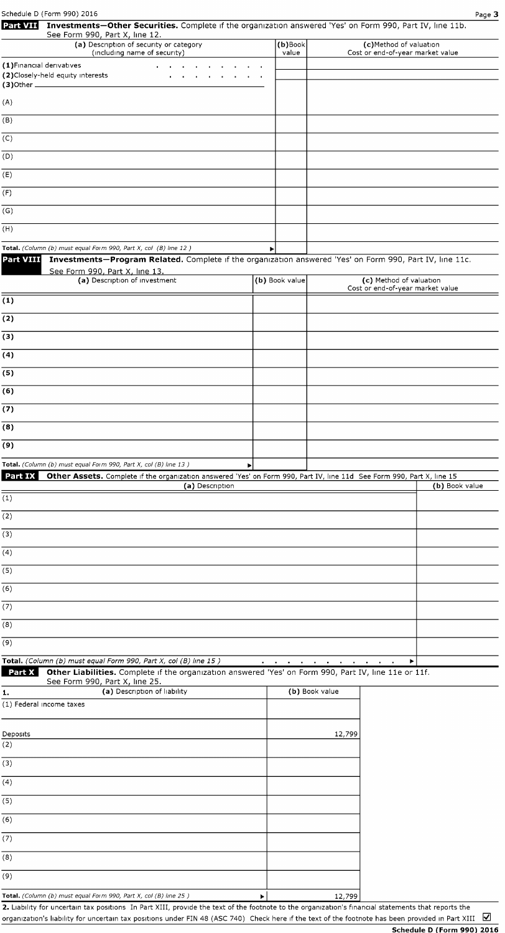| Schedule D (Form 990) 2016                          |                                                                                                                                                                           |                                                          |                                             |        | Page 3                                                      |
|-----------------------------------------------------|---------------------------------------------------------------------------------------------------------------------------------------------------------------------------|----------------------------------------------------------|---------------------------------------------|--------|-------------------------------------------------------------|
| Part VII                                            | Investments-Other Securities. Complete if the organization answered 'Yes' on Form 990, Part IV, line 11b.<br>See Form 990, Part X, line 12.                               |                                                          |                                             |        |                                                             |
|                                                     | (a) Description of security or category<br>(including name of security)                                                                                                   |                                                          | $(b)$ Book<br>value                         |        | (c)Method of valuation<br>Cost or end-of-year market value  |
| (1) Financial derivatives                           |                                                                                                                                                                           |                                                          |                                             |        |                                                             |
| (2) Closely-held equity interests<br>$(3)$ Other __ |                                                                                                                                                                           |                                                          |                                             |        |                                                             |
| (A)                                                 |                                                                                                                                                                           |                                                          |                                             |        |                                                             |
| (B)                                                 |                                                                                                                                                                           |                                                          |                                             |        |                                                             |
| (C)                                                 |                                                                                                                                                                           |                                                          |                                             |        |                                                             |
| (D)                                                 |                                                                                                                                                                           |                                                          |                                             |        |                                                             |
| (E)                                                 |                                                                                                                                                                           |                                                          |                                             |        |                                                             |
| (F)                                                 |                                                                                                                                                                           |                                                          |                                             |        |                                                             |
| (G)                                                 |                                                                                                                                                                           |                                                          |                                             |        |                                                             |
| (H)                                                 |                                                                                                                                                                           |                                                          |                                             |        |                                                             |
|                                                     | Total. (Column (b) must equal Form 990, Part X, col (B) line 12)                                                                                                          | ▶                                                        |                                             |        |                                                             |
| <b>Part VIII</b>                                    | Investments-Program Related. Complete if the organization answered 'Yes' on Form 990, Part IV, line 11c.<br>See Form 990, Part X, line 13.                                |                                                          |                                             |        |                                                             |
|                                                     | (a) Description of investment                                                                                                                                             | (b) Book value                                           |                                             |        | (c) Method of valuation<br>Cost or end-of-year market value |
| (1)                                                 |                                                                                                                                                                           |                                                          |                                             |        |                                                             |
| $\overline{(2)}$                                    |                                                                                                                                                                           |                                                          |                                             |        |                                                             |
| (3)                                                 |                                                                                                                                                                           |                                                          |                                             |        |                                                             |
| (4)                                                 |                                                                                                                                                                           |                                                          |                                             |        |                                                             |
| (5)                                                 |                                                                                                                                                                           |                                                          |                                             |        |                                                             |
| (6)                                                 |                                                                                                                                                                           |                                                          |                                             |        |                                                             |
| (7)                                                 |                                                                                                                                                                           |                                                          |                                             |        |                                                             |
| (8)                                                 |                                                                                                                                                                           |                                                          |                                             |        |                                                             |
| (9)                                                 |                                                                                                                                                                           |                                                          |                                             |        |                                                             |
|                                                     | Total. (Column (b) must equal Form 990, Part X, col (B) line 13)                                                                                                          |                                                          |                                             |        |                                                             |
| Part IX                                             | Other Assets. Complete if the organization answered 'Yes' on Form 990, Part IV, line 11d See Form 990, Part X, line 15<br>(a) Description                                 |                                                          |                                             |        | (b) Book value                                              |
| (1)                                                 |                                                                                                                                                                           |                                                          |                                             |        |                                                             |
| (2)                                                 |                                                                                                                                                                           |                                                          |                                             |        |                                                             |
| (3)                                                 |                                                                                                                                                                           |                                                          |                                             |        |                                                             |
| (4)                                                 |                                                                                                                                                                           |                                                          |                                             |        |                                                             |
| (5)                                                 |                                                                                                                                                                           |                                                          |                                             |        |                                                             |
| (6)                                                 |                                                                                                                                                                           |                                                          |                                             |        |                                                             |
| (7)                                                 |                                                                                                                                                                           |                                                          |                                             |        |                                                             |
| (8)                                                 |                                                                                                                                                                           |                                                          |                                             |        |                                                             |
| (9)                                                 |                                                                                                                                                                           |                                                          |                                             |        |                                                             |
| Part X                                              | Total. (Column (b) must equal Form 990, Part X, col (B) line 15)<br>Other Liabilities. Complete if the organization answered 'Yes' on Form 990, Part IV, line 11e or 11f. | $\mathbf{r} = \mathbf{r} \cdot \mathbf{r}$<br>$\sim 100$ | $\sim 100$<br>$\sim$ 10 $\pm$<br><b>COL</b> |        | ▶                                                           |
|                                                     | See Form 990, Part X, line 25.<br>(a) Description of liability                                                                                                            |                                                          | (b) Book value                              |        |                                                             |
| 1.<br>(1) Federal income taxes                      |                                                                                                                                                                           |                                                          |                                             |        |                                                             |
| Deposits                                            |                                                                                                                                                                           |                                                          |                                             | 12,799 |                                                             |
| (2)                                                 |                                                                                                                                                                           |                                                          |                                             |        |                                                             |
| (3)                                                 |                                                                                                                                                                           |                                                          |                                             |        |                                                             |
| (4)                                                 |                                                                                                                                                                           |                                                          |                                             |        |                                                             |
| (5)                                                 |                                                                                                                                                                           |                                                          |                                             |        |                                                             |
| (6)                                                 |                                                                                                                                                                           |                                                          |                                             |        |                                                             |
| (7)                                                 |                                                                                                                                                                           |                                                          |                                             |        |                                                             |
| (8)                                                 |                                                                                                                                                                           |                                                          |                                             |        |                                                             |
| (9)                                                 |                                                                                                                                                                           |                                                          |                                             |        |                                                             |
|                                                     | Total. (Column (b) must equal Form 990, Part X, col (B) line 25)                                                                                                          | $\blacktriangleright$                                    |                                             | 12,799 |                                                             |

2. Liability for uncertain tax positions In Part XIII, provide the text of the footnote to the organization's financial statements that reports the organization's liability for uncertain tax positions under FIN 48 (ASC 740) Check here if the text of the footnote has been provided in Part XIII  $\blacksquare$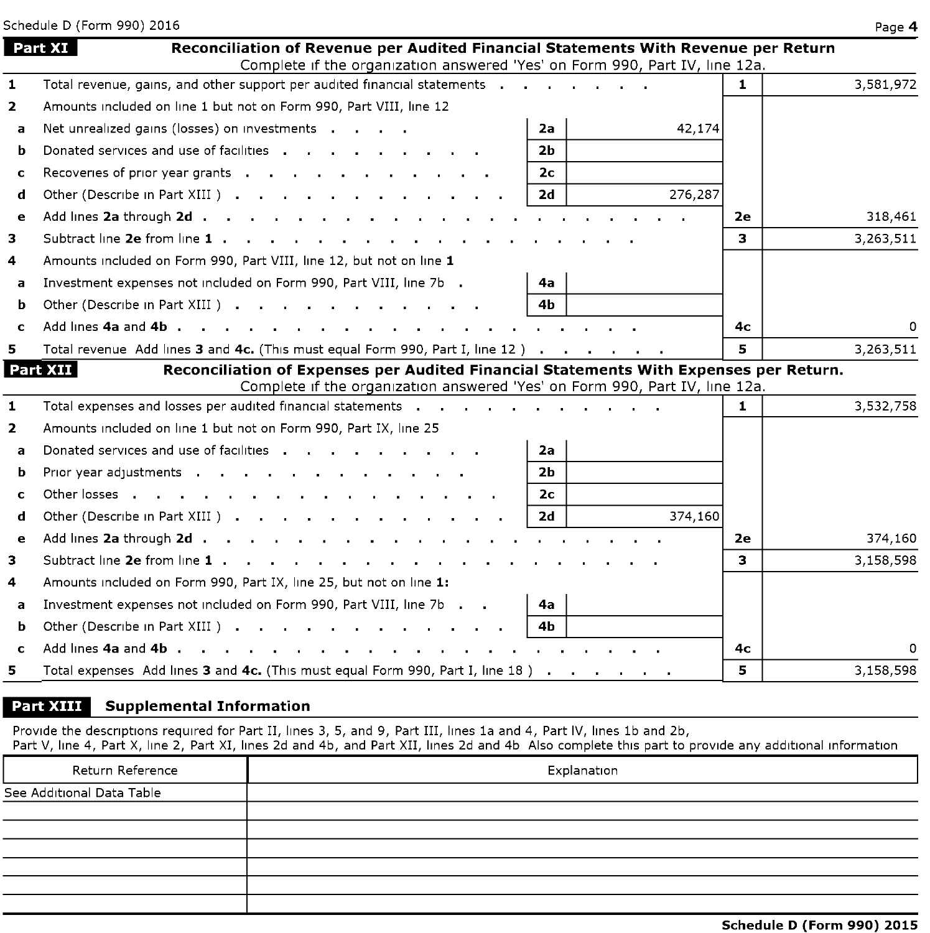|                | Schedule D (Form 990) 2016                                                                                                                                                                                                    |              | Page 4    |
|----------------|-------------------------------------------------------------------------------------------------------------------------------------------------------------------------------------------------------------------------------|--------------|-----------|
|                | Part XI<br>Reconciliation of Revenue per Audited Financial Statements With Revenue per Return<br>Complete if the organization answered 'Yes' on Form 990, Part IV, line 12a.                                                  |              |           |
| $\mathbf{1}$   | Total revenue, gains, and other support per audited financial statements                                                                                                                                                      | $\mathbf{1}$ | 3,581,972 |
| $\overline{2}$ | Amounts included on line 1 but not on Form 990, Part VIII, line 12                                                                                                                                                            |              |           |
| a              | Net unrealized gains (losses) on investments<br>2a<br>42,174                                                                                                                                                                  |              |           |
| b              | Donated services and use of facilities<br>2b                                                                                                                                                                                  |              |           |
| c              | 2 <sub>c</sub><br>Recoveries of prior year grants                                                                                                                                                                             |              |           |
| d              | 276,287<br>2d<br>Other (Describe in Part XIII )                                                                                                                                                                               |              |           |
| e              | Add lines 2a through 2d<br><b>Contract Contract</b>                                                                                                                                                                           | 2e           | 318,461   |
| 3              |                                                                                                                                                                                                                               | 3.           | 3,263,511 |
| 4              | Amounts included on Form 990, Part VIII, line 12, but not on line 1                                                                                                                                                           |              |           |
| a              | Investment expenses not included on Form 990, Part VIII, line 7b<br>4a                                                                                                                                                        |              |           |
| b              | 4 <sub>b</sub><br>Other (Describe in Part XIII)                                                                                                                                                                               |              |           |
| C              | Add lines 4a and 4b, $\cdot \cdot \cdot$ , $\cdot \cdot \cdot$ , $\cdot \cdot \cdot$ , $\cdot \cdot \cdot$<br>the contract of the contract of the contract of the contract of the contract of the contract of the contract of | 4с           | O         |
| 5.             | Total revenue Add lines 3 and 4c. (This must equal Form 990, Part I, line 12)                                                                                                                                                 | 5.           | 3,263,511 |
|                | Part XII<br>Reconciliation of Expenses per Audited Financial Statements With Expenses per Return.<br>Complete if the organization answered 'Yes' on Form 990, Part IV, line 12a.                                              |              |           |
| 1              | Total expenses and losses per audited financial statements                                                                                                                                                                    | $\mathbf{1}$ | 3,532,758 |
| $\overline{2}$ | Amounts included on line 1 but not on Form 990, Part IX, line 25                                                                                                                                                              |              |           |
| a              | Donated services and use of facilities entity and the entries of the control of the control of the control of<br>2a                                                                                                           |              |           |
| b              | 2h<br>Prior year adjustments and a series are a series and a series are a series and a series are a series and a ser                                                                                                          |              |           |
| c              | Other losses<br>2 <sub>c</sub>                                                                                                                                                                                                |              |           |
| d              | 374,160<br>Other (Describe in Part XIII) (Case of Contract of Contract of Contract of Contract of Contract of Contract of<br>2d                                                                                               |              |           |
| e              | Add lines 2a through 2d                                                                                                                                                                                                       | 2e           | 374,160   |
| 3              | Subtract line 2e from line 1                                                                                                                                                                                                  | 3.           | 3,158,598 |
| 4              | Amounts included on Form 990, Part IX, line 25, but not on line 1:                                                                                                                                                            |              |           |
| a              | Investment expenses not included on Form 990, Part VIII, line 7b<br>4a                                                                                                                                                        |              |           |
| b              | 4b                                                                                                                                                                                                                            |              |           |
| c              | Add lines 4a and 4b.                                                                                                                                                                                                          | 4с           | $\Omega$  |
| 5.             | Total expenses Add lines 3 and 4c. (This must equal Form 990, Part I, line 18)                                                                                                                                                | 5.           | 3,158,598 |

#### **Part XIII** Supplemental Information

Provide the descriptions required for Part II, lines 3, 5, and 9, Part III, lines la and 4, Part IV, lines lb and 2b,

Part V, line 4, Part X, line 2, Part XI, lines 2d and 4b, and Part XII, lines 2d and 4b Also complete this part to provide any additional information

| Return Reference          | Explanation |
|---------------------------|-------------|
| See Additional Data Table |             |
|                           |             |
|                           |             |
|                           |             |
|                           |             |
|                           |             |
|                           |             |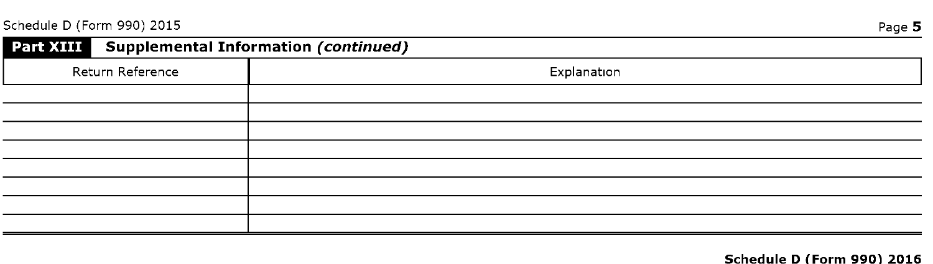Schedule D (Form 990) 2015 Page 5

| Part XIII Supplemental Information (continued) |             |
|------------------------------------------------|-------------|
| Return Reference                               | Explanation |
|                                                |             |
|                                                |             |
|                                                |             |
|                                                |             |
|                                                |             |
|                                                |             |
|                                                |             |
|                                                |             |

#### Schedule D (Form 990) 2016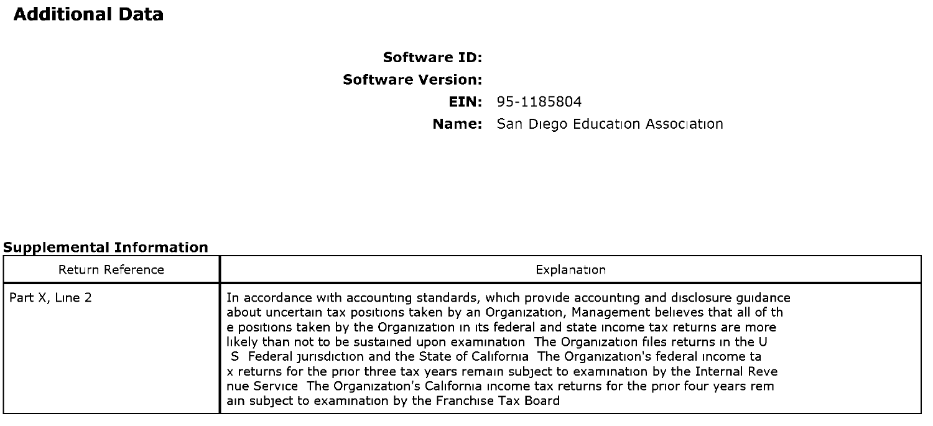# Additional Data

# Software ID: Software Version: EIN: 95-1185804 Name: San Diego Education Association

#### Sunnlemental Information

| Return Reference | Explanation                                                                                                                                                                                                                                                                                                                                                                                                                                                                                                                                                                                                                                                                                                                      |  |  |  |  |
|------------------|----------------------------------------------------------------------------------------------------------------------------------------------------------------------------------------------------------------------------------------------------------------------------------------------------------------------------------------------------------------------------------------------------------------------------------------------------------------------------------------------------------------------------------------------------------------------------------------------------------------------------------------------------------------------------------------------------------------------------------|--|--|--|--|
| Part X, Line 2   | In accordance with accounting standards, which provide accounting and disclosure guidance<br>about uncertain tax positions taken by an Organization, Management believes that all of th<br>e positions taken by the Organization in its federal and state income tax returns are more<br>likely than not to be sustained upon examination The Organization files returns in the U<br>S Federal jurisdiction and the State of California The Organization's federal income ta<br>x returns for the prior three tax years remain subject to examination by the Internal Reve<br>nue Service The Organization's California income tax returns for the prior four years rem<br>ain subject to examination by the Franchise Tax Board |  |  |  |  |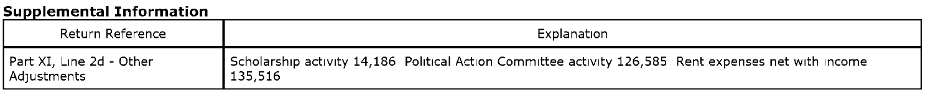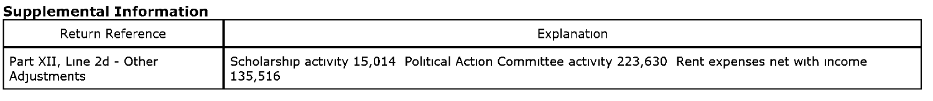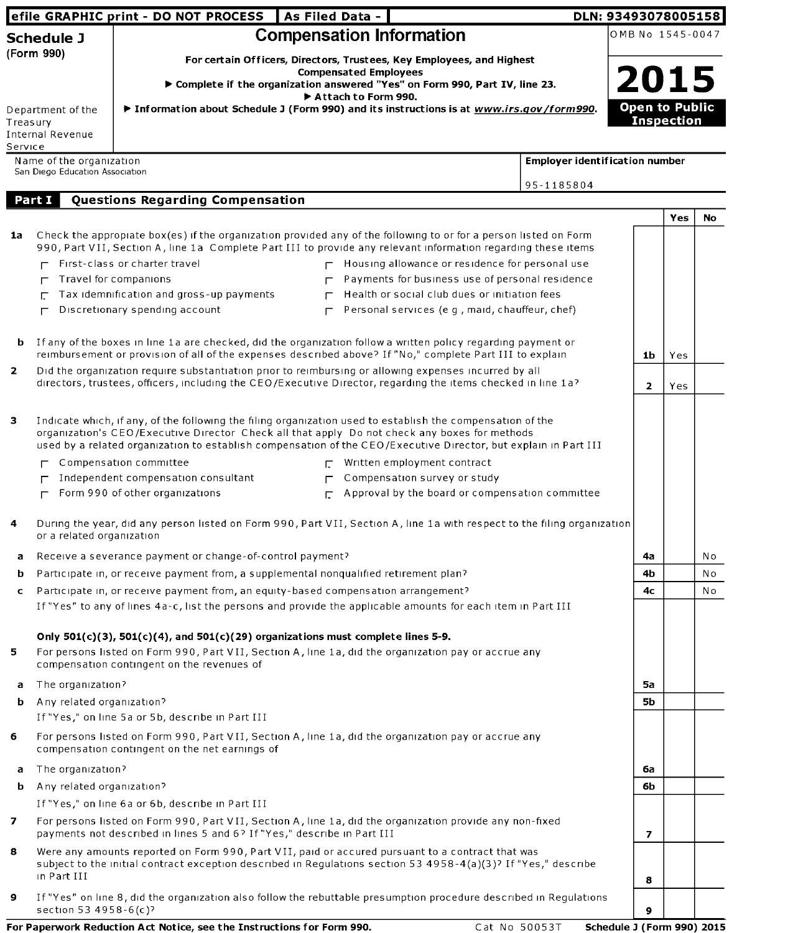|                |                                 | efile GRAPHIC print - DO NOT PROCESS   As Filed Data -                                                                                                                                                                                                                                                                         |                                 |                                                                              | DLN: 93493078005158                   |                       |                   |                |
|----------------|---------------------------------|--------------------------------------------------------------------------------------------------------------------------------------------------------------------------------------------------------------------------------------------------------------------------------------------------------------------------------|---------------------------------|------------------------------------------------------------------------------|---------------------------------------|-----------------------|-------------------|----------------|
|                | <b>Schedule J</b>               |                                                                                                                                                                                                                                                                                                                                | <b>Compensation Information</b> |                                                                              |                                       | OMB No 1545-0047      |                   |                |
|                | (Form 990)                      |                                                                                                                                                                                                                                                                                                                                |                                 | For certain Officers, Directors, Trustees, Key Employees, and Highest        |                                       |                       |                   |                |
|                |                                 |                                                                                                                                                                                                                                                                                                                                | <b>Compensated Employees</b>    | ▶ Complete if the organization answered "Yes" on Form 990, Part IV, line 23. |                                       | 2015                  |                   |                |
|                |                                 |                                                                                                                                                                                                                                                                                                                                | Attach to Form 990.             |                                                                              |                                       |                       |                   |                |
| Treasury       | Department of the               | ▶ Information about Schedule J (Form 990) and its instructions is at www.irs.gov/form990.                                                                                                                                                                                                                                      |                                 |                                                                              |                                       | <b>Open to Public</b> | <b>Inspection</b> |                |
|                | <b>Internal Revenue</b>         |                                                                                                                                                                                                                                                                                                                                |                                 |                                                                              |                                       |                       |                   |                |
| Service        | Name of the organization        |                                                                                                                                                                                                                                                                                                                                |                                 |                                                                              | <b>Employer identification number</b> |                       |                   |                |
|                | San Diego Education Association |                                                                                                                                                                                                                                                                                                                                |                                 |                                                                              |                                       |                       |                   |                |
|                | Part I                          |                                                                                                                                                                                                                                                                                                                                |                                 |                                                                              | 95-1185804                            |                       |                   |                |
|                |                                 | Questions Regarding Compensation                                                                                                                                                                                                                                                                                               |                                 |                                                                              |                                       |                       | Yes               | No             |
| 1a             |                                 | Check the appropiate box(es) if the organization provided any of the following to or for a person listed on Form<br>990, Part VII, Section A, line 1a Complete Part III to provide any relevant information regarding these items                                                                                              |                                 |                                                                              |                                       |                       |                   |                |
|                |                                 | First-class or charter travel                                                                                                                                                                                                                                                                                                  |                                 | $\Gamma$ Housing allowance or residence for personal use                     |                                       |                       |                   |                |
|                |                                 | Travel for companions                                                                                                                                                                                                                                                                                                          |                                 | Payments for business use of personal residence                              |                                       |                       |                   |                |
|                | Е                               | Tax idemnification and gross-up payments                                                                                                                                                                                                                                                                                       |                                 | Health or social club dues or initiation fees                                |                                       |                       |                   |                |
|                | г                               | Discretionary spending account                                                                                                                                                                                                                                                                                                 | $\Gamma$                        | Personal services (e g, maid, chauffeur, chef)                               |                                       |                       |                   |                |
|                |                                 |                                                                                                                                                                                                                                                                                                                                |                                 |                                                                              |                                       |                       |                   |                |
| b              |                                 | If any of the boxes in line 1a are checked, did the organization follow a written policy regarding payment or<br>reimbursement or provision of all of the expenses described above? If "No," complete Part III to explain                                                                                                      |                                 |                                                                              |                                       | 1b                    | Yes               |                |
| $\overline{2}$ |                                 | Did the organization require substantiation prior to reimbursing or allowing expenses incurred by all                                                                                                                                                                                                                          |                                 |                                                                              |                                       |                       |                   |                |
|                |                                 | directors, trustees, officers, including the CEO/Executive Director, regarding the items checked in line 1a?                                                                                                                                                                                                                   |                                 |                                                                              |                                       | $\mathbf{2}$          | Yes               |                |
|                |                                 |                                                                                                                                                                                                                                                                                                                                |                                 |                                                                              |                                       |                       |                   |                |
| 3              |                                 | Indicate which, if any, of the following the filing organization used to establish the compensation of the<br>organization's CEO/Executive Director Check all that apply Do not check any boxes for methods<br>used by a related organization to establish compensation of the CEO/Executive Director, but explain in Part III |                                 |                                                                              |                                       |                       |                   |                |
|                |                                 | Compensation committee                                                                                                                                                                                                                                                                                                         |                                 | $\Gamma$ Written employment contract                                         |                                       |                       |                   |                |
|                |                                 | Independent compensation consultant                                                                                                                                                                                                                                                                                            |                                 | Compensation survey or study                                                 |                                       |                       |                   |                |
|                | г                               | Form 990 of other organizations                                                                                                                                                                                                                                                                                                | Г.                              | Approval by the board or compensation committee                              |                                       |                       |                   |                |
| 4              | or a related organization       | During the year, did any person listed on Form 990, Part VII, Section A, line 1a with respect to the filing organization                                                                                                                                                                                                       |                                 |                                                                              |                                       |                       |                   |                |
| а              |                                 | Receive a severance payment or change-of-control payment?                                                                                                                                                                                                                                                                      |                                 |                                                                              |                                       | 4a                    |                   | N o            |
| b              |                                 | Participate in, or receive payment from, a supplemental nonqualified retirement plan?                                                                                                                                                                                                                                          |                                 |                                                                              |                                       | 4b                    |                   | Νo             |
| c              |                                 | Participate in, or receive payment from, an equity-based compensation arrangement?                                                                                                                                                                                                                                             |                                 |                                                                              |                                       | 4с                    |                   | N <sub>o</sub> |
|                |                                 | If "Yes" to any of lines 4a-c, list the persons and provide the applicable amounts for each item in Part III                                                                                                                                                                                                                   |                                 |                                                                              |                                       |                       |                   |                |
|                |                                 | Only $501(c)(3)$ , $501(c)(4)$ , and $501(c)(29)$ organizations must complete lines 5-9.                                                                                                                                                                                                                                       |                                 |                                                                              |                                       |                       |                   |                |
| 5              |                                 | For persons listed on Form 990, Part VII, Section A, line 1a, did the organization pay or accrue any                                                                                                                                                                                                                           |                                 |                                                                              |                                       |                       |                   |                |
|                |                                 | compensation contingent on the revenues of                                                                                                                                                                                                                                                                                     |                                 |                                                                              |                                       |                       |                   |                |
| a              | The organization?               |                                                                                                                                                                                                                                                                                                                                |                                 |                                                                              |                                       | 5а                    |                   |                |
| b.             | Any related organization?       |                                                                                                                                                                                                                                                                                                                                |                                 |                                                                              |                                       | 5b                    |                   |                |
|                |                                 | If "Yes," on line 5a or 5b, describe in Part III                                                                                                                                                                                                                                                                               |                                 |                                                                              |                                       |                       |                   |                |
| 6              |                                 | For persons listed on Form 990, Part VII, Section A, line 1a, did the organization pay or accrue any<br>compensation contingent on the net earnings of                                                                                                                                                                         |                                 |                                                                              |                                       |                       |                   |                |
| a              | The organization?               |                                                                                                                                                                                                                                                                                                                                |                                 |                                                                              |                                       | 6a                    |                   |                |
| b              | Any related organization?       |                                                                                                                                                                                                                                                                                                                                |                                 |                                                                              |                                       | 6b                    |                   |                |
|                |                                 | If "Yes," on line 6a or 6b, describe in Part III                                                                                                                                                                                                                                                                               |                                 |                                                                              |                                       |                       |                   |                |
| 7              |                                 | For persons listed on Form 990, Part VII, Section A, line 1a, did the organization provide any non-fixed<br>payments not described in lines 5 and 6? If "Yes," describe in Part III                                                                                                                                            |                                 |                                                                              |                                       | 7                     |                   |                |
| 8              | in Part III                     | Were any amounts reported on Form 990, Part VII, paid or accured pursuant to a contract that was<br>subject to the initial contract exception described in Regulations section 53 4958-4(a)(3)? If "Yes," describe                                                                                                             |                                 |                                                                              |                                       | 8                     |                   |                |
| 9              | section 53 4958-6(c)?           | If "Yes" on line 8, did the organization also follow the rebuttable presumption procedure described in Regulations                                                                                                                                                                                                             |                                 |                                                                              |                                       | 9                     |                   |                |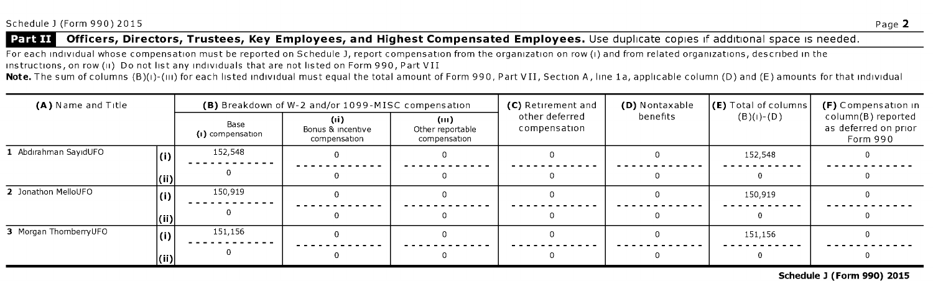#### Officers, Directors, Trustees, Key Employees, and Highest Compensated Employees. Use duplicate copies if additional space is needed. Part II

For each individual whose compensation must be reported on Schedule J, report compensation from the organization on row (i) and from related organizations, described in the instructions, on row (ii) Do not list any individuals that are not listed on Form 990, Part VII

Note. The sum of columns (B)(i)-(iii) for each listed individual must equal the total amount of Form 990, Part VII, Section A, line 1a, applicable column (D) and (E) amounts for that individual

| (A) Name and Title     |                      |                          | (B) Breakdown of W-2 and/or 1099-MISC compensation |                                         | (C) Retirement and             | (D) Nontaxable | $\left\vert \left( \mathsf{E}\right) \right.$ Total of columns $\left\vert \right.$ | (F) Compensation in                                    |  |
|------------------------|----------------------|--------------------------|----------------------------------------------------|-----------------------------------------|--------------------------------|----------------|-------------------------------------------------------------------------------------|--------------------------------------------------------|--|
|                        |                      | Base<br>(i) compensation | Bonus & incentive<br>compensation                  | (m)<br>Other reportable<br>compensation | other deferred<br>compensation | benefits       | $(B)(1)-(D)$                                                                        | column(B) reported<br>as deferred on prior<br>Form 990 |  |
| . Abdırahman SavıdUFO  |                      | 152,548                  |                                                    |                                         |                                |                | 152,548                                                                             |                                                        |  |
|                        | (iii)                |                          |                                                    |                                         |                                |                |                                                                                     |                                                        |  |
| 2 Jonathon MelloUFO    |                      | 150,919                  |                                                    |                                         |                                |                | 150,919                                                                             |                                                        |  |
|                        | $\vert$ (ii) $\vert$ |                          |                                                    |                                         |                                |                |                                                                                     |                                                        |  |
| 3 Morgan ThornberryUFO | (i)                  | 151,156                  |                                                    |                                         |                                |                | 151,156                                                                             |                                                        |  |
|                        | (iii)                |                          |                                                    |                                         |                                |                |                                                                                     |                                                        |  |

Schedule <sup>3</sup> (Form 990) 2015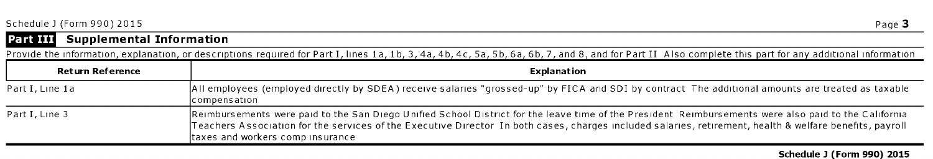| Schedule J (Form 990) 2015 | Page. |
|----------------------------|-------|
|                            |       |



# Part III Supplemental Information

| Provide the information, explanation, or descriptions required for Part I, lines 1a, 1b, 3, 4a, 4b, 4c, 5a, 5b, 6a, 6b, 7, and 8, and for Part II Also complete this part for any additional information |                                                                                                                                                                                                                                                                                                                                                       |  |  |  |  |  |
|----------------------------------------------------------------------------------------------------------------------------------------------------------------------------------------------------------|-------------------------------------------------------------------------------------------------------------------------------------------------------------------------------------------------------------------------------------------------------------------------------------------------------------------------------------------------------|--|--|--|--|--|
| <b>Return Reference</b>                                                                                                                                                                                  | <b>Explanation</b>                                                                                                                                                                                                                                                                                                                                    |  |  |  |  |  |
| Part I, Line 1a                                                                                                                                                                                          | All employees (employed directly by SDEA) receive salaries "grossed-up" by FICA and SDI by contract The additional amounts are treated as taxable<br> compensation                                                                                                                                                                                    |  |  |  |  |  |
| Part I, Line 3                                                                                                                                                                                           | Reimbursements were paid to the San Diego Unified School District for the leave time of the President Reimbursements were also paid to the California<br>Teachers Association for the services of the Executive Director In both cases, charges included salaries, retirement, health & welfare benefits, payroll<br>taxes and workers comp insurance |  |  |  |  |  |

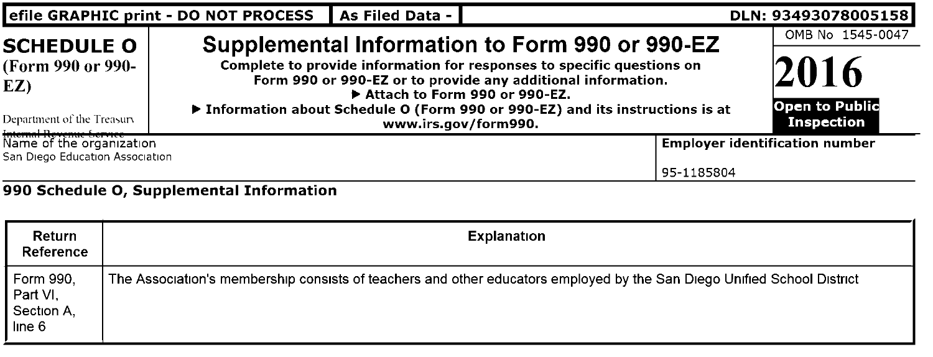| efile GRAPHIC print - DO NOT PROCESS                                                        |                                                                 | As Filed Data -                       |  | DLN: 93493078005158 |
|---------------------------------------------------------------------------------------------|-----------------------------------------------------------------|---------------------------------------|--|---------------------|
| <b>SCHEDULE O</b><br>(Form 990 or 990-<br>EZ)<br>Department of the Treasury                 | OMB No 1545-0047<br>2016<br><b>Open to Public</b><br>Inspection |                                       |  |                     |
| Internal Revenue Gervice — L<br>Name of the organization<br>San Diego Education Association | 95 1185804                                                      | <b>Employer identification number</b> |  |                     |
| Return<br>Reference                                                                         | 990 Schedule O, Supplemental Information                        | <b>Explanation</b>                    |  |                     |

| Form 990.<br>Part VI.<br>Section A.<br>line 6 | The Association's membership consists of teachers and other educators employed by the San Diego Unified School District |
|-----------------------------------------------|-------------------------------------------------------------------------------------------------------------------------|
|                                               |                                                                                                                         |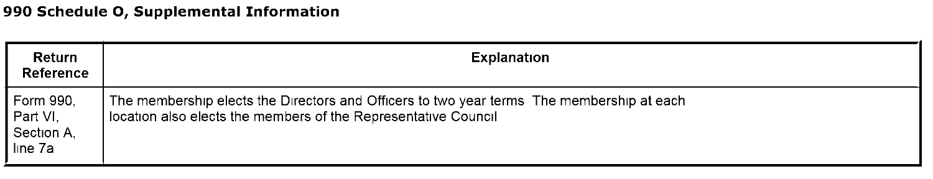| Return<br>Reference                            | Explanation                                                                                                                                                  |
|------------------------------------------------|--------------------------------------------------------------------------------------------------------------------------------------------------------------|
| Form 990.<br>Part VI.<br>Section A.<br>lıne 7a | The membership elects the Directors and Officers to two year terms. The membership at each<br>location also elects the members of the Representative Council |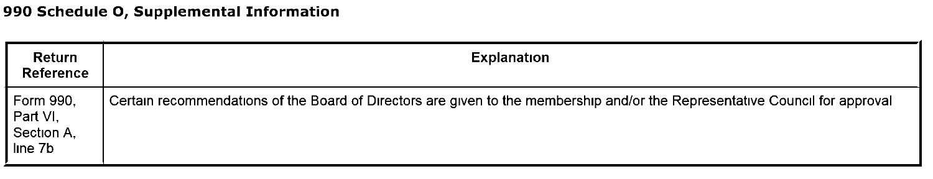| Return<br>Reference                            | Explanation                                                                                                                  |
|------------------------------------------------|------------------------------------------------------------------------------------------------------------------------------|
| Form 990,<br>Part VI,<br>Section A,<br>line 7b | Certain recommendations of the Board of Directors are given to the membership and/or the Representative Council for approval |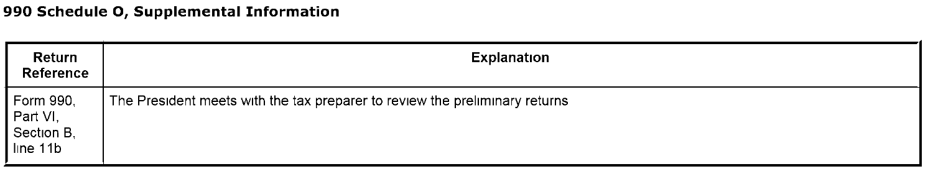| Return<br>Reference                             | Explanation                                                                 |
|-------------------------------------------------|-----------------------------------------------------------------------------|
| Form 990,<br>Part VI,<br>Section B.<br>line 11b | The President meets with the tax preparer to review the preliminary returns |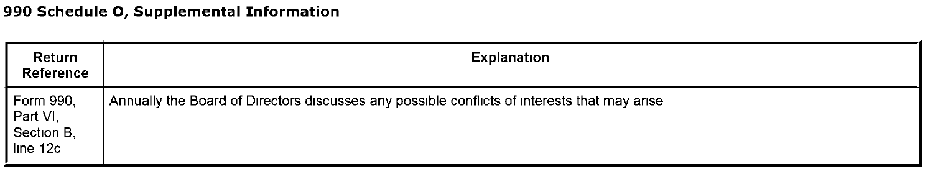| Return<br>Reference                             | Explanation                                                                                  |
|-------------------------------------------------|----------------------------------------------------------------------------------------------|
| Form 990,<br>Part VI,<br>Section B.<br>line 12c | Annually the Board of Directors discusses any possible conflicts of interests that may arise |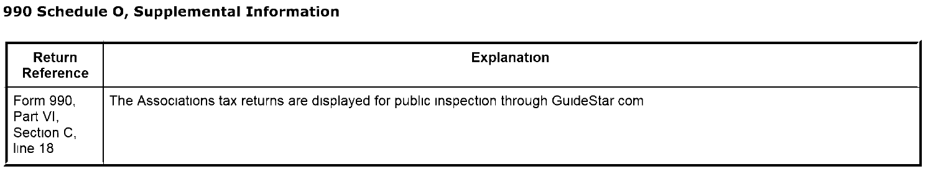| Return<br>Reference                            | Explanation                                                                            |
|------------------------------------------------|----------------------------------------------------------------------------------------|
| Form 990,<br>Part VI,<br>Section C.<br>line 18 | The Associations tax returns are displayed for public inspection through GuideStar com |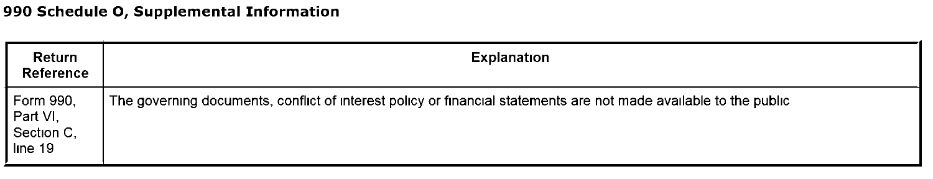| Return<br>Reference                            | <b>Explanation</b>                                                                                                |
|------------------------------------------------|-------------------------------------------------------------------------------------------------------------------|
| Form 990,<br>Part VI,<br>Section C,<br>line 19 | The governing documents, conflict of interest policy or financial statements are not made available to the public |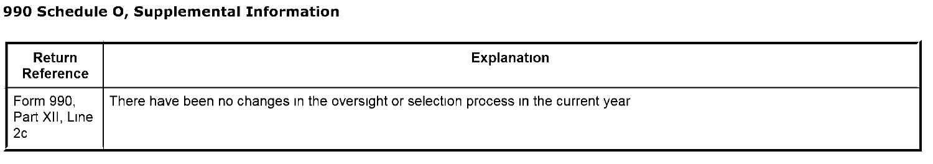| Return<br>Reference               | Explanation                                                                          |
|-----------------------------------|--------------------------------------------------------------------------------------|
| Form 990,<br>Part XII, Line<br>2c | There have been no changes in the oversight or selection process in the current year |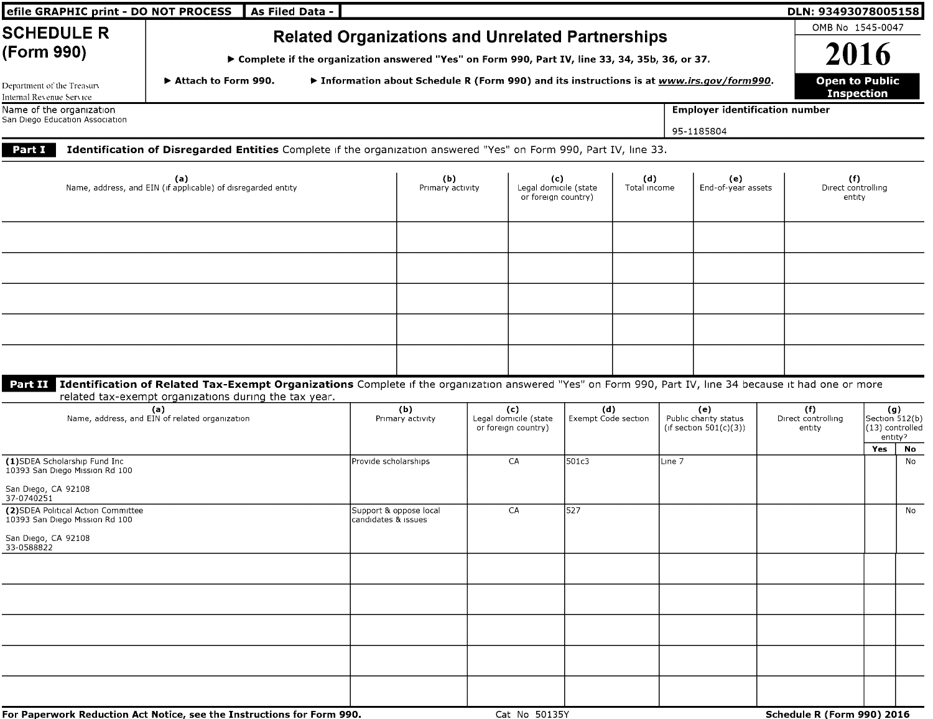| efile GRAPHIC print - DO NOT PROCESS                                  | As Filed Data -                                                                                                                                                                                                          |                                                                                                  |                                                                                           |  |                                                     |                            |                     |  |                                                           |  | DLN: 93493078005158                        |                |                                   |  |  |
|-----------------------------------------------------------------------|--------------------------------------------------------------------------------------------------------------------------------------------------------------------------------------------------------------------------|--------------------------------------------------------------------------------------------------|-------------------------------------------------------------------------------------------|--|-----------------------------------------------------|----------------------------|---------------------|--|-----------------------------------------------------------|--|--------------------------------------------|----------------|-----------------------------------|--|--|
| <b>SCHEDULE R</b>                                                     | <b>Related Organizations and Unrelated Partnerships</b>                                                                                                                                                                  |                                                                                                  |                                                                                           |  |                                                     |                            |                     |  |                                                           |  | OMB No 1545-0047                           |                |                                   |  |  |
| (Form 990)                                                            |                                                                                                                                                                                                                          |                                                                                                  |                                                                                           |  |                                                     |                            |                     |  |                                                           |  |                                            | 2016           |                                   |  |  |
|                                                                       |                                                                                                                                                                                                                          | ▶ Complete if the organization answered "Yes" on Form 990, Part IV, line 33, 34, 35b, 36, or 37. |                                                                                           |  |                                                     |                            |                     |  |                                                           |  |                                            |                |                                   |  |  |
| Department of the Treasury<br>Internal Revenue Service                | Attach to Form 990.                                                                                                                                                                                                      |                                                                                                  | ▶ Information about Schedule R (Form 990) and its instructions is at www.irs.gov/form990. |  |                                                     |                            |                     |  |                                                           |  | <b>Open to Public</b><br><b>Inspection</b> |                |                                   |  |  |
| Name of the organization<br>San Diego Education Association           |                                                                                                                                                                                                                          |                                                                                                  |                                                                                           |  |                                                     |                            |                     |  | <b>Employer identification number</b>                     |  |                                            |                |                                   |  |  |
|                                                                       |                                                                                                                                                                                                                          |                                                                                                  |                                                                                           |  |                                                     |                            |                     |  | 95-1185804                                                |  |                                            |                |                                   |  |  |
| Part I                                                                | Identification of Disregarded Entities Complete if the organization answered "Yes" on Form 990, Part IV, line 33.                                                                                                        |                                                                                                  |                                                                                           |  |                                                     |                            |                     |  |                                                           |  |                                            |                |                                   |  |  |
|                                                                       | (a)<br>Name, address, and EIN (if applicable) of disregarded entity                                                                                                                                                      |                                                                                                  | (b)<br>Primary activity                                                                   |  | (c)<br>Legal domicile (state<br>or foreign country) |                            | (d)<br>Total income |  | (e)<br>End-of-year assets                                 |  | (f)<br>Direct controlling<br>entity        |                |                                   |  |  |
|                                                                       |                                                                                                                                                                                                                          |                                                                                                  |                                                                                           |  |                                                     |                            |                     |  |                                                           |  |                                            |                |                                   |  |  |
|                                                                       |                                                                                                                                                                                                                          |                                                                                                  |                                                                                           |  |                                                     |                            |                     |  |                                                           |  |                                            |                |                                   |  |  |
|                                                                       |                                                                                                                                                                                                                          |                                                                                                  |                                                                                           |  |                                                     |                            |                     |  |                                                           |  |                                            |                |                                   |  |  |
|                                                                       |                                                                                                                                                                                                                          |                                                                                                  |                                                                                           |  |                                                     |                            |                     |  |                                                           |  |                                            |                |                                   |  |  |
|                                                                       |                                                                                                                                                                                                                          |                                                                                                  |                                                                                           |  |                                                     |                            |                     |  |                                                           |  |                                            |                |                                   |  |  |
|                                                                       |                                                                                                                                                                                                                          |                                                                                                  |                                                                                           |  |                                                     |                            |                     |  |                                                           |  |                                            |                |                                   |  |  |
|                                                                       |                                                                                                                                                                                                                          |                                                                                                  |                                                                                           |  |                                                     |                            |                     |  |                                                           |  |                                            |                |                                   |  |  |
|                                                                       | Part II Identification of Related Tax-Exempt Organizations Complete if the organization answered "Yes" on Form 990, Part IV, line 34 because it had one or more<br>related tax-exempt organizations during the tax year. |                                                                                                  |                                                                                           |  |                                                     |                            |                     |  |                                                           |  |                                            |                |                                   |  |  |
|                                                                       | (a)<br>Name, address, and EIN of related organization                                                                                                                                                                    |                                                                                                  | (b)<br>Primary activity                                                                   |  | (c)<br>Legal domicile (state<br>or foreign country) | (d)<br>Exempt Code section |                     |  | (e)<br>Public charity status<br>(if section $501(c)(3)$ ) |  | (f)<br>Direct controlling<br>entity        | Section 512(b) | (g)<br>(13) controlled<br>entity? |  |  |
|                                                                       |                                                                                                                                                                                                                          |                                                                                                  |                                                                                           |  |                                                     |                            |                     |  |                                                           |  |                                            | Yes            | No                                |  |  |
| (1)SDEA Scholarship Fund Inc<br>10393 San Diego Mission Rd 100        |                                                                                                                                                                                                                          |                                                                                                  | Provide scholarships                                                                      |  | CA<br>501c3                                         |                            | Line 7              |  |                                                           |  |                                            |                | No                                |  |  |
| San Diego, CA 92108<br>37-0740251                                     |                                                                                                                                                                                                                          |                                                                                                  |                                                                                           |  |                                                     |                            |                     |  |                                                           |  |                                            |                |                                   |  |  |
| (2) SDEA Political Action Committee<br>10393 San Diego Mission Rd 100 |                                                                                                                                                                                                                          | candidates & issues                                                                              | Support & oppose local                                                                    |  | CA                                                  | 527                        |                     |  |                                                           |  |                                            |                | No                                |  |  |
| San Diego, CA 92108<br>33-0588822                                     |                                                                                                                                                                                                                          |                                                                                                  |                                                                                           |  |                                                     |                            |                     |  |                                                           |  |                                            |                |                                   |  |  |
|                                                                       |                                                                                                                                                                                                                          |                                                                                                  |                                                                                           |  |                                                     |                            |                     |  |                                                           |  |                                            |                |                                   |  |  |
|                                                                       |                                                                                                                                                                                                                          |                                                                                                  |                                                                                           |  |                                                     |                            |                     |  |                                                           |  |                                            |                |                                   |  |  |
|                                                                       |                                                                                                                                                                                                                          |                                                                                                  |                                                                                           |  |                                                     |                            |                     |  |                                                           |  |                                            |                |                                   |  |  |
|                                                                       |                                                                                                                                                                                                                          |                                                                                                  |                                                                                           |  |                                                     |                            |                     |  |                                                           |  |                                            |                |                                   |  |  |
|                                                                       |                                                                                                                                                                                                                          |                                                                                                  |                                                                                           |  |                                                     |                            |                     |  |                                                           |  |                                            |                |                                   |  |  |
|                                                                       |                                                                                                                                                                                                                          |                                                                                                  |                                                                                           |  |                                                     |                            |                     |  |                                                           |  |                                            |                |                                   |  |  |
|                                                                       | For Paperwork Reduction Act Notice, see the Instructions for Form 990.                                                                                                                                                   |                                                                                                  |                                                                                           |  | Cat No 50135Y                                       |                            |                     |  |                                                           |  | Schedule R (Form 990) 2016                 |                |                                   |  |  |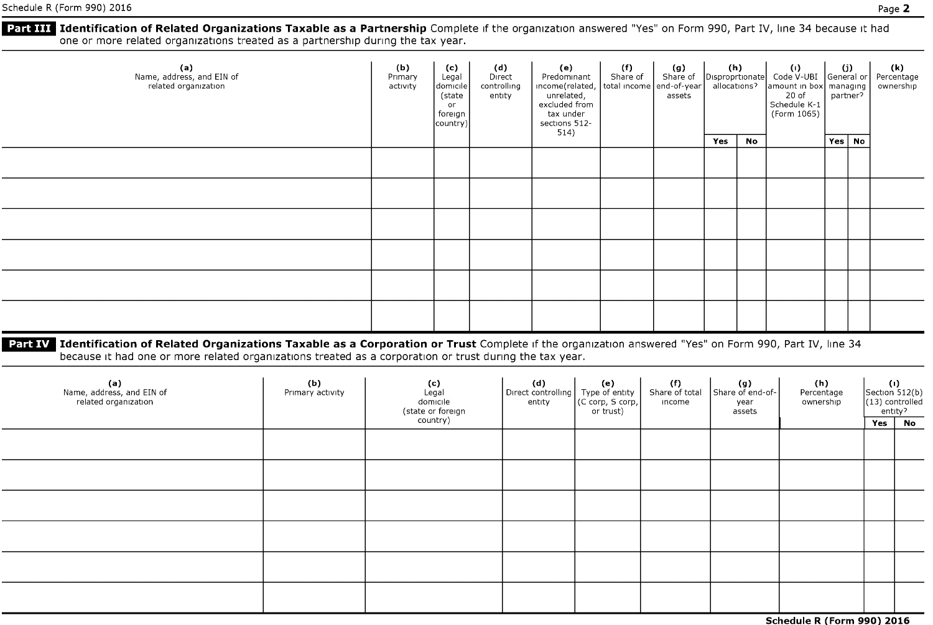**Part III Identification of Related Organizations Taxable as a Partnership** Complete if the organization answered "Yes" on Form 990, Part IV, line 34 because it had one or more related organizations treated as <sup>a</sup> partnership during the tax year.

| (a)<br>Name, address, and EIN of<br>related organization | (b)<br>Primary<br>activity | (c)<br>Legal<br>domicile<br>(state<br><b>or</b><br>foreign<br>country) | (d)<br>Direct<br>(e)<br>Predominant<br>income(related, total income end-of-year)<br>controlling<br>unrelated,<br>excluded from<br>entity<br>tax under<br>sections 512- | 514) |  |  |     |    |  | <b>(f)</b><br>Share of | (g)<br>Share of<br>assets | $\begin{vmatrix} (h) & (l) \end{vmatrix}$ Code V-UBI General or<br>allocations? |  | amount in box managing<br>20 of<br>Schedule K-1<br>(Form 1065) | partner <sup>2</sup> | (k)<br>Percentage<br>ownership |
|----------------------------------------------------------|----------------------------|------------------------------------------------------------------------|------------------------------------------------------------------------------------------------------------------------------------------------------------------------|------|--|--|-----|----|--|------------------------|---------------------------|---------------------------------------------------------------------------------|--|----------------------------------------------------------------|----------------------|--------------------------------|
|                                                          |                            |                                                                        |                                                                                                                                                                        |      |  |  | Yes | No |  | Yes   No               |                           |                                                                                 |  |                                                                |                      |                                |
|                                                          |                            |                                                                        |                                                                                                                                                                        |      |  |  |     |    |  |                        |                           |                                                                                 |  |                                                                |                      |                                |
|                                                          |                            |                                                                        |                                                                                                                                                                        |      |  |  |     |    |  |                        |                           |                                                                                 |  |                                                                |                      |                                |
|                                                          |                            |                                                                        |                                                                                                                                                                        |      |  |  |     |    |  |                        |                           |                                                                                 |  |                                                                |                      |                                |
|                                                          |                            |                                                                        |                                                                                                                                                                        |      |  |  |     |    |  |                        |                           |                                                                                 |  |                                                                |                      |                                |
|                                                          |                            |                                                                        |                                                                                                                                                                        |      |  |  |     |    |  |                        |                           |                                                                                 |  |                                                                |                      |                                |
|                                                          |                            |                                                                        |                                                                                                                                                                        |      |  |  |     |    |  |                        |                           |                                                                                 |  |                                                                |                      |                                |

Part IV Identification of Related Organizations Taxable as a Corporation or Trust Complete if the organization answered "Yes" on Form 990, Part IV, line 34 because it had one or more related organizations treated as <sup>a</sup> corporation or trust during the tax year.

| (a)<br>Name, address, and EIN of<br>related organization | (b)<br>Primary activity | (c)<br>Legal<br>domicile<br>(state or foreign<br>country) | (d)<br>Direct controlling<br>entity | (e)<br>Type of entity<br>(C corp, S corp,  <br>or trust) | (f)<br>Share of total<br>income | $\left  \begin{array}{c} \text{(g)} \\ \text{Share of end-of-} \end{array} \right $<br>year<br>assets | (h)<br>Percentage<br>ownership | $\left  \begin{array}{c} (1) \\ \text{Section 512(b)} \end{array} \right $<br>(13) controlled<br>Yes | entity?<br><b>No</b> |
|----------------------------------------------------------|-------------------------|-----------------------------------------------------------|-------------------------------------|----------------------------------------------------------|---------------------------------|-------------------------------------------------------------------------------------------------------|--------------------------------|------------------------------------------------------------------------------------------------------|----------------------|
|                                                          |                         |                                                           |                                     |                                                          |                                 |                                                                                                       |                                |                                                                                                      |                      |
|                                                          |                         |                                                           |                                     |                                                          |                                 |                                                                                                       |                                |                                                                                                      |                      |
|                                                          |                         |                                                           |                                     |                                                          |                                 |                                                                                                       |                                |                                                                                                      |                      |
|                                                          |                         |                                                           |                                     |                                                          |                                 |                                                                                                       |                                |                                                                                                      |                      |
|                                                          |                         |                                                           |                                     |                                                          |                                 |                                                                                                       |                                |                                                                                                      |                      |
|                                                          |                         |                                                           |                                     |                                                          |                                 |                                                                                                       |                                |                                                                                                      |                      |

Schedule R (Form 990) 2016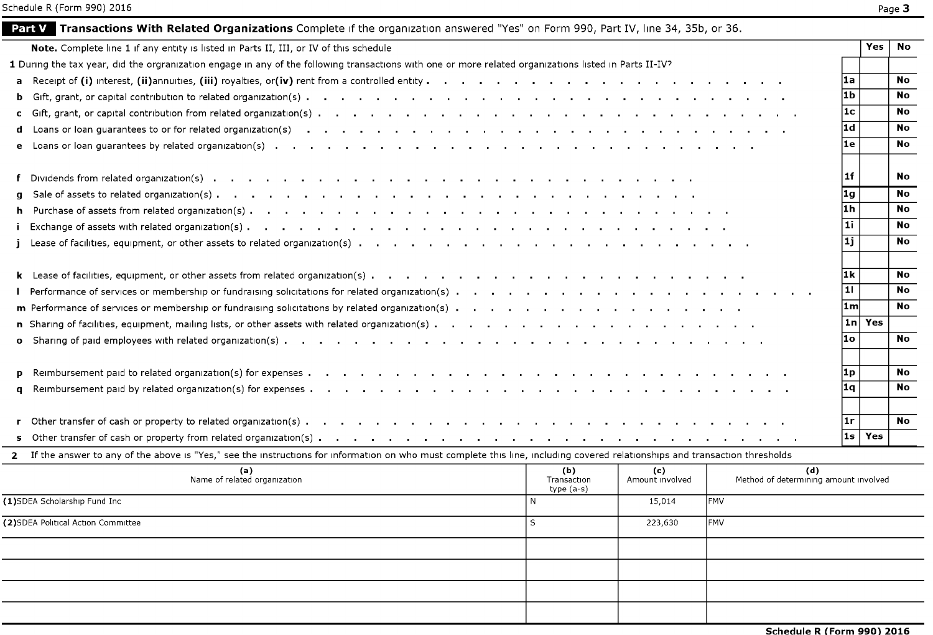|                                                                                                                                                                               |                                   |                        |                                              | 1f             |     | No        |
|-------------------------------------------------------------------------------------------------------------------------------------------------------------------------------|-----------------------------------|------------------------|----------------------------------------------|----------------|-----|-----------|
| q                                                                                                                                                                             |                                   |                        |                                              | 1g             |     | <b>No</b> |
| h.                                                                                                                                                                            |                                   |                        |                                              | l1h            |     | <b>No</b> |
|                                                                                                                                                                               |                                   |                        |                                              | l 1 i          |     | <b>No</b> |
|                                                                                                                                                                               |                                   |                        |                                              | l 1 i          |     | No        |
|                                                                                                                                                                               |                                   |                        |                                              |                |     |           |
|                                                                                                                                                                               |                                   |                        |                                              | l1k            |     | <b>No</b> |
|                                                                                                                                                                               |                                   |                        |                                              | 11             |     | No.       |
| m Performance of services or membership or fundraising solicitations by related organization(s)                                                                               |                                   |                        |                                              | l1ml           |     | <b>No</b> |
| n Sharing of facilities, equipment, mailing lists, or other assets with related organization(s)                                                                               |                                   |                        |                                              | 1 n            | Yes |           |
| $\mathbf{o}$                                                                                                                                                                  |                                   |                        |                                              | l1o            |     | <b>No</b> |
|                                                                                                                                                                               |                                   |                        |                                              | 1 <sub>p</sub> |     | <b>No</b> |
| q                                                                                                                                                                             |                                   |                        |                                              | 1q             |     | <b>No</b> |
|                                                                                                                                                                               |                                   |                        |                                              |                |     |           |
|                                                                                                                                                                               |                                   |                        |                                              | l1r            |     | <b>No</b> |
|                                                                                                                                                                               |                                   |                        |                                              | l1s            | Yes |           |
| 2 If the answer to any of the above is "Yes," see the instructions for information on who must complete this line, including covered relationships and transaction thresholds |                                   |                        |                                              |                |     |           |
| (a)<br>Name of related organization                                                                                                                                           | (b)<br>Transaction<br>$type(a-s)$ | (c)<br>Amount involved | (d)<br>Method of determining amount involved |                |     |           |
| (1)SDEA Scholarship Fund Inc<br>N                                                                                                                                             |                                   | 15,014                 | IFMV                                         |                |     |           |
| (2)SDEA Political Action Committee<br>S                                                                                                                                       |                                   | 223,630                | <b>FMV</b>                                   |                |     |           |
|                                                                                                                                                                               |                                   |                        |                                              |                |     |           |
|                                                                                                                                                                               |                                   |                        |                                              |                |     |           |
|                                                                                                                                                                               |                                   |                        |                                              |                |     |           |
|                                                                                                                                                                               |                                   |                        |                                              |                |     |           |
|                                                                                                                                                                               |                                   |                        | Schedule R (Form 990) 2016                   |                |     |           |
|                                                                                                                                                                               |                                   |                        |                                              |                |     |           |

Note. Complete line 1 if any entity is listed in Parts II, III, or IV of this schedule **Yes Note All any entity is listed in Parts II**, III, or IV of this schedule **Yes Note All any entity is listed in Parts II**, III, or I

a Receipt of (i) interest, (ii)annuities, (iii) royalties, or(iv) rent from a controlled entity . la No is need not a need on the No is need to the No is need to help and No is not a need to help No is not a need to help N <sup>b</sup> Gift, grant, or capital contribution to related organization( s) . ib No <sup>c</sup> Gift, grant, or capital contribution from related organization( s) . . . . . . . . . . . . . . . . . . lc No d Loans or loan guarantees to or for related organization(s) idea interest in the content of the North Content or the North Content of North Content or the North Content or the North Content or the North Content or the Nor <sup>e</sup> Loans or loan guarantees by related organization( s) . . . . . . . . . . . le No

| <b>Part V</b> Transactions With Related Organizations Complete if the organization answered "Yes" on Form 990, Part IV, line 34, 35b, or 36, |  |
|----------------------------------------------------------------------------------------------------------------------------------------------|--|
|----------------------------------------------------------------------------------------------------------------------------------------------|--|

1 During the tax year, did the orgranization engage in any of the following transactions with one or more related organizations listed in Parts II-IV?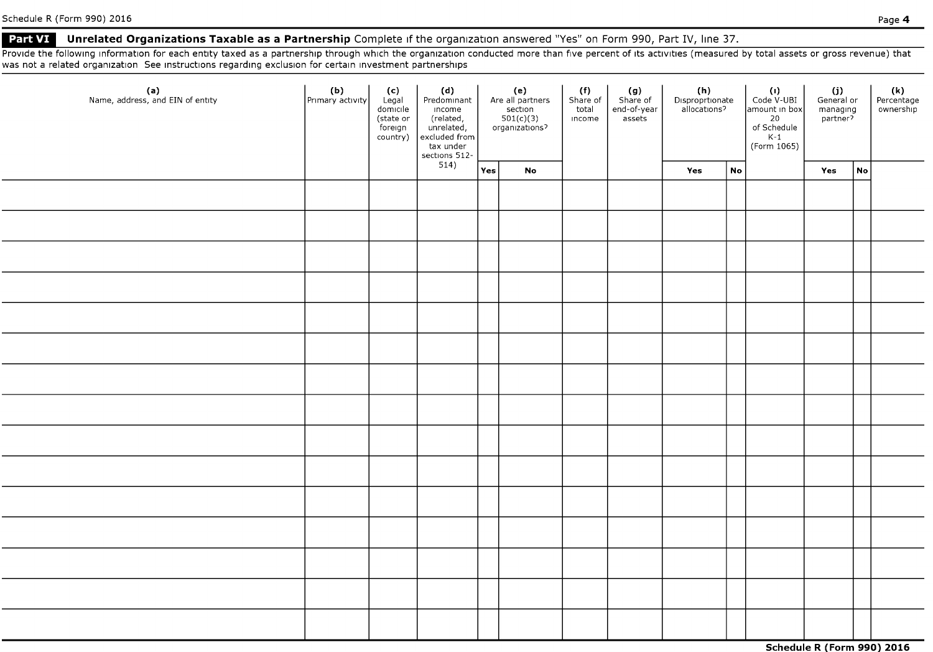### Part VI Unrelated Organizations Taxable as a Partnership Complete if the organization answered "Yes" on Form 990, Part IV, line 37.

Provide the following information for each entity taxed as a partnership through which the organization conducted more than five percent of its activities (measured by total assets or gross revenue) that was not <sup>a</sup> related organization See instructions regarding exclusion for certain investment partnerships

| (a)<br>Name, address, and EIN of entity | $\left  \begin{array}{c} \textbf{(b)} \\ \text{Primary activity} \end{array} \right $ | $\begin{array}{c c} \textbf{(c)}\\ \text{legal} & \text{Predo}\\ \text{(state or)} & \text{income} \\ \text{(state or)} & \text{unrelated,} \\ \text{foreny} & \text{unrelated,} \\ \text{country)} & \text{excluded from}\\ \text{tax under} & \text{setrons} \\ \text{514)} & \text{--} \end{array}$ | (e)<br>Are all partners<br>$\frac{\text{section}}{\text{501(c)(3)}}$ |                            | (f)<br>Share of<br>total<br>income | $(g)$<br>Share of<br>end-of-year<br>assets | (h)<br>Disproprtionate<br>allocations? |    | (۱)<br>Code V-UBI<br>amount in box<br>20<br>of Schedule<br>K-1<br>(Form 1065) | $(i)$<br>General or<br>managing<br>partner? |    | (k)<br>Percentage<br>ownership |
|-----------------------------------------|---------------------------------------------------------------------------------------|--------------------------------------------------------------------------------------------------------------------------------------------------------------------------------------------------------------------------------------------------------------------------------------------------------|----------------------------------------------------------------------|----------------------------|------------------------------------|--------------------------------------------|----------------------------------------|----|-------------------------------------------------------------------------------|---------------------------------------------|----|--------------------------------|
|                                         |                                                                                       |                                                                                                                                                                                                                                                                                                        |                                                                      | $\mathop{\sf No}\nolimits$ |                                    |                                            | Yes                                    | No |                                                                               | Yes                                         | No |                                |
|                                         |                                                                                       |                                                                                                                                                                                                                                                                                                        |                                                                      |                            |                                    |                                            |                                        |    |                                                                               |                                             |    |                                |
|                                         |                                                                                       |                                                                                                                                                                                                                                                                                                        |                                                                      |                            |                                    |                                            |                                        |    |                                                                               |                                             |    |                                |
|                                         |                                                                                       |                                                                                                                                                                                                                                                                                                        |                                                                      |                            |                                    |                                            |                                        |    |                                                                               |                                             |    |                                |
|                                         |                                                                                       |                                                                                                                                                                                                                                                                                                        |                                                                      |                            |                                    |                                            |                                        |    |                                                                               |                                             |    |                                |
|                                         |                                                                                       |                                                                                                                                                                                                                                                                                                        |                                                                      |                            |                                    |                                            |                                        |    |                                                                               |                                             |    |                                |
|                                         |                                                                                       |                                                                                                                                                                                                                                                                                                        |                                                                      |                            |                                    |                                            |                                        |    |                                                                               |                                             |    |                                |
|                                         |                                                                                       |                                                                                                                                                                                                                                                                                                        |                                                                      |                            |                                    |                                            |                                        |    |                                                                               |                                             |    |                                |
|                                         |                                                                                       |                                                                                                                                                                                                                                                                                                        |                                                                      |                            |                                    |                                            |                                        |    |                                                                               |                                             |    |                                |
|                                         |                                                                                       |                                                                                                                                                                                                                                                                                                        |                                                                      |                            |                                    |                                            |                                        |    |                                                                               |                                             |    |                                |
|                                         |                                                                                       |                                                                                                                                                                                                                                                                                                        |                                                                      |                            |                                    |                                            |                                        |    |                                                                               |                                             |    |                                |
|                                         |                                                                                       |                                                                                                                                                                                                                                                                                                        |                                                                      |                            |                                    |                                            |                                        |    |                                                                               |                                             |    |                                |
|                                         |                                                                                       |                                                                                                                                                                                                                                                                                                        |                                                                      |                            |                                    |                                            |                                        |    |                                                                               |                                             |    |                                |
|                                         |                                                                                       |                                                                                                                                                                                                                                                                                                        |                                                                      |                            |                                    |                                            |                                        |    |                                                                               |                                             |    |                                |
|                                         |                                                                                       |                                                                                                                                                                                                                                                                                                        |                                                                      |                            |                                    |                                            |                                        |    |                                                                               |                                             |    |                                |
|                                         |                                                                                       |                                                                                                                                                                                                                                                                                                        |                                                                      |                            |                                    |                                            |                                        |    |                                                                               |                                             |    |                                |

Schedule R (Form 990) 2016